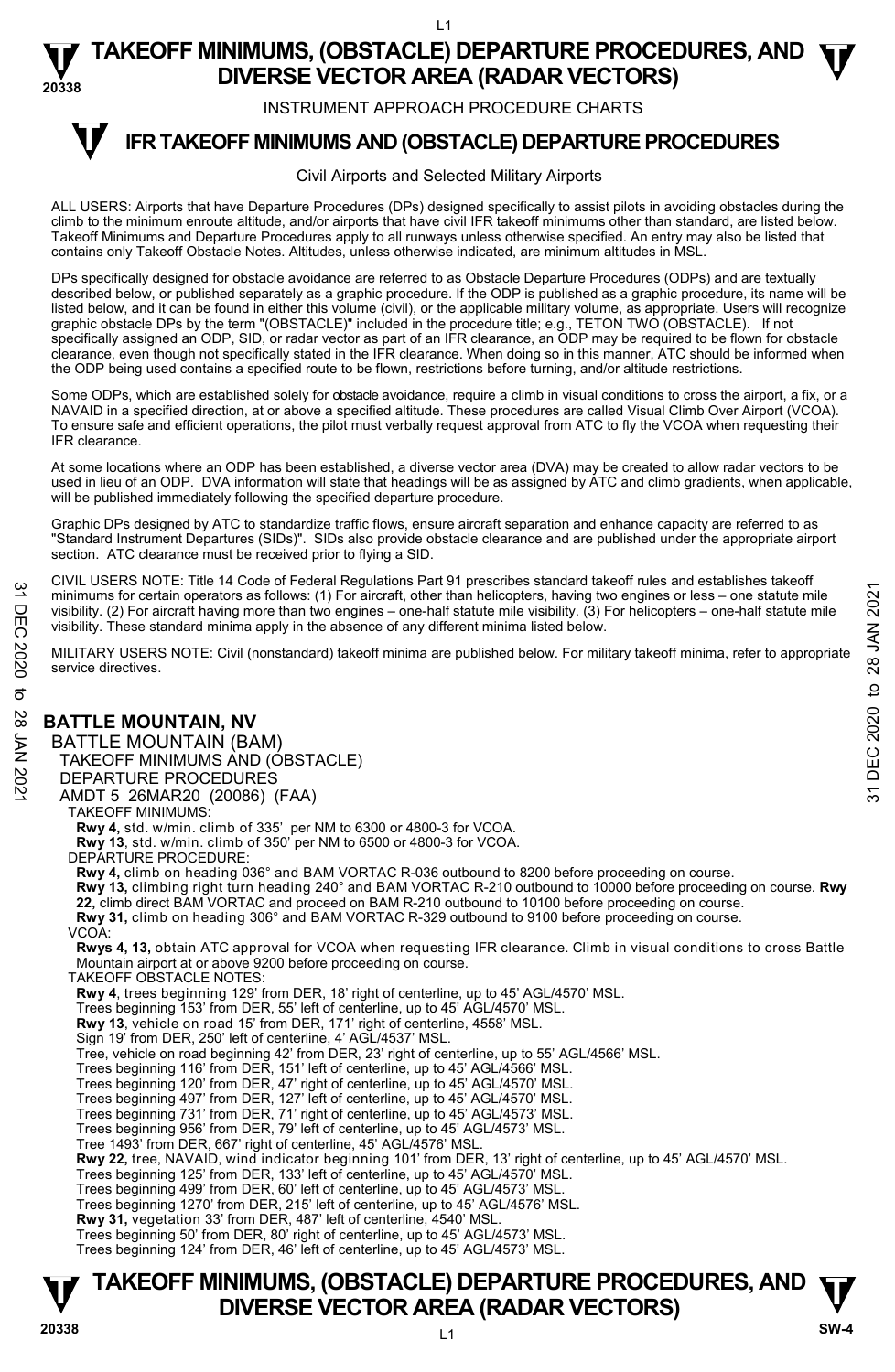INSTRUMENT APPROACH PROCEDURE CHARTS

### **IFR TAKEOFF MINIMUMS AND (OBSTACLE) DEPARTURE PROCEDURES T**

### Civil Airports and Selected Military Airports

ALL USERS: Airports that have Departure Procedures (DPs) designed specifically to assist pilots in avoiding obstacles during the climb to the minimum enroute altitude, and/or airports that have civil IFR takeoff minimums other than standard, are listed below. Takeoff Minimums and Departure Procedures apply to all runways unless otherwise specified. An entry may also be listed that contains only Takeoff Obstacle Notes. Altitudes, unless otherwise indicated, are minimum altitudes in MSL.

DPs specifically designed for obstacle avoidance are referred to as Obstacle Departure Procedures (ODPs) and are textually described below, or published separately as a graphic procedure. If the ODP is published as a graphic procedure, its name will be listed below, and it can be found in either this volume (civil), or the applicable military volume, as appropriate. Users will recognize graphic obstacle DPs by the term "(OBSTACLE)" included in the procedure title; e.g., TETON TWO (OBSTACLE). If not<br>specifically assigned an ODP, SID, or radar vector as part of an IFR clearance, an ODP may be required to be clearance, even though not specifically stated in the IFR clearance. When doing so in this manner, ATC should be informed when the ODP being used contains a specified route to be flown, restrictions before turning, and/or altitude restrictions.

Some ODPs, which are established solely for obstacle avoidance, require a climb in visual conditions to cross the airport, a fix, or a NAVAID in a specified direction, at or above a specified altitude. These procedures are called Visual Climb Over Airport (VCOA). To ensure safe and efficient operations, the pilot must verbally request approval from ATC to fly the VCOA when requesting their IFR clearance.

At some locations where an ODP has been established, a diverse vector area (DVA) may be created to allow radar vectors to be<br>used in lieu of an ODP. DVA information will state that headings will be as assigned by ATC and will be published immediately following the specified departure procedure.

Graphic DPs designed by ATC to standardize traffic flows, ensure aircraft separation and enhance capacity are referred to as "Standard Instrument Departures (SIDs)". SIDs also provide obstacle clearance and are published under the appropriate airport section. ATC clearance must be received prior to flying a SID.

CIVIL USERS NOTE: Title 14 Code of Federal Regulations Part 91 prescribes standard takeoff rules and establishes takeoff minimums for certain operators as follows: (1) For aircraft, other than helicopters, having two engines or less – one statute mile visibility. (2) For aircraft having more than two engines – one-half statute mile visibility. (3) For helicopters – one-half statute mile visibility. These standard minima apply in the absence of any different minima listed below. <sup>24</sup> Dinimums for certain operators as follows: (1) For aircraft, other than helicopters, having two engines or less—one statute mile<br>
Thin inimums for certain operators as follows: (1) For aircraft, other than helicopte

MILITARY USERS NOTE: Civil (nonstandard) takeoff minima are published below. For military takeoff minima, refer to appropriate service directives.

### **BATTLE MOUNTAIN, NV**

BATTLE MOUNTAIN (BAM) TAKEOFF MINIMUMS AND (OBSTACLE) DEPARTURE PROCEDURES

AMDT 5 26MAR20 (20086) (FAA)

TAKEOFF MINIMUMS:

**Rwy 4,** std. w/min. climb of 335' per NM to 6300 or 4800-3 for VCOA. **Rwy 13**, std. w/min. climb of 350' per NM to 6500 or 4800-3 for VCOA.

DEPARTURE PROCEDURE:

**Rwy 4,** climb on heading 036° and BAM VORTAC R-036 outbound to 8200 before proceeding on course.

**Rwy 13,** climbing right turn heading 240° and BAM VORTAC R-210 outbound to 10000 before proceeding on course. **Rwy** 

**22,** climb direct BAM VORTAC and proceed on BAM R-210 outbound to 10100 before proceeding on course.

**Rwy 31,** climb on heading 306° and BAM VORTAC R-329 outbound to 9100 before proceeding on course.

VCOA:

**Rwys 4, 13,** obtain ATC approval for VCOA when requesting IFR clearance. Climb in visual conditions to cross Battle Mountain airport at or above 9200 before proceeding on course.

TAKEOFF OBSTACLE NOTES:

**Rwy 4**, trees beginning 129' from DER, 18' right of centerline, up to 45' AGL/4570' MSL.

Trees beginning 153' from DER, 55' left of centerline, up to 45' AGL/4570' MSL.

**Rwy 13**, vehicle on road 15' from DER, 171' right of centerline, 4558' MSL.

Sign 19' from DER, 250' left of centerline, 4' AGL/4537' MSL.

Tree, vehicle on road beginning 42' from DER, 23' right of centerline, up to 55' AGL/4566' MSL.

Trees beginning 116' from DER, 151' left of centerline, up to 45' AGL/4566' MSL.

Trees beginning 120' from DER, 47' right of centerline, up to 45' AGL/4570' MSL.

Trees beginning 497' from DER, 127' left of centerline, up to 45' AGL/4570' MSL.

Trees beginning 731' from DER, 71' right of centerline, up to 45' AGL/4573' MSL.

Trees beginning 956' from DER, 79' left of centerline, up to 45' AGL/4573' MSL. Tree 1493' from DER, 667' right of centerline, 45' AGL/4576' MSL.

**Rwy 22,** tree, NAVAID, wind indicator beginning 101' from DER, 13' right of centerline, up to 45' AGL/4570' MSL.

Trees beginning 125' from DER, 133' left of centerline, up to 45' AGL/4570' MSL.

Trees beginning 499' from DER, 60' left of centerline, up to 45' AGL/4573' MSL.

Trees beginning 1270' from DER, 215' left of centerline, up to 45' AGL/4576' MSL.

**Rwy 31,** vegetation 33' from DER, 487' left of centerline, 4540' MSL.

Trees beginning 50' from DER, 80' right of centerline, up to 45' AGL/4573' MSL. Trees beginning 124' from DER, 46' left of centerline, up to 45' AGL/4573' MSL.

# **TAKEOFF MINIMUMS, (OBSTACLE) DEPARTURE PROCEDURES, AND**  $\Psi$ **<br>DIVERSE VECTOR AREA (RADAR VECTORS) V** DIVERSE VECTOR AREA (RADAR VECTORS) W SW-4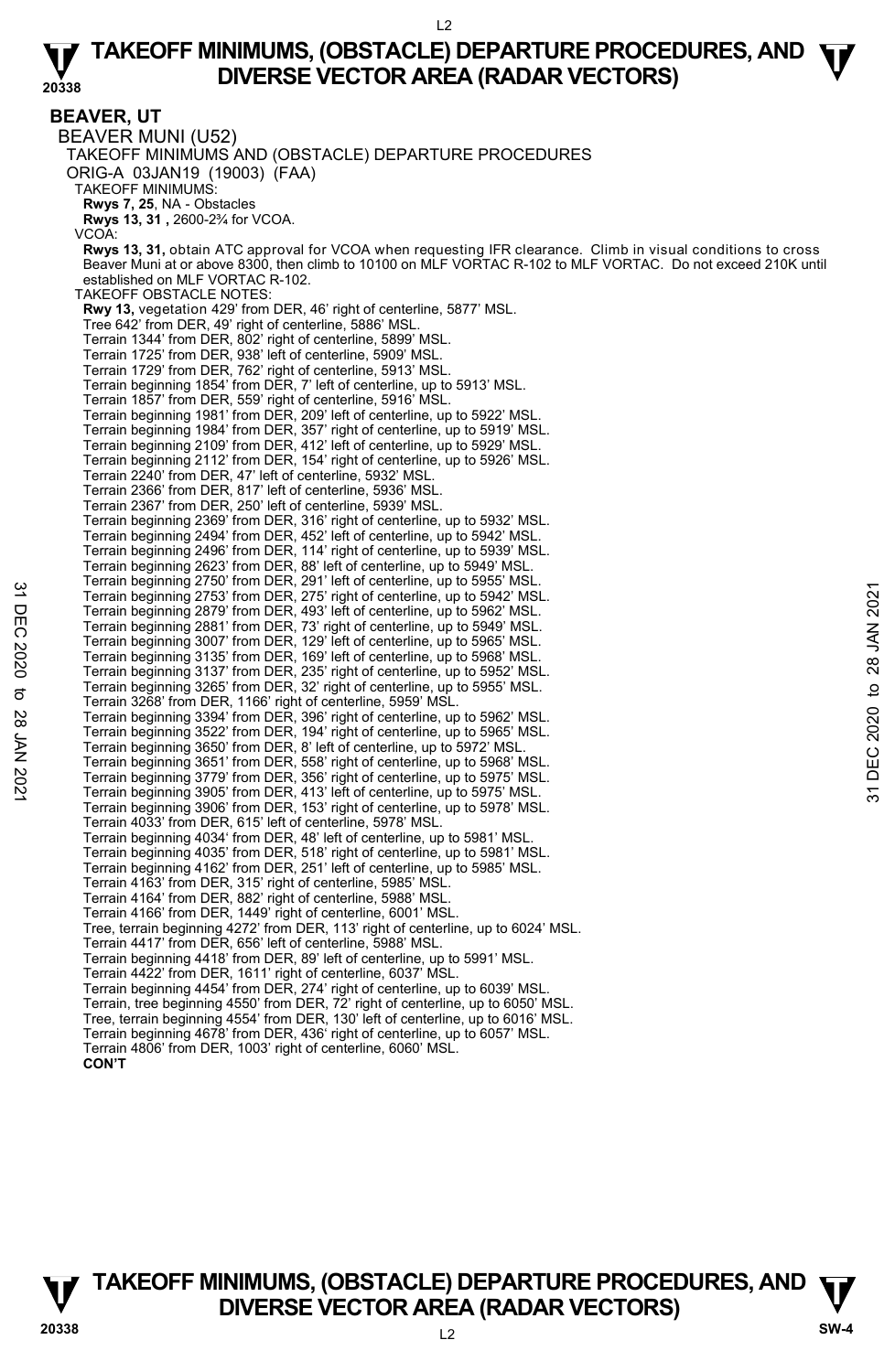**BEAVER, UT**  BEAVER MUNI (U52) TAKEOFF MINIMUMS AND (OBSTACLE) DEPARTURE PROCEDURES ORIG-A 03JAN19 (19003) (FAA) TAKEOFF MINIMUMS: **Rwys 7, 25**, NA - Obstacles **Rwys 13, 31 ,** 2600-2¾ for VCOA. VCOA: **Rwys 13, 31,** obtain ATC approval for VCOA when requesting IFR clearance. Climb in visual conditions to cross Beaver Muni at or above 8300, then climb to 10100 on MLF VORTAC R-102 to MLF VORTAC. Do not exceed 210K until established on MLF VORTAC R-102. TAKEOFF OBSTACLE NOTES: **Rwy 13,** vegetation 429' from DER, 46' right of centerline, 5877' MSL. Tree 642' from DER, 49' right of centerline, 5886' MSL. Terrain 1344' from DER, 802' right of centerline, 5899' MSL. Terrain 1725' from DER, 938' left of centerline, 5909' MSL. Terrain 1729' from DER, 762' right of centerline, 5913' MSL. Terrain beginning 1854' from DER, 7' left of centerline, up to 5913' MSL. Terrain 1857' from DER, 559' right of centerline, 5916' MSL. Terrain beginning 1981' from DER, 209' left of centerline, up to 5922' MSL.<br>Terrain beginning 1984' from DER, 357' right of centerline, up to 5919' MSL.<br>Terrain beginning 2109' from DER, 412' left of centerline, up to 5929 Terrain beginning 2112' from DER, 154' right of centerline, up to 5926' MSL. Terrain 2240' from DER, 47' left of centerline, 5932' MSL. Terrain 2366' from DER, 817' left of centerline, 5936' MSL. Terrain 2367' from DER, 250' left of centerline, 5939' MSL. Terrain beginning 2369' from DER, 316' right of centerline, up to 5932' MSL. Terrain beginning 2494' from DER, 452' left of centerline, up to 5942' MSL. Terrain beginning 2496' from DER, 114' right of centerline, up to 5939' MSL. Terrain beginning 2623' from DER, 88' left of centerline, up to 5949' MSL. Terrain beginning 2750' from DER, 291' left of centerline, up to 5955' MSL. Terrain beginning 2753' from DER, 275' right of centerline, up to 5942' MSL. Terrain beginning 2879' from DER, 493' left of centerline, up to 5962' MSL. Terrain beginning 2881' from DER, 73' right of centerline, up to 5949' MSL. Terrain beginning 3007' from DER, 129' left of centerline, up to 5965' MSL. Terrain beginning 3135' from DER, 169' left of centerline, up to 5968' MSL. Terrain beginning 3137' from DER, 235' right of centerline, up to 5952' MSL. Terrain beginning 3265' from DER, 32' right of centerline, up to 5955' MSL. Terrain 3268' from DER, 1166' right of centerline, 5959' MSL. Terrain beginning 3394' from DER, 396' right of centerline, up to 5962' MSL. Terrain beginning 3522' from DER, 194' right of centerline, up to 5965' MSL. Terrain beginning 3650' from DER, 8' left of centerline, up to 5972' MSL. Terrain beginning 3651' from DER, 558' right of centerline, up to 5968' MSL. Terrain beginning 3779' from DER, 356' right of centerline, up to 5975' MSL. Terrain beginning 3905' from DER, 413' left of centerline, up to 5975' MSL. Terrain beginning 3906' from DER, 153' right of centerline, up to 5978' MSL. Terrain 4033' from DER, 615' left of centerline, 5978' MSL. Terrain beginning 4034' from DER, 48' left of centerline, up to 5981' MSL. Terrain beginning 4035' from DER, 518' right of centerline, up to 5981' MSL. Terrain beginning 4162' from DER, 251' left of centerline, up to 5985' MSL. Terrain 4163' from DER, 315' right of centerline, 5985' MSL. Terrain 4164' from DER, 882' right of centerline, 5988' MSL. Terrain 4166' from DER, 1449' right of centerline, 6001' MSL. Tree, terrain beginning 4272' from DER, 113' right of centerline, up to 6024' MSL. Terrain 4417' from DER, 656' left of centerline, 5988' MSL. Terrain beginning 4418' from DER, 89' left of centerline, up to 5991' MSL. Terrain 4422' from DER, 1611' right of centerline, 6037' MSL. Terrain beginning 4454' from DER, 274' right of centerline, up to 6039' MSL. Terrain, tree beginning 4550' from DER, 72' right of centerline, up to 6050' MSL. Tree, terrain beginning 4554' from DER, 130' left of centerline, up to 6016' MSL. Terrain beginning 4678' from DER, 436' right of centerline, up to 6057' MSL. Terrain 4806' from DER, 1003' right of centerline, 6060' MSL. **CON'T** Ferrain beginning 2753' from DER, 275' right of centerline, up to 5942' MSL.<br>
Terrain beginning 2879' from DER, 73' right of centerline, up to 5942' MSL.<br>
Terrain beginning 2879' from DER, 73' right of centerline, up to 5

**TAKEOFF MINIMUMS, (OBSTACLE) DEPARTURE PROCEDURES, AND**  $\Psi$ **<br>DIVERSE VECTOR AREA (RADAR VECTORS) DIVERSE VECTOR AREA (RADAR VECTORS) 20338 SW-4**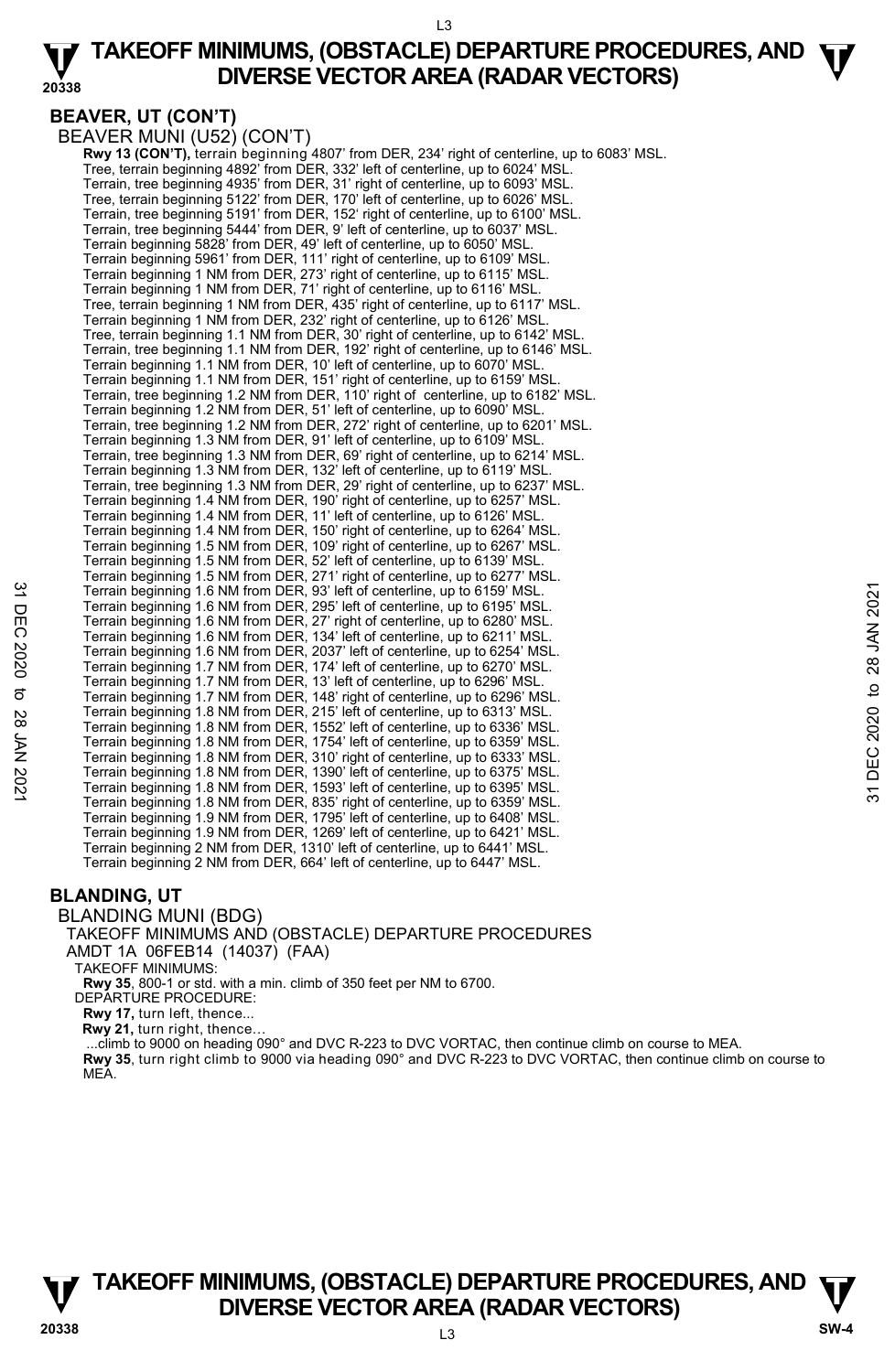# **BEAVER, UT (CON'T)**

BEAVER MUNI (U52) (CON'T)

 **Rwy 13 (CON'T),** terrain beginning 4807' from DER, 234' right of centerline, up to 6083' MSL. Tree, terrain beginning 4892' from DER, 332' left of centerline, up to 6024' MSL. Terrain, tree beginning 4935' from DER, 31' right of centerline, up to 6093' MSL.<br>Tree, terrain beginning 5122' from DER, 170' left of centerline, up to 6026' MSL.<br>Terrain, tree beginning 5191' from DER, 152' right of cent Terrain, tree beginning 5444' from DER, 9' left of centerline, up to 6037' MSL. Terrain beginning 5828' from DER, 49' left of centerline, up to 6050' MSL. Terrain beginning 5961' from DER, 111' right of centerline, up to 6109' MSL. Terrain beginning 1 NM from DER, 273' right of centerline, up to 6115' MSL. Terrain beginning 1 NM from DER, 71' right of centerline, up to 6116' MSL. Tree, terrain beginning 1 NM from DER, 435' right of centerline, up to 6117' MSL. Terrain beginning 1 NM from DER, 232' right of centerline, up to 6126' MSL. Tree, terrain beginning 1.1 NM from DER, 30' right of centerline, up to 6142' MSL. Terrain, tree beginning 1.1 NM from DER, 192' right of centerline, up to 6146' MSL. Terrain beginning 1.1 NM from DER, 10' left of centerline, up to 6070' MSL. Terrain beginning 1.1 NM from DER, 151' right of centerline, up to 6159' MSL. Terrain, tree beginning 1.2 NM from DER, 110' right of centerline, up to 6182' MSL. Terrain beginning 1.2 NM from DER, 51' left of centerline, up to 6090' MSL. Terrain, tree beginning 1.2 NM from DER, 272' right of centerline, up to 6201' MSL. Terrain beginning 1.3 NM from DER, 91' left of centerline, up to 6109' MSL. Terrain, tree beginning 1.3 NM from DER, 69' right of centerline, up to 6214' MSL. Terrain beginning 1.3 NM from DER, 132' left of centerline, up to 6119' MSL. Terrain, tree beginning 1.3 NM from DER, 29' right of centerline, up to 6237' MSL. Terrain beginning 1.4 NM from DER, 190' right of centerline, up to 6257' MSL. Terrain beginning 1.4 NM from DER, 11' left of centerline, up to 6126' MSL. Terrain beginning 1.4 NM from DER, 150' right of centerline, up to 6264' MSL. Terrain beginning 1.5 NM from DER, 109' right of centerline, up to 6267' MSL. Terrain beginning 1.5 NM from DER, 52' left of centerline, up to 6139' MSL. Terrain beginning 1.5 NM from DER, 271' right of centerline, up to 6277' MSL. Terrain beginning 1.6 NM from DER, 93' left of centerline, up to 6159' MSL. Terrain beginning 1.6 NM from DER, 295' left of centerline, up to 6195' MSL. Terrain beginning 1.6 NM from DER, 27' right of centerline, up to 6280' MSL. Terrain beginning 1.6 NM from DER, 134' left of centerline, up to 6211' MSL. Terrain beginning 1.6 NM from DER, 2037' left of centerline, up to 6254' MSL. Terrain beginning 1.7 NM from DER, 174' left of centerline, up to 6270' MSL. Terrain beginning 1.7 NM from DER, 13' left of centerline, up to 6296' MSL. Terrain beginning 1.7 NM from DER, 148' right of centerline, up to 6296' MSL.<br>Terrain beginning 1.8 NM from DER, 215' left of centerline, up to 6313' MSL.<br>Terrain beginning 1.8 NM from DER, 1552' left of centerline, up to Terrain beginning 1.8 NM from DER, 1754' left of centerline, up to 6359' MSL. Terrain beginning 1.8 NM from DER, 310' right of centerline, up to 6333' MSL. Terrain beginning 1.8 NM from DER, 1390' left of centerline, up to 6375' MSL. Terrain beginning 1.8 NM from DER, 1593' left of centerline, up to 6395' MSL. Terrain beginning 1.8 NM from DER, 835' right of centerline, up to 6359' MSL. Terrain beginning 1.9 NM from DER, 1795' left of centerline, up to 6408' MSL. Terrain beginning 1.9 NM from DER, 1269' left of centerline, up to 6421' MSL. Terrain beginning 2 NM from DER, 1310' left of centerline, up to 6441' MSL. Terrain beginning 2 NM from DER, 664' left of centerline, up to 6447' MSL. Terrain beginning 1.6 NM from DER, 33' left of centerline, up to 6159' MSL.<br>
Terrain beginning 1.6 NM from DER, 27' right of centerline, up to 6280' MSL.<br>
Terrain beginning 1.6 NM from DER, 27' right of centerline, up to

# **BLANDING, UT**

### BLANDING MUNI (BDG)

### TAKEOFF MINIMUMS AND (OBSTACLE) DEPARTURE PROCEDURES AMDT 1A 06FEB14 (14037) (FAA)

TAKEOFF MINIMUMS:

**Rwy 35**, 800-1 or std. with a min. climb of 350 feet per NM to 6700. DEPARTURE PROCEDURE:

**Rwy 17,** turn left, thence...

**Rwy 21,** turn right, thence…

 ...climb to 9000 on heading 090° and DVC R-223 to DVC VORTAC, then continue climb on course to MEA. **Rwy 35**, turn right climb to 9000 via heading 090° and DVC R-223 to DVC VORTAC, then continue climb on course to MEA.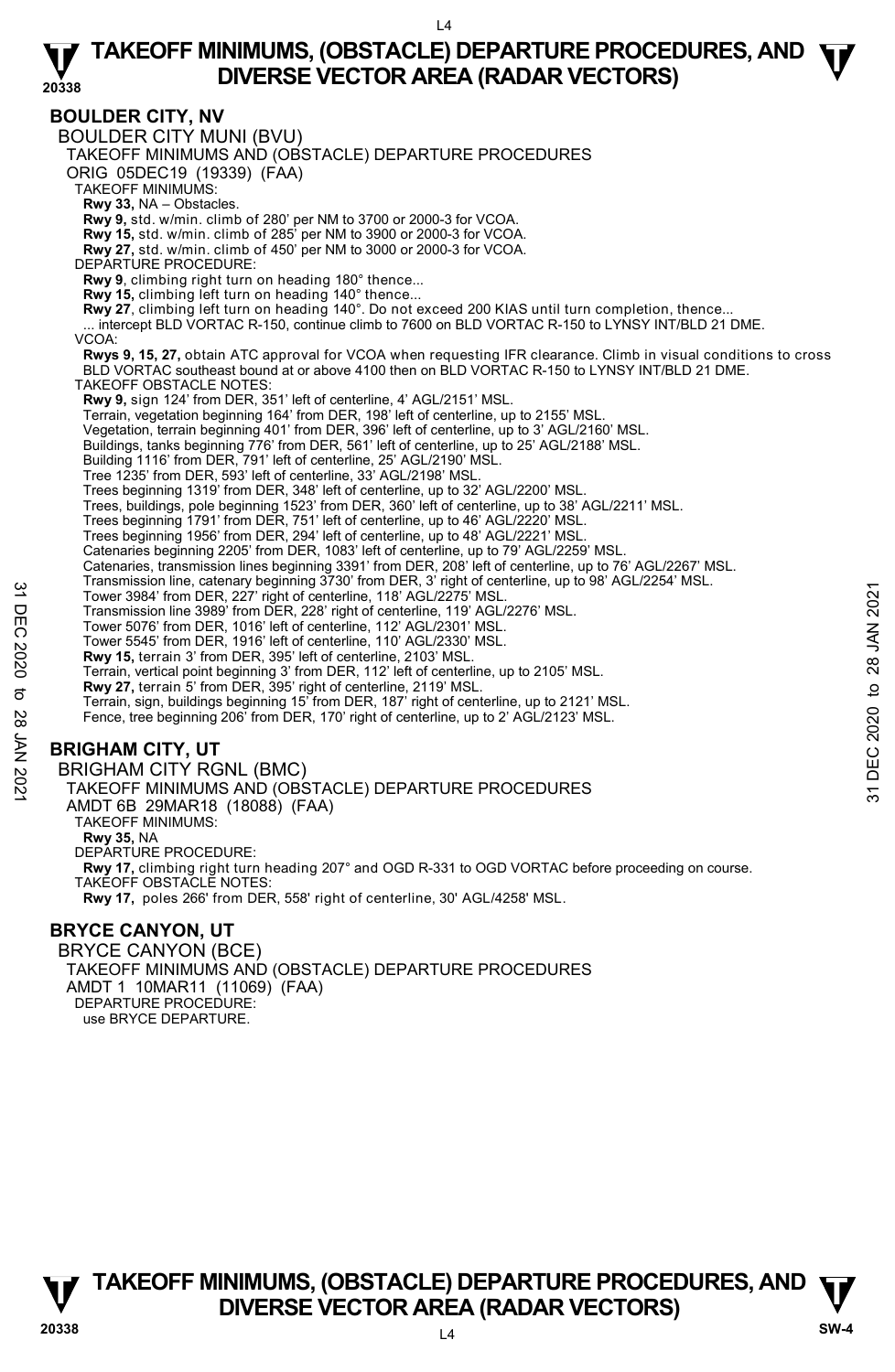**BOULDER CITY, NV**  BOULDER CITY MUNI (BVU) TAKEOFF MINIMUMS AND (OBSTACLE) DEPARTURE PROCEDURES ORIG 05DEC19 (19339) (FAA) TAKEOFF MINIMUMS: **Rwy 33,** NA – Obstacles. **Rwy 9,** std. w/min. climb of 280' per NM to 3700 or 2000-3 for VCOA. **Rwy 15,** std. w/min. climb of 285' per NM to 3900 or 2000-3 for VCOA. **Rwy 27,** std. w/min. climb of 450' per NM to 3000 or 2000-3 for VCOA. DEPARTURE PROCEDURE: **Rwy 9**, climbing right turn on heading 180° thence... **Rwy 15,** climbing left turn on heading 140° thence... **Rwy 27**, climbing left turn on heading 140°. Do not exceed 200 KIAS until turn completion, thence...<br>... intercept BLD VORTAC R-150, continue climb to 7600 on BLD VORTAC R-150 to LYNSY INT/BLD 21 DME. VCOA: **Rwys 9, 15, 27,** obtain ATC approval for VCOA when requesting IFR clearance. Climb in visual conditions to cross<br>BLD VORTAC southeast bound at or above 4100 then on BLD VORTAC R-150 to LYNSY INT/BLD 21 DME. TAKEOFF OBSTACLE NOTES: **Rwy 9,** sign 124' from DER, 351' left of centerline, 4' AGL/2151' MSL. Terrain, vegetation beginning 164' from DER, 198' left of centerline, up to 2155' MSL. Vegetation, terrain beginning 401' from DER, 396' left of centerline, up to 3' AGL/2160' MSL. Buildings, tanks beginning 776' from DER, 561' left of centerline, up to 25' AGL/2188' MSL. Building 1116' from DER, 791' left of centerline, 25' AGL/2190' MSL. Tree 1235' from DER, 593' left of centerline, 33' AGL/2198' MSL. Trees beginning 1319' from DER, 348' left of centerline, up to 32' AGL/2200' MSL. Trees, buildings, pole beginning 1523' from DER, 360' left of centerline, up to 38' AGL/2211' MSL. Trees beginning 1791' from DER, 751' left of centerline, up to 46' AGL/2220' MSL. Trees beginning 1956' from DER, 294' left of centerline, up to 48' AGL/2221' MSL. Catenaries beginning 2205' from DER, 1083' left of centerline, up to 79' AGL/2259' MSL. Catenaries, transmission lines beginning 3391' from DER, 208' left of centerline, up to 76' AGL/2267' MSL.<br>Transmission line, catenary beginning 3730' from DER, 3' right of centerline, up to 98' AGL/2254' MSL. Tower 3984' from DER, 227' right of centerline, 118' AGL/2275' MSL. Transmission line 3989' from DER, 228' right of centerline, 119' AGL/2276' MSL. Tower 5076' from DER, 1016' left of centerline, 112' AGL/2301' MSL. Tower 5545' from DER, 1916' left of centerline, 110' AGL/2330' MSL. **Rwy 15,** terrain 3' from DER, 395' left of centerline, 2103' MSL. Terrain, vertical point beginning 3' from DER, 112' left of centerline, up to 2105' MSL.<br>**Rwy 27,** terrain 5' from DER, 395' right of centerline, 2119' MSL.<br>Terrain, sign, buildings beginning 15' from DER, 187' right of ce Fence, tree beginning 206' from DER, 170' right of centerline, up to 2' AGL/2123' MSL. **BRIGHAM CITY, UT**  BRIGHAM CITY RGNL (BMC) TAKEOFF MINIMUMS AND (OBSTACLE) DEPARTURE PROCEDURES AMDT 6B 29MAR18 (18088) (FAA) TAKEOFF MINIMUMS: **Rwy 35,** NA DEPARTURE PROCEDURE: **Rwy 17,** climbing right turn heading 207° and OGD R-331 to OGD VORTAC before proceeding on course. TAKEOFF OBSTACLE NOTES: **Rwy 17,** poles 266' from DER, 558' right of centerline, 30' AGL/4258' MSL. **BRYCE CANYON, UT**  1 Tower 3984' from DER, 227' right of centerline, 118' AGL/2275' MSL.<br>
Tower 3984' from DER, 227' right of centerline, 118' AGL/2275' MSL.<br>
Transmission line 3989' from DER, 228' right of centerline, 119' AGL/2276' MSL.<br>

BRYCE CANYON (BCE) TAKEOFF MINIMUMS AND (OBSTACLE) DEPARTURE PROCEDURES AMDT 1 10MAR11 (11069) (FAA) DEPARTURE PROCEDURE: use BRYCE DEPARTURE.

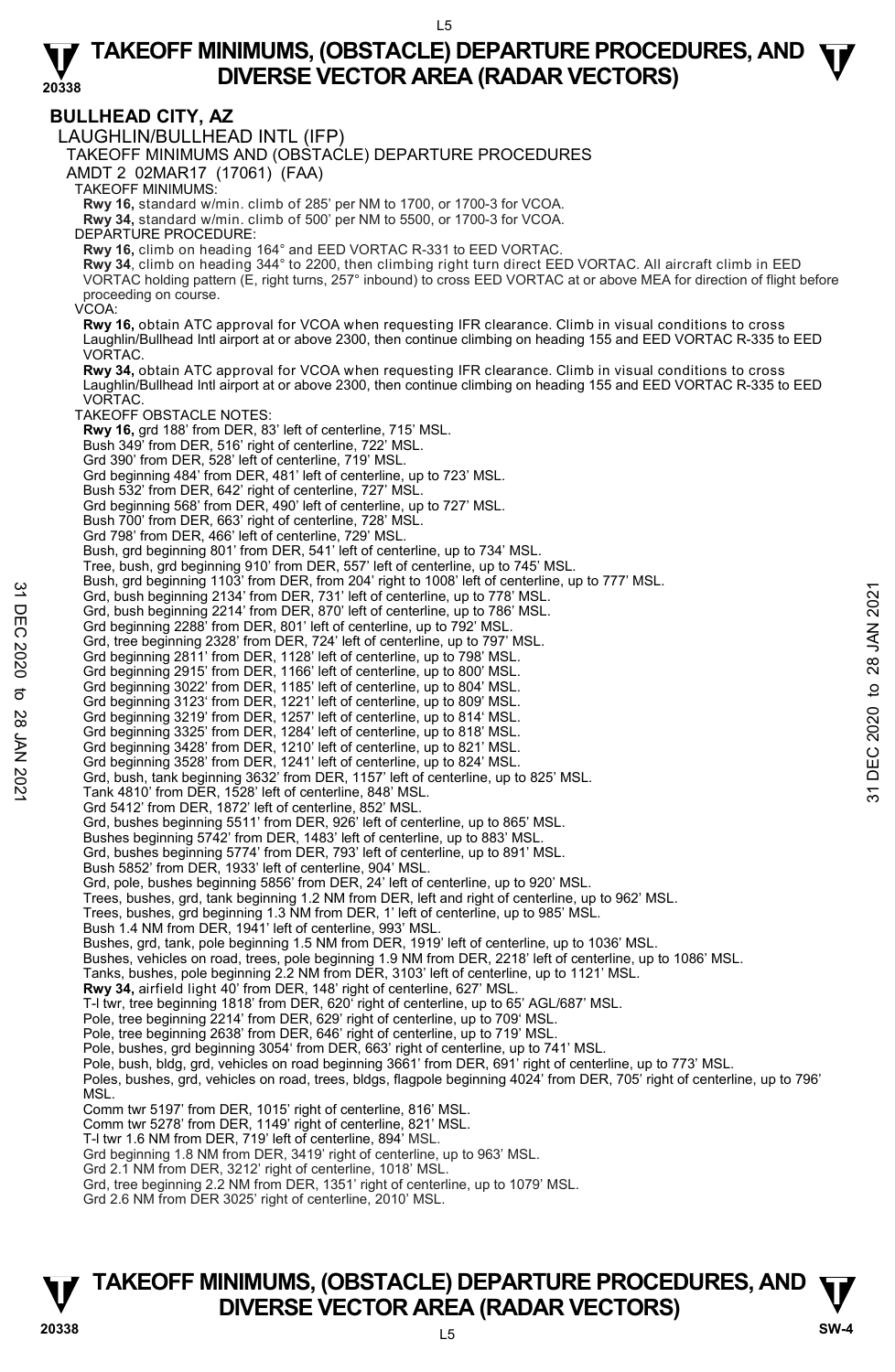**BULLHEAD CITY, AZ**  LAUGHLIN/BULLHEAD INTL (IFP) TAKEOFF MINIMUMS AND (OBSTACLE) DEPARTURE PROCEDURES AMDT 2 02MAR17 (17061) (FAA) TAKEOFF MINIMUMS: **Rwy 16,** standard w/min. climb of 285' per NM to 1700, or 1700-3 for VCOA. **Rwy 34,** standard w/min. climb of 500' per NM to 5500, or 1700-3 for VCOA. DEPARTURE PROCEDURE: **Rwy 16,** climb on heading 164° and EED VORTAC R-331 to EED VORTAC. **Rwy 34**, climb on heading 344° to 2200, then climbing right turn direct EED VORTAC. All aircraft climb in EED<br>VORTAC holding pattern (E, right turns, 257° inbound) to cross EED VORTAC at or above MEA for direction of flig proceeding on course. VCOA: **Rwy 16,** obtain ATC approval for VCOA when requesting IFR clearance. Climb in visual conditions to cross Laughlin/Bullhead Intl airport at or above 2300, then continue climbing on heading 155 and EED VORTAC R-335 to EED VORTAC. **Rwy 34,** obtain ATC approval for VCOA when requesting IFR clearance. Climb in visual conditions to cross Laughlin/Bullhead Intl airport at or above 2300, then continue climbing on heading 155 and EED VORTAC R-335 to EED **VORTAC** TAKEOFF OBSTACLE NOTES: **Rwy 16,** grd 188' from DER, 83' left of centerline, 715' MSL. Bush 349' from DER, 516' right of centerline, 722' MSL. Grd 390' from DER, 528' left of centerline, 719' MSL. Grd beginning 484' from DER, 481' left of centerline, up to 723' MSL. Bush 532' from DER, 642' right of centerline, 727' MSL. Grd beginning 568' from DER, 490' left of centerline, up to 727' MSL. Bush 700' from DER, 663' right of centerline, 728' MSL. Grd 798' from DER, 466' left of centerline, 729' MSL. Bush, grd beginning 801' from DER, 541' left of centerline, up to 734' MSL. Tree, bush, grd beginning 910' from DER, 557' left of centerline, up to 745' MSL. Bush, grd beginning 1103' from DER, from 204' right to 1008' left of centerline, up to 777' MSL. Grd, bush beginning 2134' from DER, 731' left of centerline, up to 778' MSL. Grd, bush beginning 2214' from DER, 870' left of centerline, up to 786' MSL. Grd beginning 2288' from DER, 801' left of centerline, up to 792' MSL. Grd, tree beginning 2328' from DER, 724' left of centerline, up to 797' MSL. Grd beginning 2811' from DER, 1128' left of centerline, up to 798' MSL. Grd beginning 2915' from DER, 1166' left of centerline, up to 800' MSL. Grd beginning 3022' from DER, 1185' left of centerline, up to 804' MSL. Grd beginning 3123' from DER, 1221' left of centerline, up to 809' MSL. Grd beginning 3219' from DER, 1257' left of centerline, up to 814' MSL. Grd beginning 3325' from DER, 1284' left of centerline, up to 818' MSL. Grd beginning 3428' from DER, 1210' left of centerline, up to 821' MSL. Grd beginning 3528' from DER, 1241' left of centerline, up to 824' MSL. Grd, bush, tank beginning 3632' from DER, 1157' left of centerline, up to 825' MSL. Tank 4810' from DER, 1528' left of centerline, 848' MSL. Grd 5412' from DER, 1872' left of centerline, 852' MSL. Grd, bushes beginning 5511' from DER, 926' left of centerline, up to 865' MSL. Bushes beginning 5742' from DER, 1483' left of centerline, up to 883' MSL. Grd, bushes beginning 5774' from DER, 793' left of centerline, up to 891' MSL. Bush 5852' from DER, 1933' left of centerline, 904' MSL. Grd, pole, bushes beginning 5856' from DER, 24' left of centerline, up to 920' MSL. Trees, bushes, grd, tank beginning 1.2 NM from DER, left and right of centerline, up to 962' MSL. Trees, bushes, grd beginning 1.3 NM from DER, 1' left of centerline, up to 985' MSL. Bush 1.4 NM from DER, 1941' left of centerline, 993' MSL. Bushes, grd, tank, pole beginning 1.5 NM from DER, 1919' left of centerline, up to 1036' MSL. Bushes, vehicles on road, trees, pole beginning 1.9 NM from DER, 2218' left of centerline, up to 1086' MSL. Tanks, bushes, pole beginning 2.2 NM from DER, 3103' left of centerline, up to 1121' MSL.<br>**Rwy 34,** airfield light 40' from DER, 148' right of centerline, 627' MSL. T-l twr, tree beginning 1818' from DER, 620' right of centerline, up to 65' AGL/687' MSL. Pole, tree beginning 2214' from DER, 629' right of centerline, up to 709' MSL. Pole, tree beginning 2638' from DER, 646' right of centerline, up to 719' MSL. Pole, bushes, grd beginning 3054' from DER, 663' right of centerline, up to 741' MSL. Pole, bush, bldg, grd, vehicles on road beginning 3661' from DER, 691' right of centerline, up to 773' MSL. Poles, bushes, grd, vehicles on road, trees, bldgs, flagpole beginning 4024' from DER, 705' right of centerline, up to 796' MSL. Comm twr 5197' from DER, 1015' right of centerline, 816' MSL. Comm twr 5278' from DER, 1149' right of centerline, 821' MSL. T-l twr 1.6 NM from DER, 719' left of centerline, 894' MSL. Grd beginning 1.8 NM from DER, 3419' right of centerline, up to 963' MSL. Grd 2.1 NM from DER, 3212' right of centerline, 1018' MSL. Grd, tree beginning 2.2 NM from DER, 1351' right of centerline, up to 1079' MSL. Grd 2.6 NM from DER 3025' right of centerline, 2010' MSL. 31 Designing 1105 To 2021 To 2021 To 2021 To 2021 To 2021 MSL.<br>
Grd, bush beginning 2234' from DER, 731' left of centerline, up to 778' MSL.<br>
Grd, bush beginning 2234' from DER, 870' left of centerline, up to 778' MSL.<br>
C

# $\overline{5}$ **TAKEOFF MINIMUMS, (OBSTACLE) DEPARTURE PROCEDURES, AND**  $\Psi$ **<br>DIVERSE VECTOR AREA (RADAR VECTORS) DIVERSE VECTOR AREA (RADAR VECTORS) 20338 SW-4**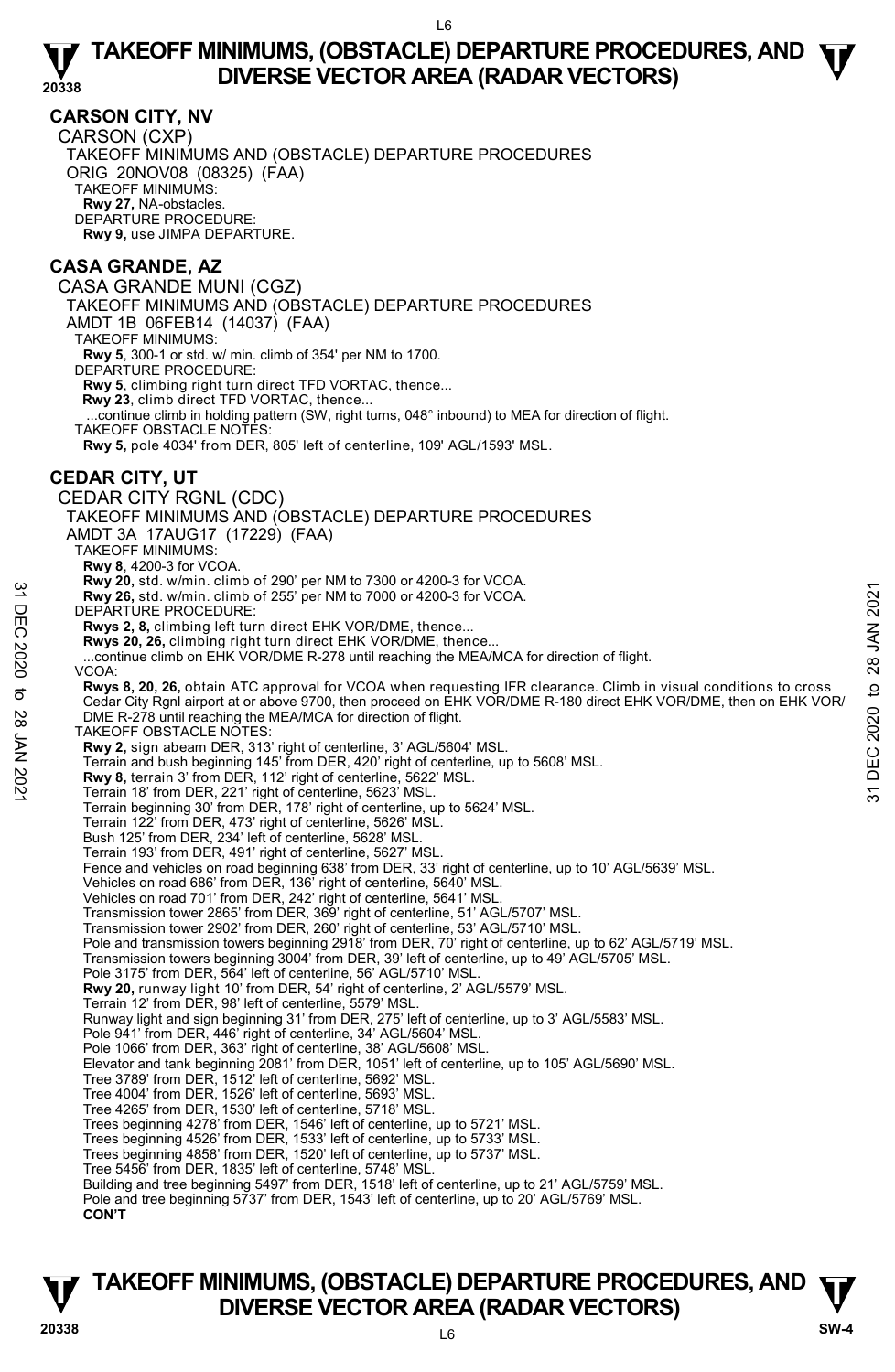## **CARSON CITY, NV**

CARSON (CXP) TAKEOFF MINIMUMS AND (OBSTACLE) DEPARTURE PROCEDURES ORIG 20NOV08 (08325) (FAA) TAKEOFF MINIMUMS: **Rwy 27,** NA-obstacles. DEPARTURE PROCEDURE: **Rwy 9,** use JIMPA DEPARTURE.

# **CASA GRANDE, AZ**

CASA GRANDE MUNI (CGZ) TAKEOFF MINIMUMS AND (OBSTACLE) DEPARTURE PROCEDURES AMDT 1B 06FEB14 (14037) (FAA) TAKEOFF MINIMUMS: **Rwy 5**, 300-1 or std. w/ min. climb of 354' per NM to 1700. DEPARTURE PROCEDURE: **Rwy 5**, climbing right turn direct TFD VORTAC, thence... **Rwy 23**, climb direct TFD VORTAC, thence... ...continue climb in holding pattern (SW, right turns, 048° inbound) to MEA for direction of flight. TAKEOFF OBSTACLE NOTES: **Rwy 5,** pole 4034' from DER, 805' left of centerline, 109' AGL/1593' MSL. **CEDAR CITY, UT**  CEDAR CITY RGNL (CDC) TAKEOFF MINIMUMS AND (OBSTACLE) DEPARTURE PROCEDURES AMDT 3A 17AUG17 (17229) (FAA) TAKEOFF MINIMUMS: **Rwy 8**, 4200-3 for VCOA. **Rwy 20,** std. w/min. climb of 290' per NM to 7300 or 4200-3 for VCOA. **Rwy 26,** std. w/min. climb of 255' per NM to 7000 or 4200-3 for VCOA. DEPARTURE PROCEDURE: **Rwys 2, 8,** climbing left turn direct EHK VOR/DME, thence... **Rwys 20, 26,** climbing right turn direct EHK VOR/DME, thence... ...continue climb on EHK VOR/DME R-278 until reaching the MEA/MCA for direction of flight. VCOA: **Rwys 8, 20, 26,** obtain ATC approval for VCOA when requesting IFR clearance. Climb in visual conditions to cross Cedar City Rgnl airport at or above 9700, then proceed on EHK VOR/DME R-180 direct EHK VOR/DME, then on EHK VOR/ DME R-278 until reaching the MEA/MCA for direction of flight. TAKEOFF OBSTACLE NOTES: **Rwy 2,** sign abeam DER, 313' right of centerline, 3' AGL/5604' MSL. Terrain and bush beginning 145' from DER, 420' right of centerline, up to 5608' MSL. **Rwy 8,** terrain 3' from DER, 112' right of centerline, 5622' MSL. Terrain 18' from DER, 221' right of centerline, 5623' MSL. Terrain beginning 30' from DER, 178' right of centerline, up to 5624' MSL. Terrain 122' from DER, 473' right of centerline, 5626' MSL. Bush 125' from DER, 234' left of centerline, 5628' MSL. Terrain 193' from DER, 491' right of centerline, 5627' MSL. Fence and vehicles on road beginning 638' from DER, 33' right of centerline, up to 10' AGL/5639' MSL. Vehicles on road 686' from DER, 136' right of centerline, 5640' MSL. Vehicles on road 701' from DER, 242' right of centerline, 5641' MSL. Transmission tower 2865' from DER, 369' right of centerline, 51' AGL/5707' MSL. Transmission tower 2902' from DER, 260' right of centerline, 53' AGL/5710' MSL. Pole and transmission towers beginning 2918' from DER, 70' right of centerline, up to 62' AGL/5719' MSL. Transmission towers beginning 3004' from DER, 39' left of centerline, up to 49' AGL/5705' MSL. Pole 3175' from DER, 564' left of centerline, 56' AGL/5710' MSL. **Rwy 20,** runway light 10' from DER, 54' right of centerline, 2' AGL/5579' MSL. Terrain 12' from DER, 98' left of centerline, 5579' MSL. Runway light and sign beginning 31' from DER, 275' left of centerline, up to 3' AGL/5583' MSL. Pole 941' from DER, 446' right of centerline, 34' AGL/5604' MSL. Pole 1066' from DER, 363' right of centerline, 38' AGL/5608' MSL. Elevator and tank beginning 2081' from DER, 1051' left of centerline, up to 105' AGL/5690' MSL. Tree 3789' from DER, 1512' left of centerline, 5692' MSL. Tree 4004' from DER, 1526' left of centerline, 5693' MSL. Tree 4265' from DER, 1530' left of centerline, 5718' MSL. Trees beginning 4278' from DER, 1546' left of centerline, up to 5721' MSL. Trees beginning 4526' from DER, 1533' left of centerline, up to 5733' MSL. Trees beginning 4858' from DER, 1520' left of centerline, up to 5737' MSL. Tree 5456' from DER, 1835' left of centerline, 5748' MSL. Building and tree beginning 5497' from DER, 1518' left of centerline, up to 21' AGL/5759' MSL. Pole and tree beginning 5737' from DER, 1543' left of centerline, up to 20' AGL/5769' MSL. **CON'T Example 2021**<br> **Example 2021** The United CHA COO STATE CONDITION of 2000 or 4200-3 for VCOA.<br> **Example 10** DEPARTURE PROCEDURE:<br> **Example 10** to 255' per NM to 7000 or 4200-3 for VCOA.<br> **EXAM 2021** DEPARTURE PROCEDURE:<br>

# **TAKEOFF MINIMUMS, (OBSTACLE) DEPARTURE PROCEDURES, AND**  $\Psi$ **<br>DIVERSE VECTOR AREA (RADAR VECTORS) DIVERSE VECTOR AREA (RADAR VECTORS) 20338 SW-4**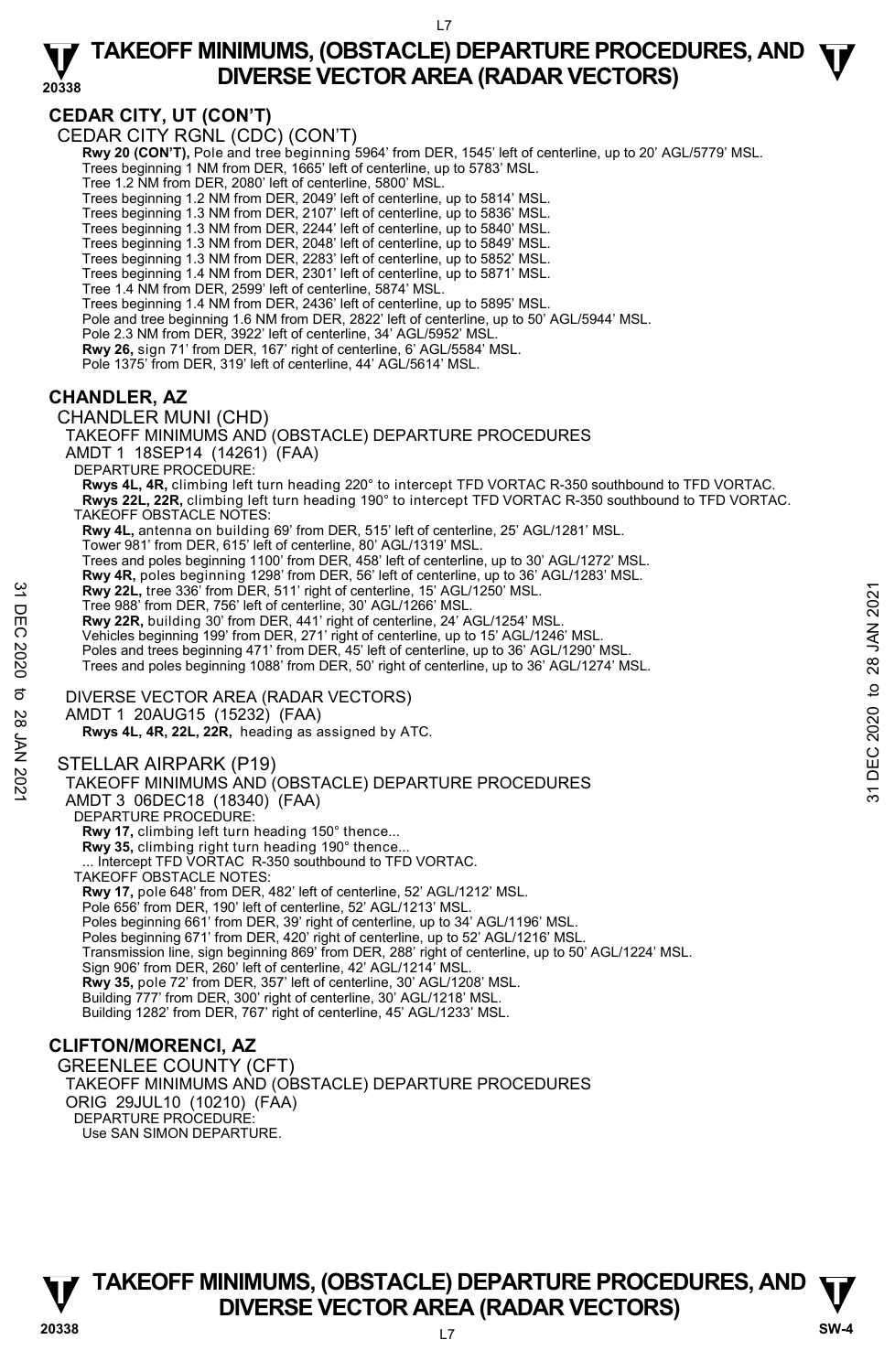**20338** 

# **CEDAR CITY, UT (CON'T)**

CEDAR CITY RGNL (CDC) (CON'T)

 **Rwy 20 (CON'T),** Pole and tree beginning 5964' from DER, 1545' left of centerline, up to 20' AGL/5779' MSL. Trees beginning 1 NM from DER, 1665' left of centerline, up to 5783' MSL.

Tree 1.2 NM from DER, 2080' left of centerline, 5800' MSL.

Trees beginning 1.2 NM from DER, 2049' left of centerline, up to 5814' MSL.

Trees beginning 1.3 NM from DER, 2107' left of centerline, up to 5836' MSL.

Trees beginning 1.3 NM from DER, 2244' left of centerline, up to 5840' MSL.<br>Trees beginning 1.3 NM from DER, 2048' left of centerline, up to 5849' MSL.<br>Trees beginning 1.3 NM from DER, 2283' left of centerline, up to 5852'

Trees beginning 1.4 NM from DER, 2301' left of centerline, up to 5871' MSL.

Tree 1.4 NM from DER, 2599' left of centerline, 5874' MSL.

Trees beginning 1.4 NM from DER, 2436' left of centerline, up to 5895' MSL.

Pole and tree beginning 1.6 NM from DER, 2822' left of centerline, up to 50' AGL/5944' MSL.

Pole 2.3 NM from DER, 3922' left of centerline, 34' AGL/5952' MSL.

**Rwy 26,** sign 71' from DER, 167' right of centerline, 6' AGL/5584' MSL.

Pole 1375' from DER, 319' left of centerline, 44' AGL/5614' MSL.

# **CHANDLER, AZ**

CHANDLER MUNI (CHD) TAKEOFF MINIMUMS AND (OBSTACLE) DEPARTURE PROCEDURES AMDT 1 18SEP14 (14261) (FAA) DEPARTURE PROCEDURE: **Rwys 4L, 4R,** climbing left turn heading 220° to intercept TFD VORTAC R-350 southbound to TFD VORTAC. **Rwys 22L, 22R,** climbing left turn heading 190° to intercept TFD VORTAC R-350 southbound to TFD VORTAC. TAKEOFF OBSTACLE NOTES: **Rwy 4L,** antenna on building 69' from DER, 515' left of centerline, 25' AGL/1281' MSL. Tower 981' from DER, 615' left of centerline, 80' AGL/1319' MSL. Trees and poles beginning 1100' from DER, 458' left of centerline, up to 30' AGL/1272' MSL. **Rwy 4R,** poles beginning 1298' from DER, 56' left of centerline, up to 36' AGL/1283' MSL. **Rwy 22L,** tree 336' from DER, 511' right of centerline, 15' AGL/1250' MSL. Tree 988' from DER, 756' left of centerline, 30' AGL/1266' MSL. **Rwy 22R,** building 30' from DER, 441' right of centerline, 24' AGL/1254' MSL. Vehicles beginning 199' from DER, 271' right of centerline, up to 15' AGL/1246' MSL. Poles and trees beginning 471' from DER, 45' left of centerline, up to 36' AGL/1290' MSL Trees and poles beginning 1088' from DER, 50' right of centerline, up to 36' AGL/1274' MSL. DIVERSE VECTOR AREA (RADAR VECTORS) AMDT 1 20AUG15 (15232) (FAA)  **Rwys 4L, 4R, 22L, 22R,** heading as assigned by ATC. STELLAR AIRPARK (P19) TAKEOFF MINIMUMS AND (OBSTACLE) DEPARTURE PROCEDURES AMDT 3 06DEC18 (18340) (FAA) DEPARTURE PROCEDURE: **Rwy 17,** climbing left turn heading 150° thence... **Rwy 35,** climbing right turn heading 190° thence...<br>... Intercept TFD VORTAC R-350 southbound to TFD VORTAC. TAKEOFF OBSTACLE NOTES: **Rwy 17,** pole 648' from DER, 482' left of centerline, 52' AGL/1212' MSL. Pole 656' from DER, 190' left of centerline, 52' AGL/1213' MSL. Poles beginning 661' from DER, 39' right of centerline, up to 34' AGL/1196' MSL. Poles beginning 671' from DER, 420' right of centerline, up to 52' AGL/1216' MSL. Transmission line, sign beginning 869' from DER, 288' right of centerline, up to 50' AGL/1224' MSL. Sign 906' from DER, 260' left of centerline, 42' AGL/1214' MSL. **Rwy 35,** pole 72' from DER, 357' left of centerline, 30' AGL/1208' MSL. **Example 2021, tree 336** from DER, 511' right of centerline, 15' AGL/1250' MSL.<br>
Tree 988' from DER, 75' elet of centerline, 30' AGL/1266' MSL.<br> **EVALUATION**<br> **EVALUATION** THE SUPPOSE AT A 441' right of centerline, up to

Building 777' from DER, 300' right of centerline, 30' AGL/1218' MSL.

Building 1282' from DER, 767' right of centerline, 45' AGL/1233' MSL.

# **CLIFTON/MORENCI, AZ**

GREENLEE COUNTY (CFT) TAKEOFF MINIMUMS AND (OBSTACLE) DEPARTURE PROCEDURES ORIG 29JUL10 (10210) (FAA) DEPARTURE PROCEDURE: Use SAN SIMON DEPARTURE.

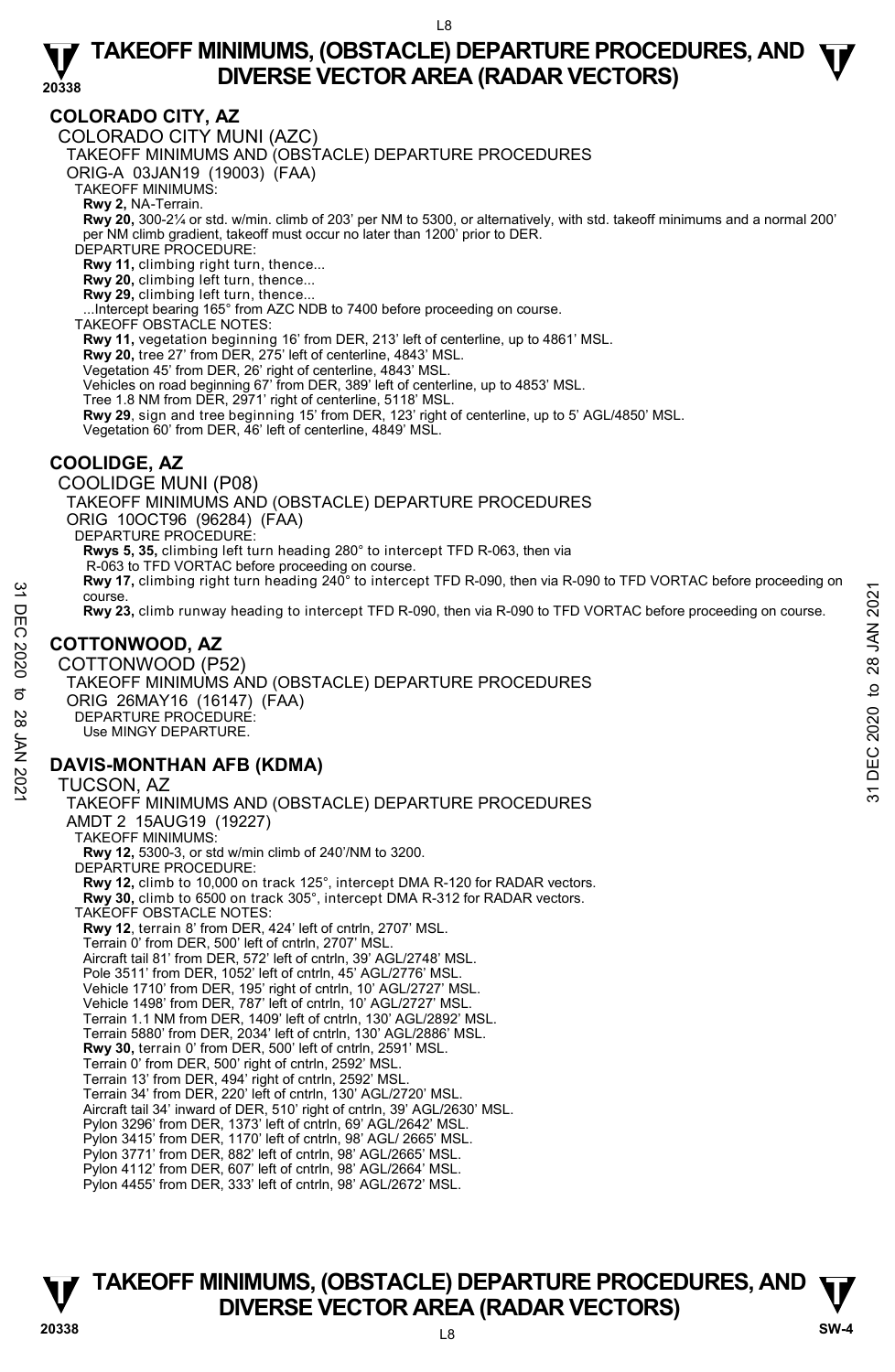# **COLORADO CITY, AZ**

COLORADO CITY MUNI (AZC)

TAKEOFF MINIMUMS AND (OBSTACLE) DEPARTURE PROCEDURES

ORIG-A 03JAN19 (19003) (FAA)

TAKEOFF MINIMUMS:

**Rwy 2,** NA-Terrain.<br>**Rwy 20,** 300-2¼ or std. w/min. climb of 203' per NM to 5300, or alternatively, with std. takeoff minimums and a normal 200' per NM climb gradient, takeoff must occur no later than 1200' prior to DER.

DEPARTURE PROCEDURE:

**Rwy 11,** climbing right turn, thence...

**Rwy 20,** climbing left turn, thence... **Rwy 29,** climbing left turn, thence...

...Intercept bearing 165° from AZC NDB to 7400 before proceeding on course. TAKEOFF OBSTACLE NOTES:

**Rwy 11,** vegetation beginning 16' from DER, 213' left of centerline, up to 4861' MSL.

**Rwy 20,** tree 27' from DER, 275' left of centerline, 4843' MSL.

Vegetation 45' from DER, 26' right of centerline, 4843' MSL.

Vehicles on road beginning 67' from DER, 389' left of centerline, up to 4853' MSL.

Tree 1.8 NM from DER, 2971' right of centerline, 5118' MSL.

**Rwy 29**, sign and tree beginning 15' from DER, 123' right of centerline, up to 5' AGL/4850' MSL.<br>Vegetation 60' from DER, 46' left of centerline, 4849' MSL.

# **COOLIDGE, AZ**

COOLIDGE MUNI (P08) TAKEOFF MINIMUMS AND (OBSTACLE) DEPARTURE PROCEDURES ORIG 10OCT96 (96284) (FAA) DEPARTURE PROCEDURE: **Rwys 5, 35,** climbing left turn heading 280° to intercept TFD R-063, then via R-063 to TFD VORTAC before proceeding on course. **Rwy 17,** climbing right turn heading 240° to intercept TFD R-090, then via R-090 to TFD VORTAC before proceeding on course. **Rwy 23,** climb runway heading to intercept TFD R-090, then via R-090 to TFD VORTAC before proceeding on course.

# **COTTONWOOD, AZ**

COTTONWOOD (P52) TAKEOFF MINIMUMS AND (OBSTACLE) DEPARTURE PROCEDURES ORIG 26MAY16 (16147) (FAA) DEPARTURE PROCEDURE: Use MINGY DEPARTURE. 32 Provide.<br>
The Course.<br>
The Course Review Provide the Search of the Course Review Proceeding on course.<br>
The COTTONWOOD, AZ<br>
COTTONWOOD, AZ<br>
COTTONWOOD, AZ<br>
COTTONWOOD, AZ<br>
COTTONWOOD, AZ<br>
COTTONWOOD, AZ<br>
COTTONWOOD, A

# **DAVIS-MONTHAN AFB (KDMA)**

TUCSON, AZ TAKEOFF MINIMUMS AND (OBSTACLE) DEPARTURE PROCEDURES AMDT 2 15AUG19 (19227) TAKEOFF MINIMUMS: **Rwy 12,** 5300-3, or std w/min climb of 240'/NM to 3200. DEPARTURE PROCEDURE: **Rwy 12,** climb to 10,000 on track 125°, intercept DMA R-120 for RADAR vectors. **Rwy 30,** climb to 6500 on track 305°, intercept DMA R-312 for RADAR vectors. TAKEOFF OBSTACLE NOTES: **Rwy 12**, terrain 8' from DER, 424' left of cntrln, 2707' MSL. Terrain 0' from DER, 500' left of cntrln, 2707' MSL. Aircraft tail 81' from DER, 572' left of cntrln, 39' AGL/2748' MSL. Pole 3511' from DER, 1052' left of cntrln, 45' AGL/2776' MSL. Vehicle 1710' from DER, 195' right of cntrln, 10' AGL/2727' MSL. Vehicle 1498' from DER, 787' left of cntrln, 10' AGL/2727' MSL. Terrain 1.1 NM from DER, 1409' left of cntrln, 130' AGL/2892' MSL. Terrain 5880' from DER, 2034' left of cntrln, 130' AGL/2886' MSL. **Rwy 30,** terrain 0' from DER, 500' left of cntrln, 2591' MSL. Terrain 0' from DER, 500' right of cntrln, 2592' MSL. Terrain 13' from DER, 494' right of cntrln, 2592' MSL. Terrain 34' from DER, 220' left of cntrln, 130' AGL/2720' MSL. Aircraft tail 34' inward of DER, 510' right of cntrln, 39' AGL/2630' MSL. Pylon 3296' from DER, 1373' left of cntrln, 69' AGL/2642' MSL. Pylon 3415' from DER, 1170' left of cntrln, 98' AGL/ 2665' MSL. Pylon 3771' from DER, 882' left of cntrln, 98' AGL/2665' MSL. Pylon 4112' from DER, 607' left of cntrln, 98' AGL/2664' MSL. Pylon 4455' from DER, 333' left of cntrln, 98' AGL/2672' MSL.

# **TAKEOFF MINIMUMS, (OBSTACLE) DEPARTURE PROCEDURES, AND**  $\Psi$ **<br>DIVERSE VECTOR AREA (RADAR VECTORS) V**<br>
20338 DIVERSE VECTOR AREA (RADAR VECTORS) SW-4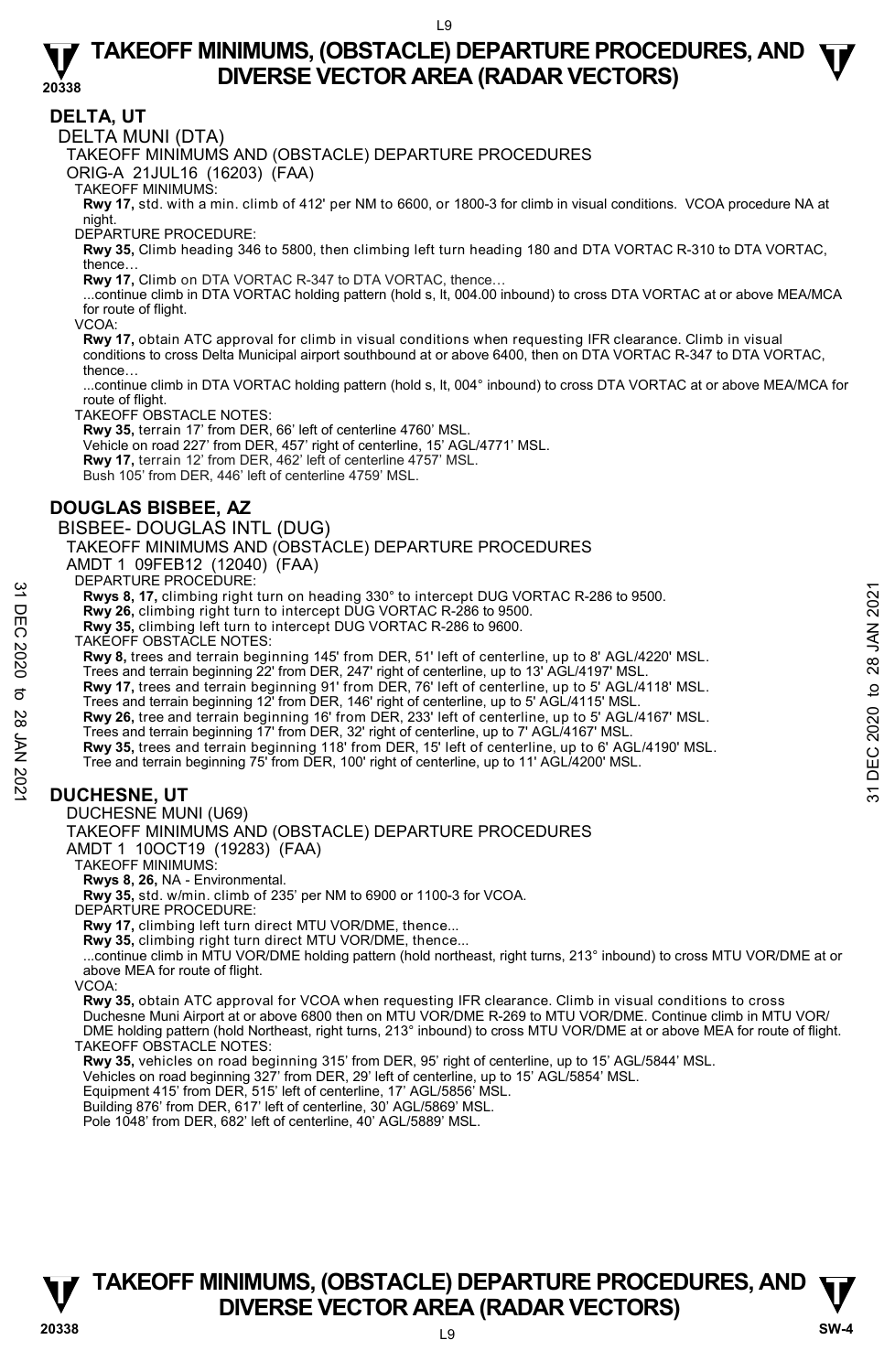### **DELTA, UT**

DELTA MUNI (DTA)

TAKEOFF MINIMUMS AND (OBSTACLE) DEPARTURE PROCEDURES

ORIG-A 21JUL16 (16203) (FAA)

TAKEOFF MINIMUMS:

**Rwy 17,** std. with a min. climb of 412' per NM to 6600, or 1800-3 for climb in visual conditions. VCOA procedure NA at night.

DEPARTURE PROCEDURE:

**Rwy 35,** Climb heading 346 to 5800, then climbing left turn heading 180 and DTA VORTAC R-310 to DTA VORTAC, thence…

**Rwy 17,** Climb on DTA VORTAC R-347 to DTA VORTAC, thence…

 ...continue climb in DTA VORTAC holding pattern (hold s, lt, 004.00 inbound) to cross DTA VORTAC at or above MEA/MCA for route of flight.

VCOA:

**Rwy 17,** obtain ATC approval for climb in visual conditions when requesting IFR clearance. Climb in visual conditions to cross Delta Municipal airport southbound at or above 6400, then on DTA VORTAC R-347 to DTA VORTAC, thence…

...continue climb in DTA VORTAC holding pattern (hold s, lt, 004° inbound) to cross DTA VORTAC at or above MEA/MCA for route of flight.

TAKEOFF OBSTACLE NOTES:

**Rwy 35,** terrain 17' from DER, 66' left of centerline 4760' MSL.

Vehicle on road 227' from DER, 457' right of centerline, 15' AGL/4771' MSL.

**Rwy 17,** terrain 12' from DER, 462' left of centerline 4757' MSL.

Bush 105' from DER, 446' left of centerline 4759' MSL.

# **DOUGLAS BISBEE, AZ**

BISBEE- DOUGLAS INTL (DUG)

TAKEOFF MINIMUMS AND (OBSTACLE) DEPARTURE PROCEDURES

AMDT 1 09FEB12 (12040) (FAA)

DEPARTURE PROCEDURE:

**Rwys 8, 17,** climbing right turn on heading 330° to intercept DUG VORTAC R-286 to 9500.

**Rwy 26,** climbing right turn to intercept DUG VORTAC R-286 to 9500.

**Rwy 35,** climbing left turn to intercept DUG VORTAC R-286 to 9600.

TAKEOFF OBSTACLE NOTES:

**Rwy 8,** trees and terrain beginning 145' from DER, 51' left of centerline, up to 8' AGL/4220' MSL.

Trees and terrain beginning 22' from DER, 247' right of centerline, up to 13' AGL/4197' MSL.<br>**Rwy 17,** trees and terrain beginning 91' from DER, 76' left of centerline, up to 5' AGL/4118' MSL.

Trees and terrain beginning 12' from DER, 146' right of centerline, up to 5' AGL/4115' MSL.

**Rwy 26,** tree and terrain beginning 16' from DER, 233' left of centerline, up to 5' AGL/4167' MSL. 32 Beravious. Throughouth that in the properties and term in the principal of the search of the DIG VORTAC R-286 to 9500.<br>
The Rwy 26, climbing right turn to intercept DUG VORTAC R-286 to 9500.<br>
Rwy 36, climbing left turn

Trees and terrain beginning 17' from DER, 32' right of centerline, up to 7' AGL/4167' MSL.

**Rwy 35,** trees and terrain beginning 118' from DER, 15' left of centerline, up to 6' AGL/4190' MSL.

Tree and terrain beginning 75' from DER, 100' right of centerline, up to 11' AGL/4200' MSL.

# **DUCHESNE, UT**

DUCHESNE MUNI (U69)

TAKEOFF MINIMUMS AND (OBSTACLE) DEPARTURE PROCEDURES

AMDT 1 10OCT19 (19283) (FAA)

TAKEOFF MINIMUMS:

**Rwys 8, 26,** NA - Environmental.

**Rwy 35,** std. w/min. climb of 235' per NM to 6900 or 1100-3 for VCOA. DEPARTURE PROCEDURE:

**Rwy 17,** climbing left turn direct MTU VOR/DME, thence...

**Rwy 35,** climbing right turn direct MTU VOR/DME, thence...

 ...continue climb in MTU VOR/DME holding pattern (hold northeast, right turns, 213° inbound) to cross MTU VOR/DME at or above MEA for route of flight.

VCOA:

**Rwy 35,** obtain ATC approval for VCOA when requesting IFR clearance. Climb in visual conditions to cross<br>Duchesne Muni Airport at or above 6800 then on MTU VOR/DME R-269 to MTU VOR/DME. Continue climb in MTU VOR/ DME holding pattern (hold Northeast, right turns, 213° inbound) to cross MTU VOR/DME at or above MEA for route of flight. TAKEOFF OBSTACLE NOTES:

**Rwy 35,** vehicles on road beginning 315' from DER, 95' right of centerline, up to 15' AGL/5844' MSL.<br>Vehicles on road beginning 327' from DER, 29' left of centerline, up to 15' AGL/5854' MSL.

Equipment 415' from DER, 515' left of centerline, 17' AGL/5856' MSL.

Building 876' from DER, 617' left of centerline, 30' AGL/5869' MSL.

Pole 1048' from DER, 682' left of centerline, 40' AGL/5889' MSL.

# L9 **TAKEOFF MINIMUMS, (OBSTACLE) DEPARTURE PROCEDURES, AND**  $\Psi$ **<br>DIVERSE VECTOR AREA (RADAR VECTORS) V** DIVERSE VECTOR AREA (RADAR VECTORS) W SW-4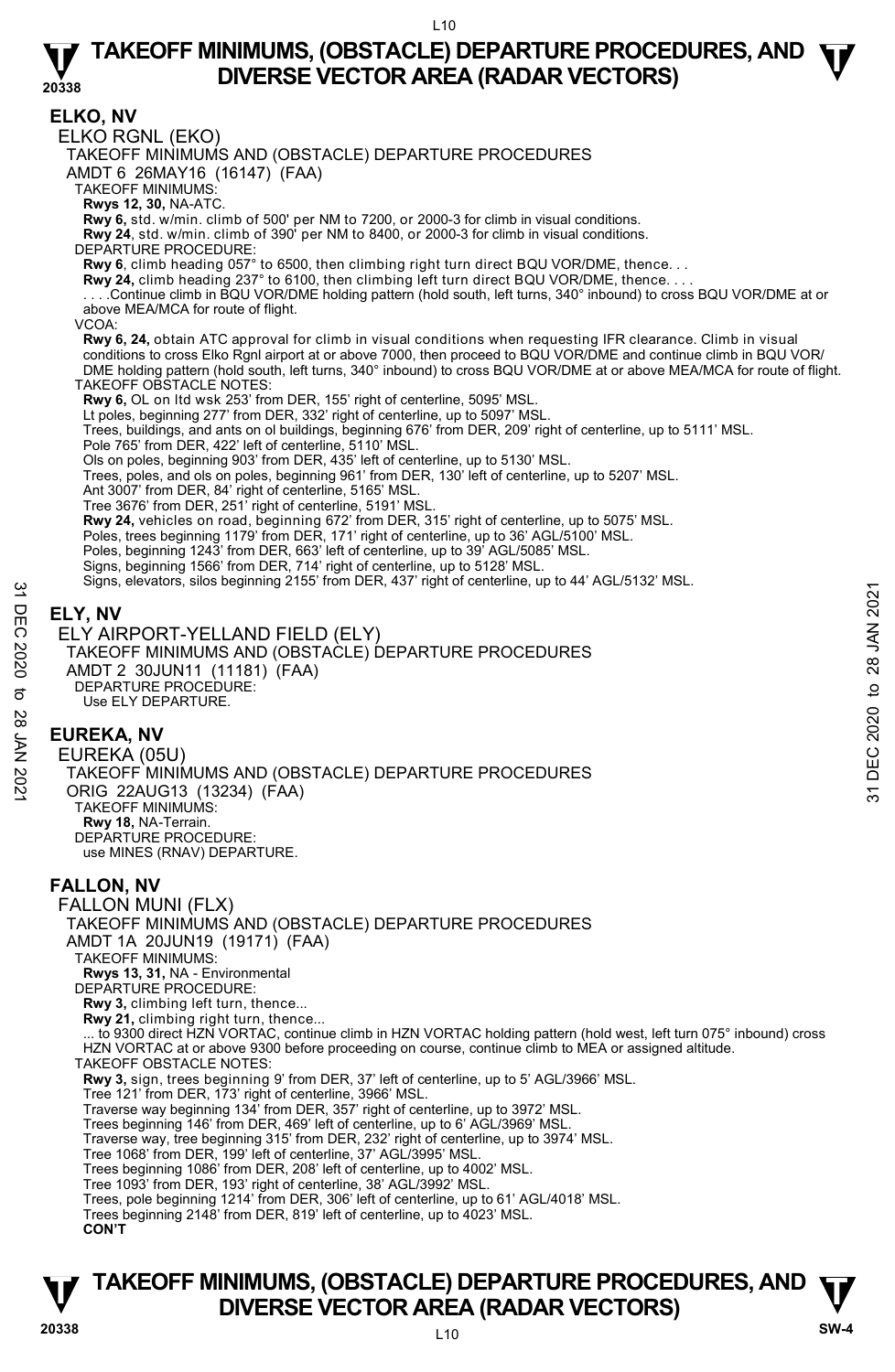**ELKO, NV**  ELKO RGNL (EKO) TAKEOFF MINIMUMS AND (OBSTACLE) DEPARTURE PROCEDURES AMDT 6 26MAY16 (16147) (FAA) TAKEOFF MINIMUMS: **Rwys 12, 30,** NA-ATC. **Rwy 6,** std. w/min. climb of 500' per NM to 7200, or 2000-3 for climb in visual conditions. **Rwy 24**, std. w/min. climb of 390' per NM to 8400, or 2000-3 for climb in visual conditions. DEPARTURE PROCEDURE: **Rwy 6**, climb heading 057° to 6500, then climbing right turn direct BQU VOR/DME, thence. . . **Rwy 24,** climb heading 237° to 6100, then climbing left turn direct BQU VOR/DME, thence. . . . . . . .Continue climb in BQU VOR/DME holding pattern (hold south, left turns, 340° inbound) to cross BQU VOR/DME at or above MEA/MCA for route of flight. VCOA: **Rwy 6, 24,** obtain ATC approval for climb in visual conditions when requesting IFR clearance. Climb in visual conditions to cross Elko Rgnl airport at or above 7000, then proceed to BQU VOR/DME and continue climb in BQU VOR/ DME holding pattern (hold south, left turns, 340° inbound) to cross BQU VOR/DME at or above MEA/MCA for route of flight. TAKEOFF OBSTACLE NOTES: **Rwy 6,** OL on ltd wsk 253' from DER, 155' right of centerline, 5095' MSL. Lt poles, beginning 277' from DER, 332' right of centerline, up to 5097' MSL. Trees, buildings, and ants on ol buildings, beginning 676' from DER, 209' right of centerline, up to 5111' MSL. Pole 765' from DER, 422' left of centerline, 5110' MSL. Ols on poles, beginning 903' from DER, 435' left of centerline, up to 5130' MSL. Trees, poles, and ols on poles, beginning 961' from DER, 130' left of centerline, up to 5207' MSL. Ant 3007' from DER, 84' right of centerline, 5165' MSL. Tree 3676' from DER, 251' right of centerline, 5191' MSL. **Rwy 24,** vehicles on road, beginning 672' from DER, 315' right of centerline, up to 5075' MSL.<br>Poles, trees beginning 1179' from DER, 171' right of centerline, up to 36' AGL/5100' MSL. Poles, beginning 1243' from DER, 663' left of centerline, up to 39' AGL/5085' MSL. Signs, beginning 1566' from DER, 714' right of centerline, up to 5128' MSL. Signs, elevators, silos beginning 2155' from DER, 437' right of centerline, up to 44' AGL/5132' MSL. **ELY, NV**  ELY AIRPORT-YELLAND FIELD (ELY) TAKEOFF MINIMUMS AND (OBSTACLE) DEPARTURE PROCEDURES AMDT 2 30JUN11 (11181) (FAA) DEPARTURE PROCEDURE: Use ELY DEPARTURE. **EUREKA, NV**  EUREKA (05U) TAKEOFF MINIMUMS AND (OBSTACLE) DEPARTURE PROCEDURES ORIG 22AUG13 (13234) (FAA) TAKEOFF MINIMUMS: **Rwy 18,** NA-Terrain. DEPARTURE PROCEDURE: use MINES (RNAV) DEPARTURE. **FALLON, NV**  FALLON MUNI (FLX) TAKEOFF MINIMUMS AND (OBSTACLE) DEPARTURE PROCEDURES AMDT 1A 20JUN19 (19171) (FAA) TAKEOFF MINIMUMS: **Rwys 13, 31,** NA - Environmental DEPARTURE PROCEDURE: Rwy 3, climbing left turn, thence. **Rwy 21,** climbing right turn, thence... ... to 9300 direct HZN VORTAC, continue climb in HZN VORTAC holding pattern (hold west, left turn 075° inbound) cross HZN VORTAC at or above 9300 before proceeding on course, continue climb to MEA or assigned altitude. TAKEOFF OBSTACLE NOTES: **Rwy 3,** sign, trees beginning 9' from DER, 37' left of centerline, up to 5' AGL/3966' MSL.<br>Tree 121' from DER, 173' right of centerline, 3966' MSL. Traverse way beginning 134' from DER, 357' right of centerline, up to 3972' MSL. Trees beginning 146' from DER, 469' left of centerline, up to 6' AGL/3969' MSL. Traverse way, tree beginning 315' from DER, 232' right of centerline, up to 3974' MSL. Tree 1068' from DER, 199' left of centerline, 37' AGL/3995' MSL. Trees beginning 1086' from DER, 208' left of centerline, up to 4002' MSL. Tree 1093' from DER, 193' right of centerline, 38' AGL/3992' MSL. Trees, pole beginning 1214' from DER, 306' left of centerline, up to 61' AGL/4018' MSL. Trees beginning 2148' from DER, 819' left of centerline, up to 4023' MSL. **CON'T** Signs, elevators, silos beginning 2133 hold beta, 437 hight of centerline, up to 44 AGBS152 MSE.<br>
THELY, NV<br>
C ELY AIRPORT-YELLAND FIELD (ELY)<br>
TAKEOFF MINIMUMS AND (OBSTACLE) DEPARTURE PROCEDURES<br>
AMDT 2 30.0UN11 (1131) (

# **TAKEOFF MINIMUMS, (OBSTACLE) DEPARTURE PROCEDURES, AND**  $\Psi$ **<br>DIVERSE VECTOR AREA (RADAR VECTORS) V**<br>
20338 DIVERSE VECTOR AREA (RADAR VECTORS) SW-4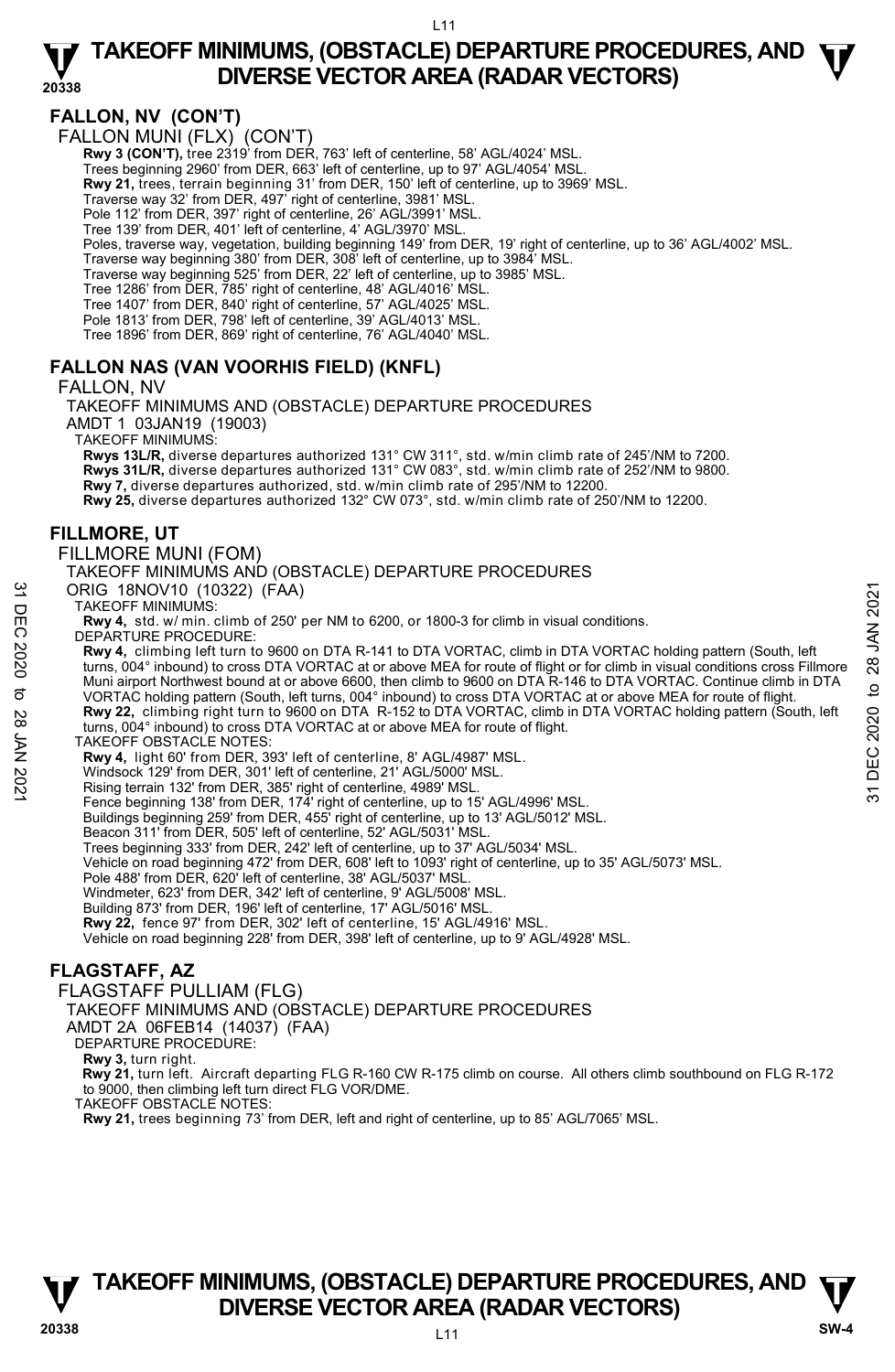## **FALLON, NV (CON'T)**

FALLON MUNI (FLX) (CON'T)

**Rwy 3 (CON'T), tree 2319' from DER, 763' left of centerline, 58' AGL/4024' MSL** 

Trees beginning 2960' from DER, 663' left of centerline, up to 97' AGL/4054' MSL.

**Rwy 21,** trees, terrain beginning 31' from DER, 150' left of centerline, up to 3969' MSL.<br>Traverse way 32' from DER, 497' right of centerline, 3981' MSL.

Pole 112' from DER, 397' right of centerline, 26' AGL/3991' MSL.

Tree 139' from DER, 401' left of centerline, 4' AGL/3970' MSL.

Poles, traverse way, vegetation, building beginning 149' from DER, 19' right of centerline, up to 36' AGL/4002' MSL.

Traverse way beginning 380' from DER, 308' left of centerline, up to 3984' MSL. Traverse way beginning 525' from DER, 22' left of centerline, up to 3985' MSL.

Tree 1286' from DER, 785' right of centerline, 48' AGL/4016' MSL.

Tree 1407' from DER, 840' right of centerline, 57' AGL/4025' MSL. Pole 1813' from DER, 798' left of centerline, 39' AGL/4013' MSL.

Tree 1896' from DER, 869' right of centerline, 76' AGL/4040' MSL.

### **FALLON NAS (VAN VOORHIS FIELD) (KNFL)**

FALLON, NV

TAKEOFF MINIMUMS AND (OBSTACLE) DEPARTURE PROCEDURES

AMDT 1 03JAN19 (19003)

TAKEOFF MINIMUMS:

**Rwys 13L/R,** diverse departures authorized 131° CW 311°, std. w/min climb rate of 245'/NM to 7200. **Rwys 31L/R,** diverse departures authorized 131° CW 083°, std. w/min climb rate of 252'/NM to 9800.

**Rwy 7,** diverse departures authorized, std. w/min climb rate of 295'/NM to 12200. **Rwy 25,** diverse departures authorized 132° CW 073°, std. w/min climb rate of 250'/NM to 12200.

### **FILLMORE, UT**

FILLMORE MUNI (FOM)

TAKEOFF MINIMUMS AND (OBSTACLE) DEPARTURE PROCEDURES

ORIG 18NOV10 (10322) (FAA)

TAKEOFF MINIMUMS:

**Rwy 4,** std. w/ min. climb of 250' per NM to 6200, or 1800-3 for climb in visual conditions. DEPARTURE PROCEDURE:

**Rwy 4,** climbing left turn to 9600 on DTA R-141 to DTA VORTAC, climb in DTA VORTAC holding pattern (South, left turns, 004° inbound) to cross DTA VORTAC at or above MEA for route of flight or for climb in visual conditions cross Fillmore Muni airport Northwest bound at or above 6600, then climb to 9600 on DTA R-146 to DTA VORTAC. Continue climb in DTA VORTAC holding pattern (South, left turns, 004° inbound) to cross DTA VORTAC at or above MEA for route of flight. **Rwy 22,** climbing right turn to 9600 on DTA R-152 to DTA VORTAC, climb in DTA VORTAC holding pattern (South, left turns, 004° inbound) to cross DTA VORTAC at or above MEA for route of flight. TAKEOFF OBSTACLE NOTES: **Rwy 4,** light 60' from DER, 393' left of centerline, 8' AGL/4987' MSL. ORIG 18NOV10 (10322) (FAA)<br>
TAKEOFF MINIMUMS:<br>
TAWA std. w/min. climb of 250' per NM to 6200, or 1800-3 for climb in visual conditions.<br>
Revy 4, std. w/min. climb of 250' per NM to 6200, or 1800-3 for climb in visual cond

Windsock 129' from DER, 301' left of centerline, 21' AGL/5000' MSL.

Rising terrain 132' from DER, 385' right of centerline, 4989' MSL. Fence beginning 138' from DER, 174' right of centerline, up to 15' AGL/4996' MSL.

Buildings beginning 259' from DER, 455' right of centerline, up to 13' AGL/5012' MSL. Beacon 311' from DER, 505' left of centerline, 52' AGL/5031' MSL.

Trees beginning 333' from DER, 242' left of centerline, up to 37' AGL/5034' MSL.

Vehicle on road beginning 472' from DER, 608' left to 1093' right of centerline, up to 35' AGL/5073' MSL.

Pole 488' from DER, 620' left of centerline, 38' AGL/5037' MSL.

Windmeter, 623' from DER, 342' left of centerline, 9' AGL/5008' MSL.

Building 873' from DER, 196' left of centerline, 17' AGL/5016' MSL.

**Rwy 22,** fence 97' from DER, 302' left of centerline, 15' AGL/4916' MSL.<br>Vehicle on road beginning 228' from DER, 398' left of centerline, up to 9' AGL/4928' MSL.

### **FLAGSTAFF, AZ**

FLAGSTAFF PULLIAM (FLG)

TAKEOFF MINIMUMS AND (OBSTACLE) DEPARTURE PROCEDURES

AMDT 2A 06FEB14 (14037) (FAA)

DEPARTURE PROCEDURE:

**Rwy 3,** turn right.

 **Rwy 21,** turn left. Aircraft departing FLG R-160 CW R-175 climb on course. All others climb southbound on FLG R-172 to 9000, then climbing left turn direct FLG VOR/DME. TAKEOFF OBSTACLE NOTES:

**Rwy 21,** trees beginning 73' from DER, left and right of centerline, up to 85' AGL/7065' MSL.

# **TAKEOFF MINIMUMS, (OBSTACLE) DEPARTURE PROCEDURES, AND**  $\Psi$ **<br>DIVERSE VECTOR AREA (RADAR VECTORS) V** DIVERSE VECTOR AREA (RADAR VECTORS) W SW-4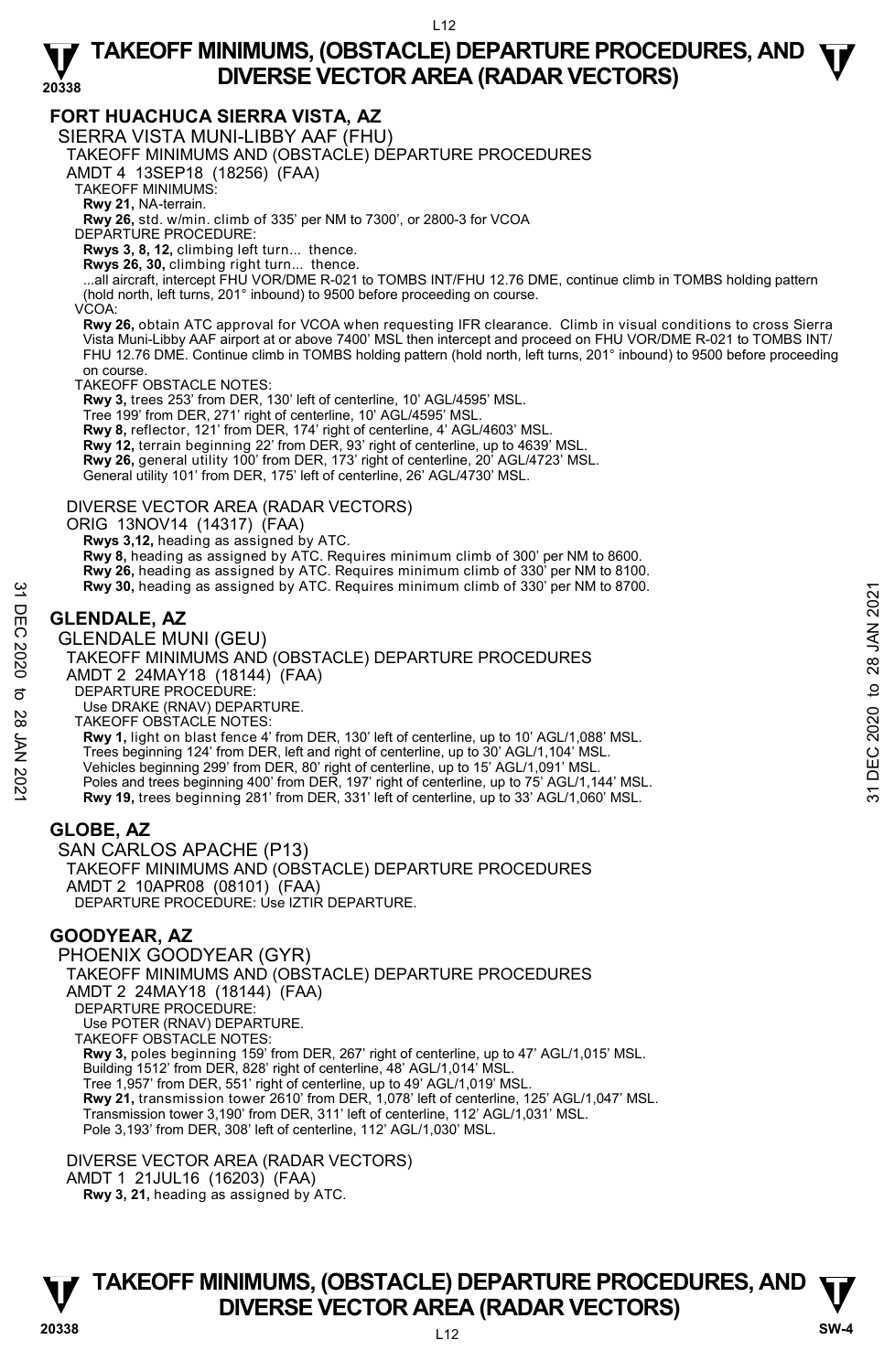### **FORT HUACHUCA SIERRA VISTA, AZ**

SIERRA VISTA MUNI-LIBBY AAF (FHU)

TAKEOFF MINIMUMS AND (OBSTACLE) DEPARTURE PROCEDURES

AMDT 4 13SEP18 (18256) (FAA)

TAKEOFF MINIMUMS:

**Rwy 21,** NA-terrain.

**Rwy 26,** std. w/min. climb of 335' per NM to 7300', or 2800-3 for VCOA

DEPARTURE PROCEDURE:

**Rwys 3, 8, 12,** climbing left turn... thence.

**Rwys 26, 30,** climbing right turn... thence. ...all aircraft, intercept FHU VOR/DME R-021 to TOMBS INT/FHU 12.76 DME, continue climb in TOMBS holding pattern (hold north, left turns, 201° inbound) to 9500 before proceeding on course.

VCOA:

**Rwy 26,** obtain ATC approval for VCOA when requesting IFR clearance. Climb in visual conditions to cross Sierra Vista Muni-Libby AAF airport at or above 7400' MSL then intercept and proceed on FHU VOR/DME R-021 to TOMBS INT/ FHU 12.76 DME. Continue climb in TOMBS holding pattern (hold north, left turns, 201° inbound) to 9500 before proceeding on course.

TAKEOFF OBSTACLE NOTES:

**Rwy 3,** trees 253' from DER, 130' left of centerline, 10' AGL/4595' MSL.

Tree 199' from DER, 271' right of centerline, 10' AGL/4595' MSL.

**Rwy 8,** reflector, 121' from DER, 174' right of centerline, 4' AGL/4603' MSL.

**Rwy 12,** terrain beginning 22' from DER, 93' right of centerline, up to 4639' MSL.

**Rwy 26,** general utility 100' from DER, 173' right of centerline, 20' AGL/4723' MSL.

General utility 101' from DER, 175' left of centerline, 26' AGL/4730' MSL.

### DIVERSE VECTOR AREA (RADAR VECTORS)

ORIG 13NOV14 (14317) (FAA)

 **Rwys 3,12,** heading as assigned by ATC.

**Rwy 8,** heading as assigned by ATC. Requires minimum climb of 300' per NM to 8600.

**Rwy 26,** heading as assigned by ATC. Requires minimum climb of 330' per NM to 8100.<br>**Rwy 30,** heading as assigned by ATC. Requires minimum climb of 330' per NM to 8700.

# **GLENDALE, AZ**

GLENDALE MUNI (GEU) TAKEOFF MINIMUMS AND (OBSTACLE) DEPARTURE PROCEDURES AMDT 2 24MAY18 (18144) (FAA) DEPARTURE PROCEDURE: Use DRAKE (RNAV) DEPARTURE. TAKEOFF OBSTACLE NOTES: **Rwy 1,** light on blast fence 4' from DER, 130' left of centerline, up to 10' AGL/1,088' MSL. Trees beginning 124' from DER, left and right of centerline, up to 30' AGL/1,104' MSL. Vehicles beginning 299' from DER, 80' right of centerline, up to 15' AGL/1,091' MSL. Poles and trees beginning 400' from DER, 197' right of centerline, up to 75' AGL/1,144' MSL. **Rwy 19,** trees beginning 281' from DER, 331' left of centerline, up to 33' AGL/1,060' MSL. Example 31 Seading as assigned by ATC. Requires minimum climb of 330' per NM to 8700.<br>
32 GLENDALE MUNI (GEU)<br>
22 GLENDALE MUNI (GEU)<br>
23 TAKEOFF MINIMUMS AND (OBSTACLE) DEPARTURE PROCEDURES<br>
32 AMDIT 2 24MAY18 (18144) (F

### **GLOBE, AZ**

SAN CARLOS APACHE (P13) TAKEOFF MINIMUMS AND (OBSTACLE) DEPARTURE PROCEDURES AMDT 2 10APR08 (08101) (FAA) DEPARTURE PROCEDURE: Úse IZTIR DEPARTURE.

# **GOODYEAR, AZ**

PHOENIX GOODYEAR (GYR) TAKEOFF MINIMUMS AND (OBSTACLE) DEPARTURE PROCEDURES AMDT 2 24MAY18 (18144) (FAA) DEPARTURE PROCEDURE: Use POTER (RNAV) DEPARTURE. TAKEOFF OBSTACLE NOTES: **Rwy 3,** poles beginning 159' from DER, 267' right of centerline, up to 47' AGL/1,015' MSL. Building 1512' from DER, 828' right of centerline, 48' AGL/1,014' MSL. Tree 1,957' from DER, 551' right of centerline, up to 49' AGL/1,019' MSL. **Rwy 21,** transmission tower 2610' from DER, 1,078' left of centerline, 125' AGL/1,047' MSL. Transmission tower 3,190' from DER, 311' left of centerline, 112' AGL/1,031' MSL. Pole 3,193' from DER, 308' left of centerline, 112' AGL/1,030' MSL.

DIVERSE VECTOR AREA (RADAR VECTORS) AMDT 1 21JUL16 (16203) (FAA)  **Rwy 3, 21,** heading as assigned by ATC.

# **TAKEOFF MINIMUMS, (OBSTACLE) DEPARTURE PROCEDURES, AND**  $\Psi$ **<br>DIVERSE VECTOR AREA (RADAR VECTORS) V** DIVERSE VECTOR AREA (RADAR VECTORS) W SW-4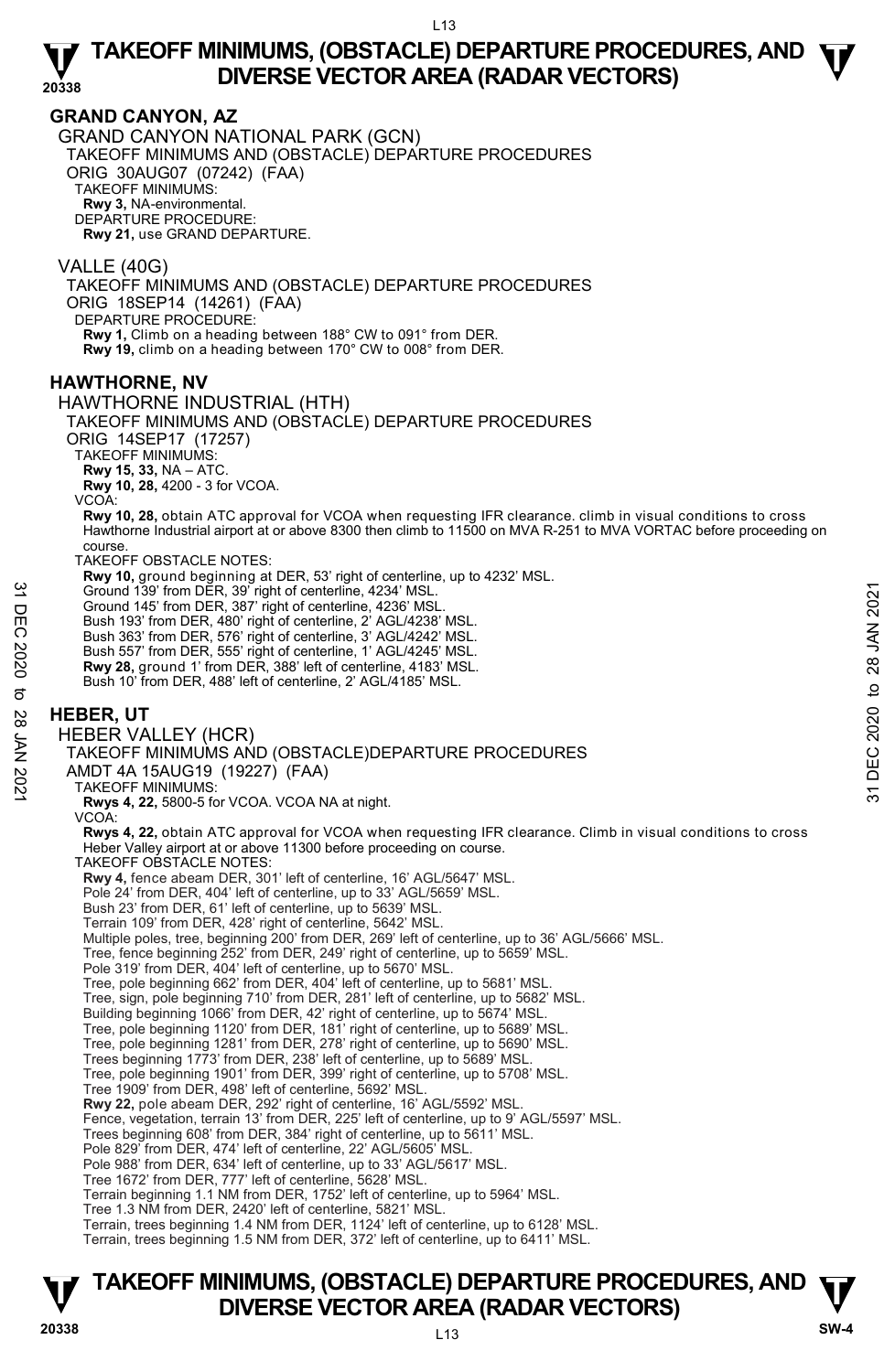### **GRAND CANYON, AZ**

GRAND CANYON NATIONAL PARK (GCN) TAKEOFF MINIMUMS AND (OBSTACLE) DEPARTURE PROCEDURES ORIG 30AUG07 (07242) (FAA) TAKEOFF MINIMUMS: **Rwy 3,** NA-environmental. DEPARTURE PROCEDURE: **Rwy 21,** use GRAND DEPARTURE.

VALLE (40G) TAKEOFF MINIMUMS AND (OBSTACLE) DEPARTURE PROCEDURES ORIG 18SEP14 (14261) (FAA) DEPARTURE PROCEDURE: **Rwy 1,** Climb on a heading between 188° CW to 091° from DER.

**Rwy 19,** climb on a heading between 170° CW to 008° from DER.

### **HAWTHORNE, NV**

HAWTHORNE INDUSTRIAL (HTH)

TAKEOFF MINIMUMS AND (OBSTACLE) DEPARTURE PROCEDURES

ORIG 14SEP17 (17257)

TAKEOFF MINIMUMS:

**Rwy 15, 33,** NA – ATC.

**Rwy 10, 28,** 4200 - 3 for VCOA.

VCOA:

**Rwy 10, 28,** obtain ATC approval for VCOA when requesting IFR clearance. climb in visual conditions to cross<br>Hawthorne Industrial airport at or above 8300 then climb to 11500 on MVA R-251 to MVA VORTAC before proceeding o course.

TAKEOFF OBSTACLE NOTES:

**Rwy 10,** ground beginning at DER, 53' right of centerline, up to 4232' MSL.

Ground 139' from DER, 39' right of centerline, 4234' MSL.

Ground 145' from DER, 387' right of centerline, 4236' MSL.

Bush 193' from DER, 480' right of centerline, 2' AGL/4238' MSL. Bush 363' from DER, 576' right of centerline, 3' AGL/4242' MSL.

Bush 557' from DER, 555' right of centerline, 1' AGL/4245' MSL.

**Rwy 28,** ground 1' from DER, 388' left of centerline, 4183' MSL. Bush 10' from DER, 488' left of centerline, 2' AGL/4185' MSL.

### **HEBER, UT**

HEBER VALLEY (HCR)

TAKEOFF MINIMUMS AND (OBSTACLE)DEPARTURE PROCEDURES Ground 139' from DER, 39' right of centerline, 4234' MSL.<br>
The Ground 145' from DER, 480' right of centerline, 2' AGL/4238' MSL.<br>
Bush 193' from DER, 480' right of centerline, 2' AGL/4242' MSL.<br>
Bush 363' from DER, 576' r

AMDT 4A 15AUG19 (19227) (FAA)

TAKEOFF MINIMUMS:

**Rwys 4, 22,** 5800-5 for VCOA. VCOA NA at night.

VCOA:

**Rwys 4, 22,** obtain ATC approval for VCOA when requesting IFR clearance. Climb in visual conditions to cross Heber Valley airport at or above 11300 before proceeding on course.

TAKEOFF OBSTACLE NOTES:

**Rwy 4,** fence abeam DER, 301' left of centerline, 16' AGL/5647' MSL.

Pole 24' from DER, 404' left of centerline, up to 33' AGL/5659' MSL.

Bush 23' from DER, 61' left of centerline, up to 5639' MSL.

Terrain 109' from DER, 428' right of centerline, 5642' MSL.

Multiple poles, tree, beginning 200' from DER, 269' left of centerline, up to 36' AGL/5666' MSL.

Tree, fence beginning 252' from DER, 249' right of centerline, up to 5659' MSL.

Pole 319' from DER, 404' left of centerline, up to 5670' MSL.

Tree, pole beginning 662' from DER, 404' left of centerline, up to 5681' MSL.

Tree, sign, pole beginning 710' from DER, 281' left of centerline, up to 5682' MSL.

Building beginning 1066' from DER, 42' right of centerline, up to 5674' MSL.

Tree, pole beginning 1120' from DER, 181' right of centerline, up to 5689' MSL. Tree, pole beginning 1281' from DER, 278' right of centerline, up to 5690' MSL.

Trees beginning 1773' from DER, 238' left of centerline, up to 5689' MSL.

Tree, pole beginning 1901' from DER, 399' right of centerline, up to 5708' MSL.

Tree 1909' from DER, 498' left of centerline, 5692' MSL.

**Rwy 22,** pole abeam DER, 292' right of centerline, 16' AGL/5592' MSL.

Fence, vegetation, terrain 13' from DER, 225' left of centerline, up to 9' AGL/5597' MSL.

Trees beginning 608' from DER, 384' right of centerline, up to 5611' MSL. Pole 829' from DER, 474' left of centerline, 22' AGL/5605' MSL.

Pole 988' from DER, 634' left of centerline, up to 33' AGL/5617' MSL.

Tree 1672' from DER, 777' left of centerline, 5628' MSL.

Terrain beginning 1.1 NM from DER, 1752' left of centerline, up to 5964' MSL.

Tree 1.3 NM from DER, 2420' left of centerline, 5821' MSL.

Terrain, trees beginning 1.4 NM from DER, 1124' left of centerline, up to 6128' MSL.

Terrain, trees beginning 1.5 NM from DER, 372' left of centerline, up to 6411' MSL.

# **TAKEOFF MINIMUMS, (OBSTACLE) DEPARTURE PROCEDURES, AND**  $\Psi$ **<br>DIVERSE VECTOR AREA (RADAR VECTORS) DIVERSE VECTOR AREA (RADAR VECTORS) 20338 SW-4**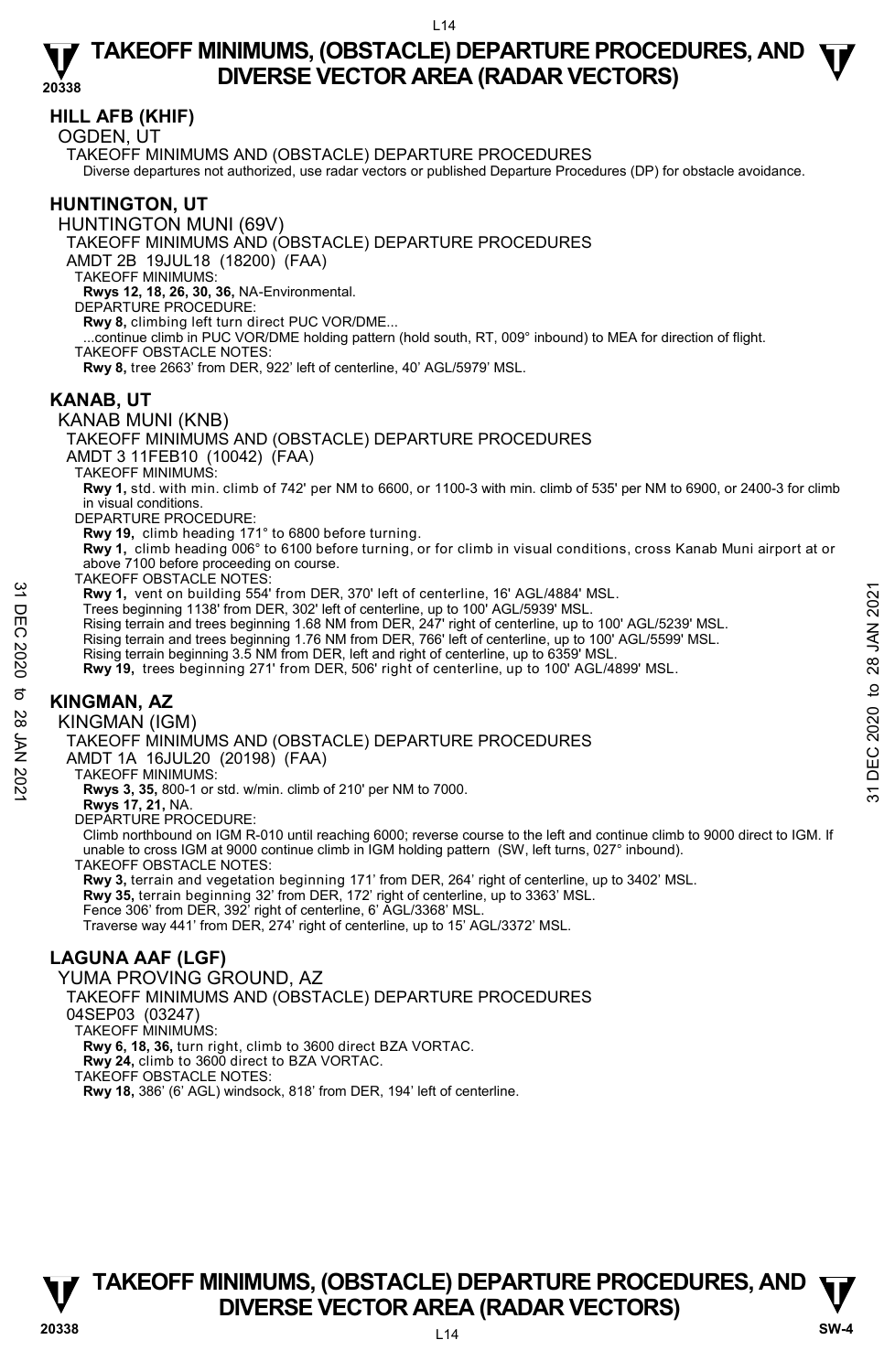## **HILL AFB (KHIF)**

OGDEN, UT

TAKEOFF MINIMUMS AND (OBSTACLE) DEPARTURE PROCEDURES

Diverse departures not authorized, use radar vectors or published Departure Procedures (DP) for obstacle avoidance.

## **HUNTINGTON, UT**

HUNTINGTON MUNI (69V)

TAKEOFF MINIMUMS AND (OBSTACLE) DEPARTURE PROCEDURES

AMDT 2B 19JUL18 (18200) (FAA)

TAKEOFF MINIMUMS:

**Rwys 12, 18, 26, 30, 36,** NA-Environmental.

DEPARTURE PROCEDURE:

**Rwy 8,** climbing left turn direct PUC VOR/DME... ...continue climb in PUC VOR/DME holding pattern (hold south, RT, 009° inbound) to MEA for direction of flight.

TAKEOFF OBSTACLE NOTES:

**Rwy 8,** tree 2663' from DER, 922' left of centerline, 40' AGL/5979' MSL.

### **KANAB, UT**

### KANAB MUNI (KNB)

TAKEOFF MINIMUMS AND (OBSTACLE) DEPARTURE PROCEDURES

AMDT 3 11FEB10 (10042) (FAA)

TAKEOFF MINIMUMS:

**Rwy 1,** std. with min. climb of 742' per NM to 6600, or 1100-3 with min. climb of 535' per NM to 6900, or 2400-3 for climb in visual conditions.

DEPARTURE PROCEDURE:

**Rwy 19,** climb heading 171° to 6800 before turning.

**Rwy 1,** climb heading 006° to 6100 before turning, or for climb in visual conditions, cross Kanab Muni airport at or above 7100 before proceeding on course.

TAKEOFF OBSTACLE NOTES:

**Rwy 1,** vent on building 554' from DER, 370' left of centerline, 16' AGL/4884' MSL. Trees beginning 1138' from DER, 302' left of centerline, up to 100' AGL/5939' MSL.

- Rising terrain and trees beginning 1.68 NM from DER, 247' right of centerline, up to 100' AGL/5239' MSL. **EVALUATE 1999 12020**<br> **EVALUATE 1999 11:38** From DER, 370' left of centerline, 16' AGL/4884' MSL.<br>
Trees beginning 11:38 from DER, 202' left of centerline, up to 100' AGL/5239' MSL.<br>
Rising terrain and trees beginning 1.
	- Rising terrain and trees beginning 1.76 NM from DER, 766' left of centerline, up to 100' AGL/5599' MSL.<br>Rising terrain beginning 3.5 NM from DER, left and right of centerline, up to 6359' MSL.

**Rwy 19,** trees beginning 271' from DER, 506' right of centerline, up to 100' AGL/4899' MSL.

# **KINGMAN, AZ**

KINGMAN (IGM)

TAKEOFF MINIMUMS AND (OBSTACLE) DEPARTURE PROCEDURES

AMDT 1A 16JUL20 (20198) (FAA)

TAKEOFF MINIMUMS:

**Rwys 3, 35,** 800-1 or std. w/min. climb of 210' per NM to 7000.

**Rwys 17, 21,** NA. DEPARTURE PROCEDURE:

Climb northbound on IGM R-010 until reaching 6000; reverse course to the left and continue climb to 9000 direct to IGM. If unable to cross IGM at 9000 continue climb in IGM holding pattern (SW, left turns, 027° inbound). TAKEOFF OBSTACLE NOTES:

**Rwy 3,** terrain and vegetation beginning 171' from DER, 264' right of centerline, up to 3402' MSL. **Rwy 35,** terrain beginning 32' from DER, 172' right of centerline, up to 3363' MSL. Fence 306' from DER, 392' right of centerline, 6' AGL/3368' MSL.

Traverse way 441' from DER, 274' right of centerline, up to 15' AGL/3372' MSL.

# **LAGUNA AAF (LGF)**

YUMA PROVING GROUND, AZ

TAKEOFF MINIMUMS AND (OBSTACLE) DEPARTURE PROCEDURES

04SEP03 (03247)

TAKEOFF MINIMUMS:

**Rwy 6, 18, 36,** turn right, climb to 3600 direct BZA VORTAC.

**Rwy 24,** climb to 3600 direct to BZA VORTAC.

TAKEOFF OBSTACLE NOTES:

**Rwy 18,** 386' (6' AGL) windsock, 818' from DER, 194' left of centerline.

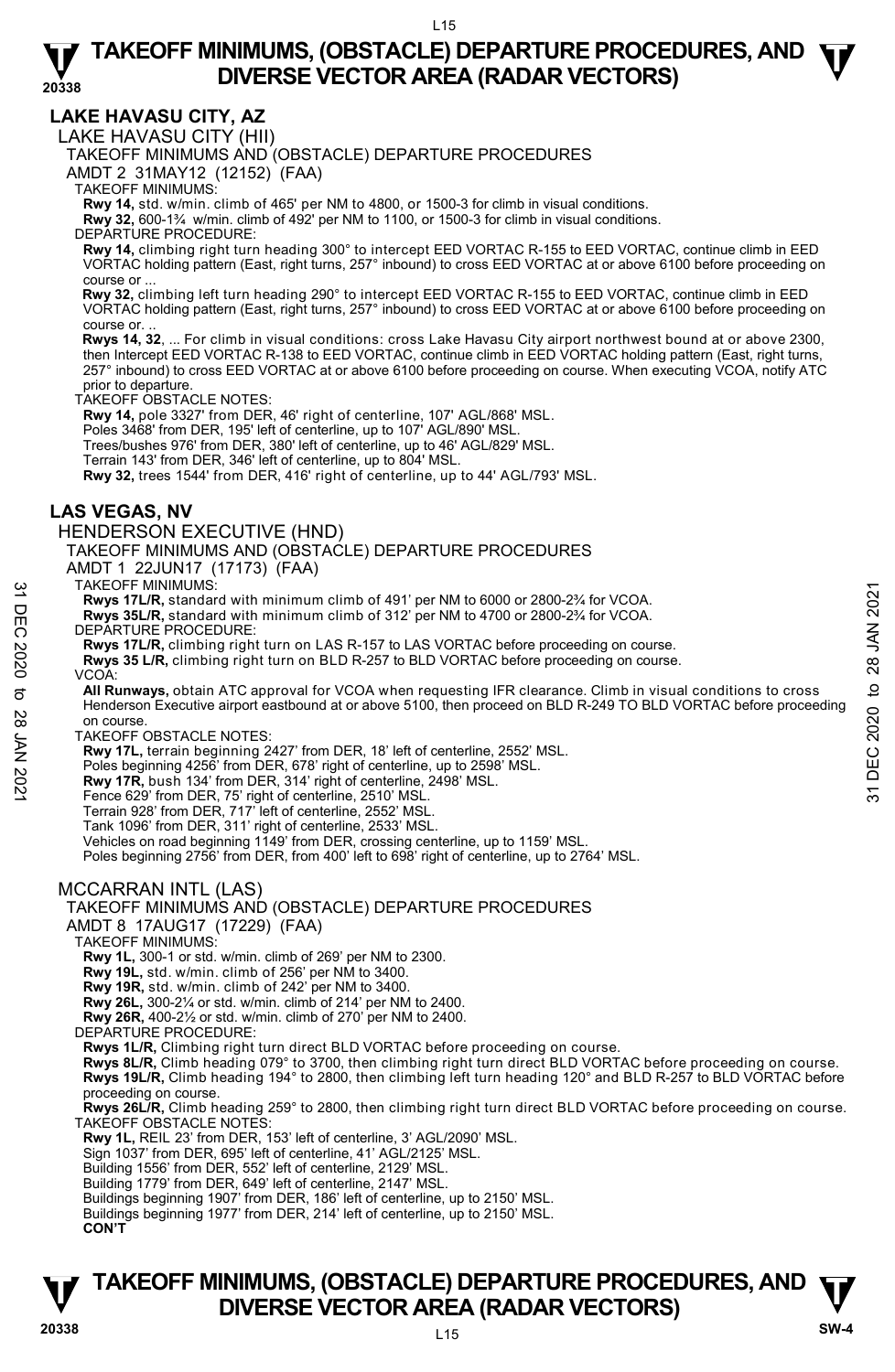**LAKE HAVASU CITY, AZ** 

LAKE HAVASU CITY (HII)

TAKEOFF MINIMUMS AND (OBSTACLE) DEPARTURE PROCEDURES

AMDT 2 31MAY12 (12152) (FAA)

TAKEOFF MINIMUMS:

**Rwy 14,** std. w/min. climb of 465' per NM to 4800, or 1500-3 for climb in visual conditions.

**Rwy 32,** 600-1¾ w/min. climb of 492' per NM to 1100, or 1500-3 for climb in visual conditions.

DEPARTURE PROCEDURE:

**Rwy 14,** climbing right turn heading 300° to intercept EED VORTAC R-155 to EED VORTAC, continue climb in EED VORTAC holding pattern (East, right turns, 257° inbound) to cross EED VORTAC at or above 6100 before proceeding on course or ...

 **Rwy 32,** climbing left turn heading 290° to intercept EED VORTAC R-155 to EED VORTAC, continue climb in EED VORTAC holding pattern (East, right turns, 257° inbound) to cross EED VORTAC at or above 6100 before proceeding on course or.

 **Rwys 14, 32**, ... For climb in visual conditions: cross Lake Havasu City airport northwest bound at or above 2300, then Intercept EED VORTAC R-138 to EED VORTAC, continue climb in EED VORTAC holding pattern (East, right turns 257° inbound) to cross EED VORTAC at or above 6100 before proceeding on course. When executing VCOA, notify ATC prior to departure.

TAKEOFF OBSTACLE NOTES:

**Rwy 14,** pole 3327' from DER, 46' right of centerline, 107' AGL/868' MSL.

Poles 3468' from DER, 195' left of centerline, up to 107' AGL/890' MSL.

Trees/bushes 976' from DER, 380' left of centerline, up to 46' AGL/829' MSL.

Terrain 143' from DER, 346' left of centerline, up to 804' MSL.

**Rwy 32,** trees 1544' from DER, 416' right of centerline, up to 44' AGL/793' MSL.

## **LAS VEGAS, NV**

### HENDERSON EXECUTIVE (HND)

TAKEOFF MINIMUMS AND (OBSTACLE) DEPARTURE PROCEDURES

AMDT 1 22JUN17 (17173) (FAA)

TAKEOFF MINIMUMS:

**Rwys 17L/R,** standard with minimum climb of 491' per NM to 6000 or 2800-2¾ for VCOA.

- **Rwys 35L/R,** standard with minimum climb of 312' per NM to 4700 or 2800-2¾ for VCOA.
- DEPARTURE PROCEDURE:
- **Rwys 17L/R,** climbing right turn on LAS R-157 to LAS VORTAC before proceeding on course.
- **Rwys 35 L/R,** climbing right turn on BLD R-257 to BLD VORTAC before proceeding on course.

VCOA:

**All Runways,** obtain ATC approval for VCOA when requesting IFR clearance. Climb in visual conditions to cross Henderson Executive airport eastbound at or above 5100, then proceed on BLD R-249 TO BLD VORTAC before proceeding on course. 1 AKEOFF MINIMUMISMS:<br>
The Revys 35L/R, standard with minimum climb of 491' per NM to 6000 or 2800-2% for VCOA.<br>
The Revys 35L/R, standard with minimum climb of 312' per NM to 4700 or 2800-2% for VCOA.<br>
DEPARTURE PROCEDUR

TAKEOFF OBSTACLE NOTES:

**Rwy 17L,** terrain beginning 2427' from DER, 18' left of centerline, 2552' MSL.

Poles beginning 4256' from DER, 678' right of centerline, up to 2598' MSL.

**Rwy 17R,** bush 134' from DER, 314' right of centerline, 2498' MSL.

Fence 629' from DER, 75' right of centerline, 2510' MSL.

Terrain 928' from DER, 717' left of centerline, 2552' MSL.

Tank 1096' from DER, 311' right of centerline, 2533' MSL.

Vehicles on road beginning 1149' from DER, crossing centerline, up to 1159' MSL. Poles beginning 2756' from DER, from 400' left to 698' right of centerline, up to 2764' MSL.

### MCCARRAN INTL (LAS)

### TAKEOFF MINIMUMS AND (OBSTACLE) DEPARTURE PROCEDURES

AMDT 8 17AUG17 (17229) (FAA)

### TAKEOFF MINIMUMS:

**Rwy 1L,** 300-1 or std. w/min. climb of 269' per NM to 2300.

**Rwy 19L,** std. w/min. climb of 256' per NM to 3400.

**Rwy 19R,** std. w/min. climb of 242' per NM to 3400. **Rwy 26L,** 300-2¼ or std. w/min. climb of 214' per NM to 2400.

**Rwy 26R,** 400-2½ or std. w/min. climb of 270' per NM to 2400.

DEPARTURE PROCEDURE:

**Rwys 1L/R,** Climbing right turn direct BLD VORTAC before proceeding on course. **Rwys 8L/R,** Climb heading 079° to 3700, then climbing right turn direct BLD VORTAC before proceeding on course. **Rwys 19L/R,** Climb heading 194° to 2800, then climbing left turn heading 120° and BLD R-257 to BLD VORTAC before proceeding on course.

**Rwys 26L/R,** Climb heading 259° to 2800, then climbing right turn direct BLD VORTAC before proceeding on course. TAKEOFF OBSTACLE NOTES:

**Rwy 1L,** REIL 23' from DER, 153' left of centerline, 3' AGL/2090' MSL.

Sign 1037' from DER, 695' left of centerline, 41' AGL/2125' MSL.

Building 1556' from DER, 552' left of centerline, 2129' MSL.

Building 1779' from DER, 649' left of centerline, 2147' MSL.

Buildings beginning 1907' from DER, 186' left of centerline, up to 2150' MSL. Buildings beginning 1977' from DER, 214' left of centerline, up to 2150' MSL.

**CON'T**

# **TAKEOFF MINIMUMS, (OBSTACLE) DEPARTURE PROCEDURES, AND**  $\Psi$ **<br>DIVERSE VECTOR AREA (RADAR VECTORS) DIVERSE VECTOR AREA (RADAR VECTORS) 20338 SW-4**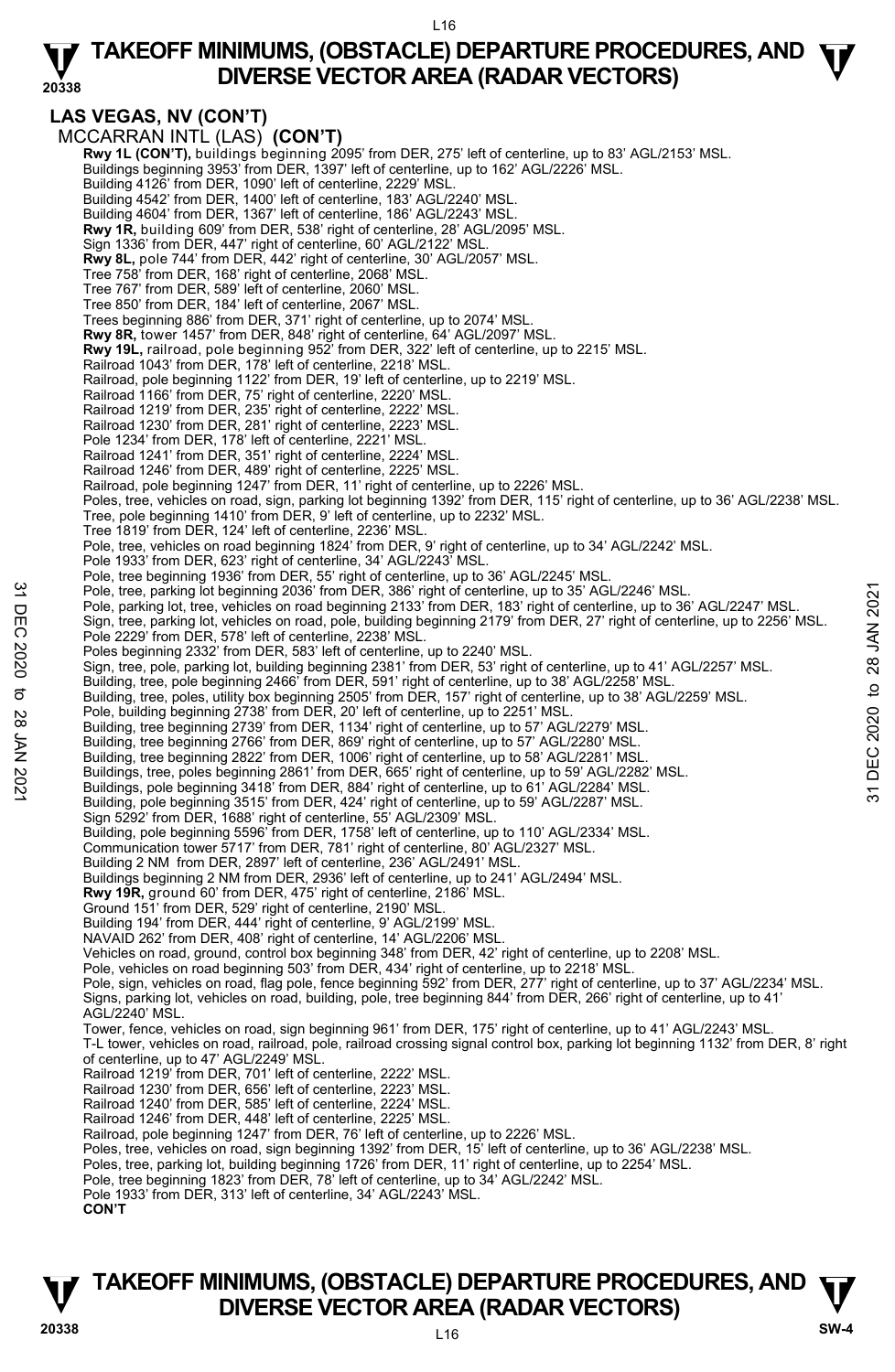**20338 LAS VEGAS, NV (CON'T)**  MCCARRAN INTL (LAS) **(CON'T) Rwy 1L (CON'T),** buildings beginning 2095' from DER, 275' left of centerline, up to 83' AGL/2153' MSL.<br>Buildings beginning 3953' from DER, 1397' left of centerline, up to 162' AGL/2226' MSL. Building 4126' from DER, 1090' left of centerline, 2229' MSL. Building 4542' from DER, 1400' left of centerline, 183' AGL/2240' MSL. Building 4604' from DER, 1367' left of centerline, 186' AGL/2243' MSL. **Rwy 1R,** building 609' from DER, 538' right of centerline, 28' AGL/2095' MSL. Sign 1336' from DER, 447' right of centerline, 60' AGL/2122' MSL. **Rwy 8L,** pole 744' from DER, 442' right of centerline, 30' AGL/2057' MSL. Tree 758' from DER, 168' right of centerline, 2068' MSL. Tree 767' from DER, 589' left of centerline, 2060' MSL. Tree 850' from DER, 184' left of centerline, 2067' MSL. Trees beginning 886' from DER, 371' right of centerline, up to 2074' MSL. **Rwy 8R,** tower 1457' from DER, 848' right of centerline, 64' AGL/2097' MSL. Rwy 19L, railroad, pole beginning 952<sup>'</sup> from DER, 322' left of centerline, up to 2215' MSL. Railroad 1043' from DER, 178' left of centerline, 2218' MSL. Railroad, pole beginning 1122' from DER, 19' left of centerline, up to 2219' MSL. Railroad 1166' from DER, 75' right of centerline, 2220' MSL. Railroad 1219' from DER, 235' right of centerline, 2222' MSL. Railroad 1230' from DER, 281' right of centerline, 2223' MSL. Pole 1234' from DER, 178' left of centerline, 2221' MSL. Railroad 1241' from DER, 351' right of centerline, 2224' MSL. Railroad 1246' from DER, 489' right of centerline, 2225' MSL. Railroad, pole beginning 1247' from DER, 11' right of centerline, up to 2226' MSL. Poles, tree, vehicles on road, sign, parking lot beginning 1392' from DER, 115' right of centerline, up to 36' AGL/2238' MSL. Tree, pole beginning 1410' from DER, 9' left of centerline, up to 2232' MSL. Tree 1819' from DER, 124' left of centerline, 2236' MSL. Pole, tree, vehicles on road beginning 1824' from DER, 9' right of centerline, up to 34' AGL/2242' MSL. Pole 1933' from DER, 623' right of centerline, 34' AGL/2243' MSL. Pole, tree beginning 1936' from DER, 55' right of centerline, up to 36' AGL/2245' MSL. Pole, tree, parking lot beginning 2036' from DER, 386' right of centerline, up to 35' AGL/2246' MSL. Pole, parking lot, tree, vehicles on road beginning 2133' from DER, 183' right of centerline, up to 36' AGL/2247' MSL. Sign, tree, parking lot, vehicles on road, pole, building beginning 2179' from DER, 27' right of centerline, up to 2256' MSL.<br>Pole 2229' from DER, 578' left of centerline, 2238' MSL. Poles beginning 2332' from DER, 583' left of centerline, up to 2240' MSL. Sign, tree, pole, parking lot, building beginning 2381' from DER, 53' right of centerline, up to 41' AGL/2257' MSL.<br>Building, tree, pole beginning 2466' from DER, 591' right of centerline, up to 38' AGL/2258' MSL. Building, tree, poles, utility box beginning 2505' from DER, 157' right of centerline, up to 38' AGL/2259' MSL. Pole, building beginning 2738' from DER, 20' left of centerline, up to 2251' MSL. Building, tree beginning 2739' from DER, 1134' right of centerline, up to 57' AGL/2279' MSL. Building, tree beginning 2766' from DER, 869' right of centerline, up to 57' AGL/2280' MSL. Building, tree beginning 2822' from DER, 1006' right of centerline, up to 58' AGL/2281' MSL. Buildings, tree, poles beginning 2861' from DER, 665' right of centerline, up to 59' AGL/2282' MSL.<br>Buildings, pole beginning 3418' from DER, 884' right of centerline, up to 61' AGL/2284' MSL. Building, pole beginning 3515' from DER, 424' right of centerline, up to 59' AGL/2287' MSL. Sign 5292' from DER, 1688' right of centerline, 55' AGL/2309' MSL. Building, pole beginning 5596' from DER, 1758' left of centerline, up to 110' AGL/2334' MSL. Communication tower 5717' from DER, 781' right of centerline, 80' AGL/2327' MSL. Building 2 NM from DER, 2897' left of centerline, 236' AGL/2491' MSL. Buildings beginning 2 NM from DER, 2936' left of centerline, up to 241' AGL/2494' MSL. **Rwy 19R,** ground 60' from DER, 475' right of centerline, 2186' MSL. Ground 151' from DER, 529' right of centerline, 2190' MSL. Building 194' from DER, 444' right of centerline, 9' AGL/2199' MS NAVAID 262' from DER, 408' right of centerline, 14' AGL/2206' MSL. Vehicles on road, ground, control box beginning 348' from DER, 42' right of centerline, up to 2208' MSL. Pole, vehicles on road beginning 503' from DER, 434' right of centerline, up to 2218' MSL Pole, sign, vehicles on road, flag pole, fence beginning 592' from DER, 277' right of centerline, up to 37' AGL/2234' MSL.<br>Signs, parking lot, vehicles on road, building, pole, tree beginning 844' from DER, 266' right of c AGL/2240' MSL. Tower, fence, vehicles on road, sign beginning 961' from DER, 175' right of centerline, up to 41' AGL/2243' MSL. T-L tower, vehicles on road, railroad, pole, railroad crossing signal control box, parking lot beginning 1132' from DER, 8' right of centerline, up to 47' AGL/2249' MSL. Railroad 1219' from DER, 701' left of centerline, 2222' MSL. Railroad 1230' from DER, 656' left of centerline, 2223' MSL. Railroad 1240' from DER, 585' left of centerline, 2224' MSL. Railroad 1246' from DER, 448' left of centerline, 2225' MSL. Railroad, pole beginning 1247' from DER, 76' left of centerline, up to 2226' MSL.<br>Poles, tree, vehicles on road, sign beginning 1392' from DER, 15' left of centerline, up to 36' AGL/2238' MSL. Poles, tree, parking lot, building beginning 1726' from DER, 11' right of centerline, up to 2254' MSL. Pole, tree beginning 1823' from DER, 78' left of centerline, up to 34' AGL/2242' MSL. Pole 1933' from DER, 313' left of centerline, 34' AGL/2243' MSL. **CON'T** Pole, tree, parking lot beginning 2036' from DER, 386' right of centerline, up to 35' AGL/2246' MSL.<br>
Pole, parking lot, tree, vehicles on road beginning 2139' from DER, 27' right of centerline, up to 36' AGL/2247' MSL.<br>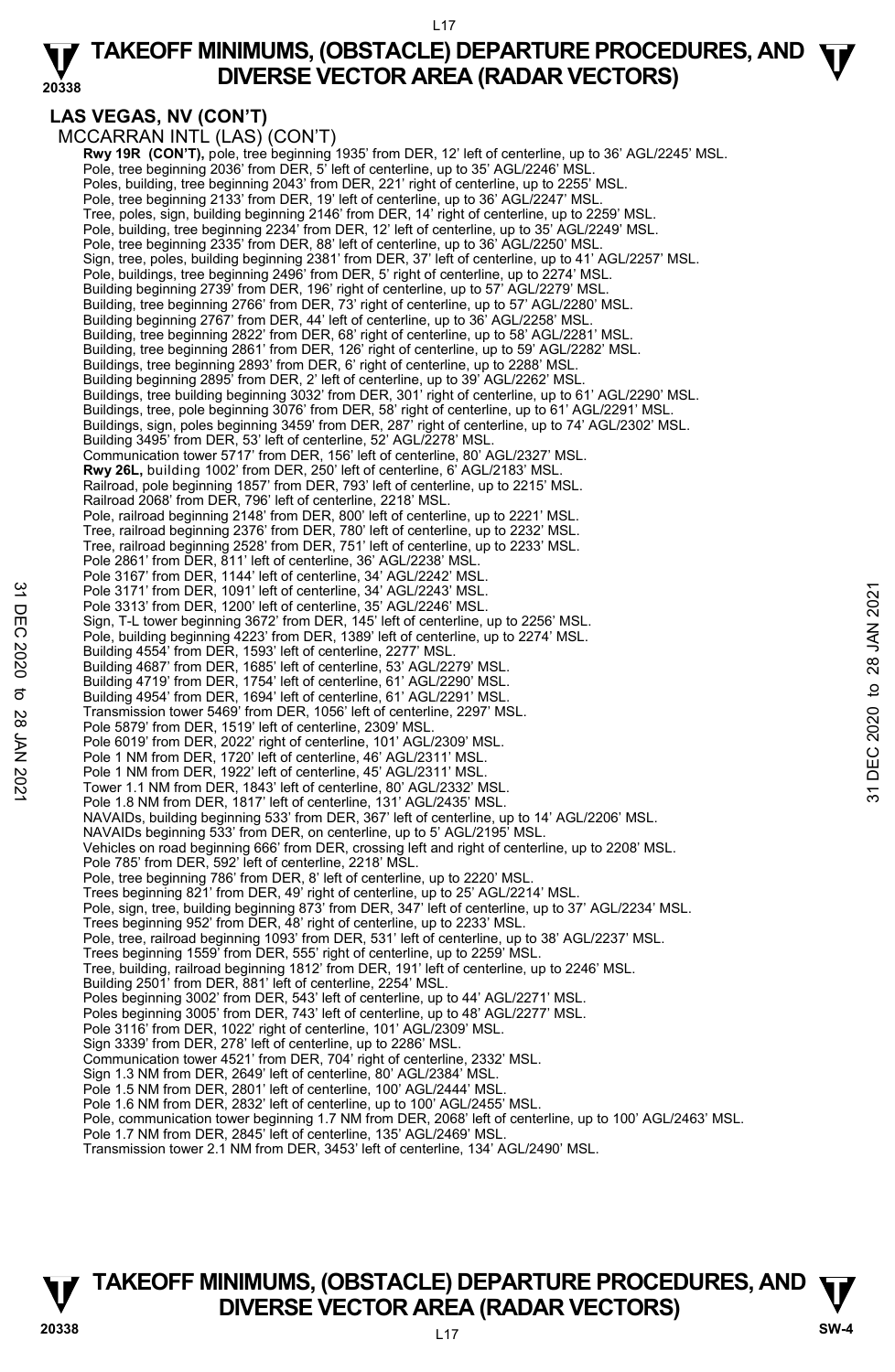### L17

### **20338 TAKEOFF MINIMUMS, (OBSTACLE) DEPARTURE PROCEDURES, AND**  $\Psi$ **DIVERSE VECTOR AREA (RADAR VECTORS)**

## **LAS VEGAS, NV (CON'T)**

MCCARRAN INTL (LAS) (CON'T) **Rwy 19R (CON'T),** pole, tree beginning 1935' from DER, 12' left of centerline, up to 36' AGL/2245' MSL.<br>Pole, tree beginning 2036' from DER, 5' left of centerline, up to 35' AGL/2246' MSL. Poles, building, tree beginning 2043' from DER, 221' right of centerline, up to 2255' MSL. Pole, tree beginning 2133' from DER, 19' left of centerline, up to 36' AGL/2247' MSL Tree, poles, sign, building beginning 2146' from DER, 14' right of centerline, up to 2259' MSL. Pole, building, tree beginning 2234' from DER, 12' left of centerline, up to 35' AGL/2249' MSL. Pole, tree beginning 2335' from DER, 88' left of centerline, up to 36' AGL/2250' MSL. Sign, tree, poles, building beginning 2381' from DER, 37' left of centerline, up to 41' AGL/2257' MSL.<br>Pole, buildings, tree beginning 2496' from DER, 5' right of centerline, up to 2274' MSL. Building beginning 2739' from DER, 196' right of centerline, up to 57' AGL/2279' MSL. Building, tree beginning 2766' from DER, 73' right of centerline, up to 57' AGL/2280' MSL.<br>Building beginning 2767' from DER, 44' left of centerline, up to 36' AGL/2258' MSL. Building, tree beginning 2822' from DER, 68' right of centerline, up to 58' AGL/2281' MSL. Building, tree beginning 2861' from DER, 126' right of centerline, up to 59' AGL/2282' MSL. Buildings, tree beginning 2893' from DER, 6' right of centerline, up to 2288' MSL. Building beginning 2895' from DER, 2' left of centerline, up to 39' AGL/2262' MSL. Buildings, tree building beginning 3032' from DER, 301' right of centerline, up to 61' AGL/2290' MSL. Buildings, tree, pole beginning 3076' from DER, 58' right of centerline, up to 61' AGL/2291' MSL. Buildings, sign, poles beginning 3459' from DER, 287' right of centerline, up to 74' AGL/2302' MSL. Building 3495' from DER, 53' left of centerline, 52' AGL/2278' MSL. Communication tower 5717' from DER, 156' left of centerline, 80' AGL/2327' MSL. **Rwy 26L,** building 1002' from DER, 250' left of centerline, 6' AGL/2183' MSL. Railroad, pole beginning 1857' from DER, 793' left of centerline, up to 2215' MSL. Railroad 2068' from DER, 796' left of centerline, 2218' MSL. Pole, railroad beginning 2148' from DER, 800' left of centerline, up to 2221' MSL. Tree, railroad beginning 2376' from DER, 780' left of centerline, up to 2232' MSL. Tree, railroad beginning 2528' from DER, 751' left of centerline, up to 2233' MSL. Pole 2861' from DER, 811' left of centerline, 36' AGL/2238' MSL Pole 3167' from DER, 1144' left of centerline, 34' AGL/2242' MSL. Pole 3171' from DER, 1091' left of centerline, 34' AGL/2243' MSL. Pole 3313' from DER, 1200' left of centerline, 35' AGL/2246' MSL. Sign, T-L tower beginning 3672' from DER, 145' left of centerline, up to 2256' MSL. Pole, building beginning 4223' from DER, 1389' left of centerline, up to 2274' MSL. Building 4554' from DER, 1593' left of centerline, 2277' MSL. Building 4687' from DER, 1685' left of centerline, 53' AGL/2279' MSL. Building 4719' from DER, 1754' left of centerline, 61' AGL/2290' MSL. Building 4954' from DER, 1694' left of centerline, 61' AGL/2291' MSL. Transmission tower 5469' from DER, 1056' left of centerline, 2297' MSL. Pole 5879' from DER, 1519' left of centerline, 2309' MSL. Pole 6019' from DER, 2022' right of centerline, 101' AGL/2309' MSL. Pole 1 NM from DER, 1720' left of centerline, 46' AGL/2311' MSL. Pole 1 NM from DER, 1922' left of centerline, 45' AGL/2311' MSL. Tower 1.1 NM from DER, 1843' left of centerline, 80' AGL/2332' MSL. Pole 1.8 NM from DER, 1817' left of centerline, 131' AGL/2435' MSL. NAVAIDs, building beginning 533' from DER, 367' left of centerline, up to 14' AGL/2206' MSL. NAVAIDs beginning 533' from DER, on centerline, up to 5' AGL/2195' MSL. Vehicles on road beginning 666' from DER, crossing left and right of centerline, up to 2208' MSL. Pole 785' from DER, 592' left of centerline, 2218' MSL. Pole, tree beginning 786' from DER, 8' left of centerline, up to 2220' MSL. Trees beginning 821' from DER, 49' right of centerline, up to 25' AGL/2214' MSL. Pole, sign, tree, building beginning 873' from DER, 347' left of centerline, up to 37' AGL/2234' MSL. Trees beginning 952' from DER, 48' right of centerline, up to 2233' MSL. Pole, tree, railroad beginning 1093' from DER, 531' left of centerline, up to 38' AGL/2237' MSL. Trees beginning 1559' from DER, 555' right of centerline, up to 2259' MSL. Tree, building, railroad beginning 1812' from DER, 191' left of centerline, up to 2246' MSL. Building 2501' from DER, 881' left of centerline, 2254' MSL. Poles beginning 3002' from DER, 543' left of centerline, up to 44' AGL/2271' MSL. Poles beginning 3005' from DER, 743' left of centerline, up to 48' AGL/2277' MSL. Pole 3116' from DER, 1022' right of centerline, 101' AGL/2309' MSL. Sign 3339' from DER, 278' left of centerline, up to 2286' MSL. Communication tower 4521' from DER, 704' right of centerline, 2332' MSL. Sign 1.3 NM from DER, 2649' left of centerline, 80' AGL/2384' MSL. Pole 1.5 NM from DER, 2801' left of centerline, 100' AGL/2444' MSL. Pole 1.6 NM from DER, 2832' left of centerline, up to 100' AGL/2455' MSL. Pole, communication tower beginning 1.7 NM from DER, 2068' left of centerline, up to 100' AGL/2463' MSL. Pole 1.7 NM from DER, 2845' left of centerline, 135' AGL/2469' MSL. Transmission tower 2.1 NM from DER, 3453' left of centerline, 134' AGL/2490' MSL. Pole 3171' from DER, 1091' left of centerline, 34' AGL/2243' MSL.<br>
Pole 3313' from DER, 1200' left of centerline, 35' AGL/2243' MSL.<br>
Sign, T-L tower beginning 3672' from DER, 145' left of centerline, up to 2256' MSL.<br>
Po

# **TAKEOFF MINIMUMS, (OBSTACLE) DEPARTURE PROCEDURES, AND**  $\Psi$ **<br>DIVERSE VECTOR AREA (RADAR VECTORS) DIVERSE VECTOR AREA (RADAR VECTORS) 20338 SW-4**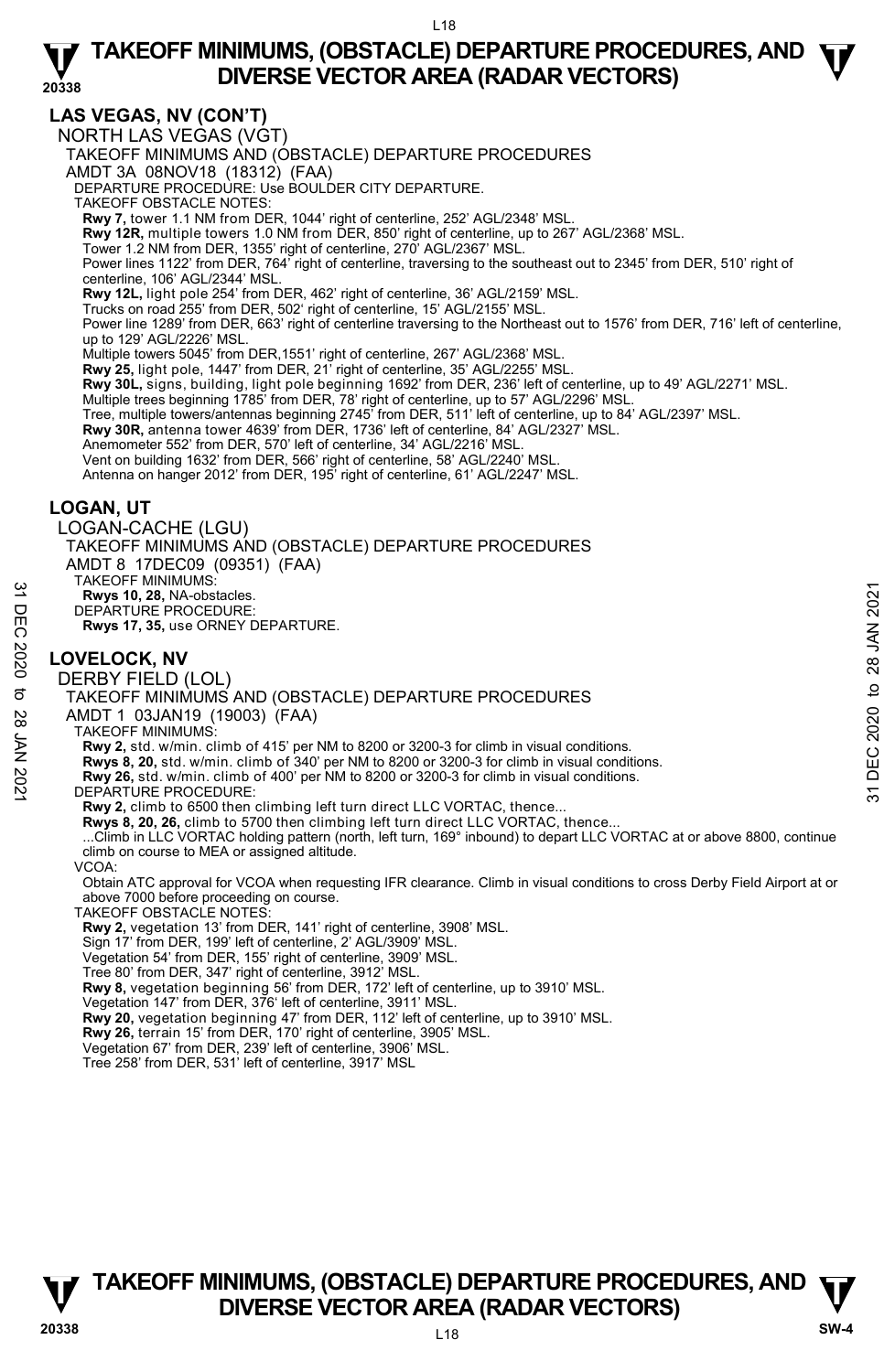# **LAS VEGAS, NV (CON'T)**

NORTH LAS VEGAS (VGT) TAKEOFF MINIMUMS AND (OBSTACLE) DEPARTURE PROCEDURES AMDT 3A 08NOV18 (18312) (FAA) DEPARTURE PROCEDURE: Use BOULDER CITY DEPARTURE. TAKEOFF OBSTACLE NOTES: **Rwy 7,** tower 1.1 NM from DER, 1044' right of centerline, 252' AGL/2348' MSL. **Rwy 12R,** multiple towers 1.0 NM from DER, 850' right of centerline, up to 267' AGL/2368' MSL.<br>Tower 1.2 NM from DER, 1355' right of centerline, 270' AGL/2367' MSL. Power lines 1122' from DER, 764' right of centerline, traversing to the southeast out to 2345' from DER, 510' right of centerline, 106' AGL/2344' MSL. **Rwy 12L,** light pole 254' from DER, 462' right of centerline, 36' AGL/2159' MSL. Trucks on road 255' from DER, 502' right of centerline, 15' AGL/2155' MSL. Power line 1289' from DER, 663' right of centerline traversing to the Northeast out to 1576' from DER, 716' left of centerline, up to 129' AGL/2226' MSL.<br>Multiple towers 5045' from DER,1551' right of centerline, 267' AGL/2368' MSL. **Rwy 25,** light pole, 1447' from DER, 21' right of centerline, 35' AGL/2255' MSL. **Rwy 30L,** signs, building, light pole beginning 1692' from DER, 236' left of centerline, up to 49' AGL/2271' MSL. Multiple trees beginning 1785' from DER, 78' right of centerline, up to 57' AGL/2296' MSL. Tree, multiple towers/antennas beginning 2745' from DER, 511' left of centerline, up to 84' AGL/2397' MSL. **Rwy 30R,** antenna tower 4639' from DER, 1736' left of centerline, 84' AGL/2327' MSL. Anemometer 552' from DER, 570' left of centerline, 34' AGL/2216' MSL. Vent on building 1632' from DER, 566' right of centerline, 58' AGL/2240' MSL. Antenna on hanger 2012' from DER, 195' right of centerline, 61' AGL/2247' MSL. **LOGAN, UT**  LOGAN-CACHE (LGU) TAKEOFF MINIMUMS AND (OBSTACLE) DEPARTURE PROCEDURES AMDT 8 17DEC09 (09351) (FAA) TAKEOFF MINIMUMS: **Rwys 10, 28,** NA-obstacles. DEPARTURE PROCEDURE: **Rwys 17, 35,** use ORNEY DEPARTURE. **LOVELOCK, NV**  DERBY FIELD (LOL) TAKEOFF MINIMUMS AND (OBSTACLE) DEPARTURE PROCEDURES AMDT 1 03JAN19 (19003) (FAA) TAKEOFF MINIMUMS: **Rwy 2,** std. w/min. climb of 415' per NM to 8200 or 3200-3 for climb in visual conditions. **Rwys 8, 20,** std. w/min. climb of 340' per NM to 8200 or 3200-3 for climb in visual conditions. **Rwy 26,** std. w/min. climb of 400' per NM to 8200 or 3200-3 for climb in visual conditions. DEPARTURE PROCEDURE: Rwy 2, climb to 6500 then climbing left turn direct LLC VORTAC, thence **Rwys 8, 20, 26,** climb to 5700 then climbing left turn direct LLC VORTAC, thence... ...Climb in LLC VORTAC holding pattern (north, left turn, 169° inbound) to depart LLC VORTAC at or above 8800, continue climb on course to MEA or assigned altitude. VCOA: Obtain ATC approval for VCOA when requesting IFR clearance. Climb in visual conditions to cross Derby Field Airport at or above 7000 before proceeding on course. TAKEOFF OBSTACLE NOTES: **Rwy 2,** vegetation 13' from DER, 141' right of centerline, 3908' MSL. Sign 17' from DER, 199' left of centerline, 2' AGL/3909' MSL. Vegetation 54' from DER, 155' right of centerline, 3909' MSL. Tree 80' from DER, 347' right of centerline, 3912' MSL. **Rwy 8,** vegetation beginning 56' from DER, 172' left of centerline, up to 3910' MSL. Vegetation 147' from DER, 376' left of centerline, 3911' MSL. **EXECUT MINIMUMS**<br> **EXECUTED CONSIDERED AND CONSIDERED AND CONSIDERED ASSAULT OF THE PROCEDURE.**<br> **S1 DOVELOCK, NV**<br>
DERBY FIELD (LOL)<br> **S1 DOVELOCK, NV**<br>
DERBY FIELD (LOL)<br> **S1 TAKEOFF MINIMUMS** AND (OBSTACLE) DEPARTURE

**Rwy 20,** vegetation beginning 47' from DER, 112' left of centerline, up to 3910' MSL.<br>**Rwy 26,** terrain 15' from DER, 170' right of centerline, 3905' MSL.

Vegetation 67' from DER, 239' left of centerline, 3906' MSL.

Tree 258' from DER, 531' left of centerline, 3917' MSL

# L18 **TAKEOFF MINIMUMS, (OBSTACLE) DEPARTURE PROCEDURES, AND**  $\Psi$ **<br>DIVERSE VECTOR AREA (RADAR VECTORS) V** DIVERSE VECTOR AREA (RADAR VECTORS) W SW-4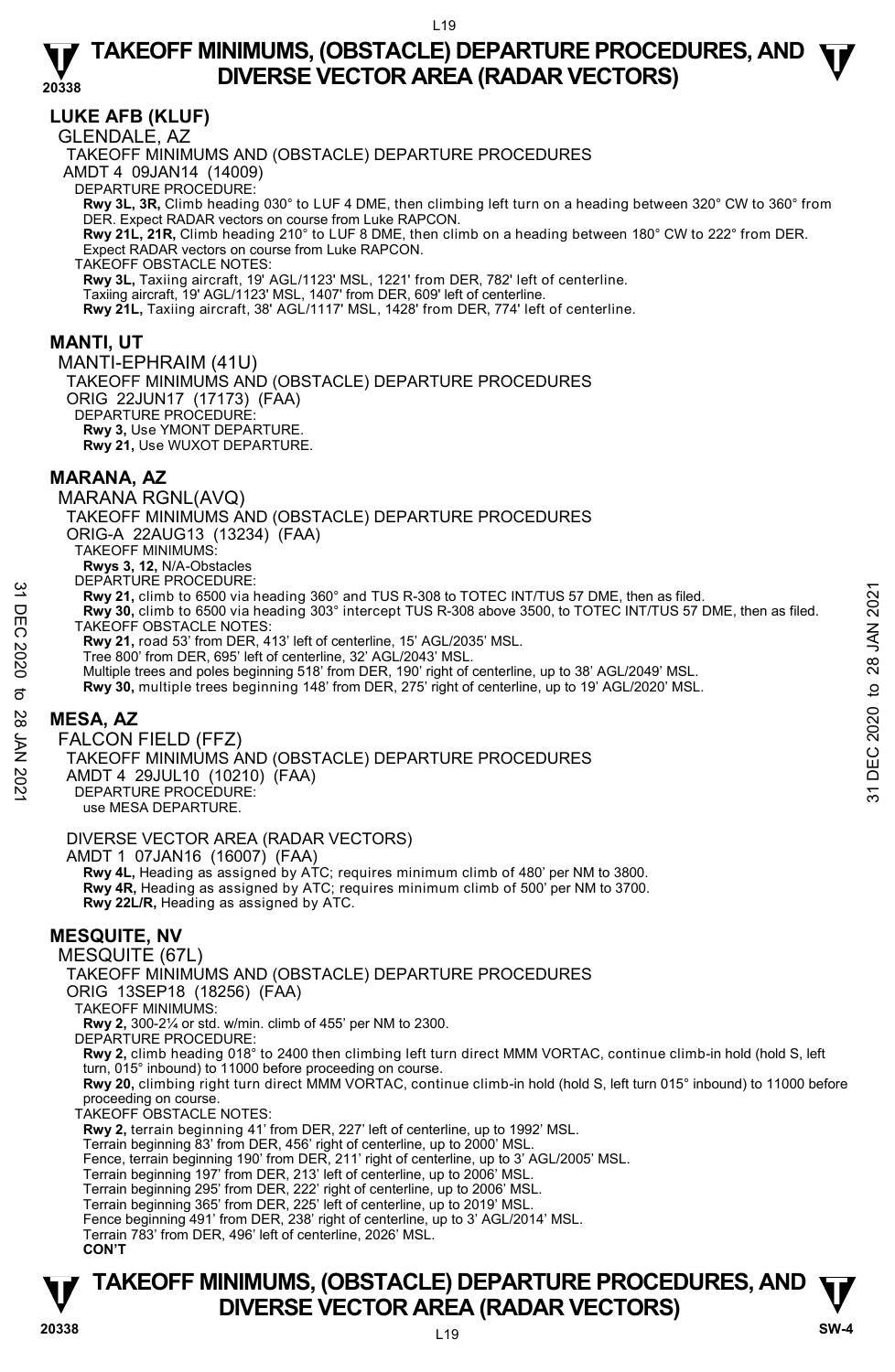# **LUKE AFB (KLUF)**

GLENDALE, AZ

TAKEOFF MINIMUMS AND (OBSTACLE) DEPARTURE PROCEDURES AMDT 4 09JAN14 (14009) DEPARTURE PROCEDURE: **Rwy 3L, 3R,** Climb heading 030° to LUF 4 DME, then climbing left turn on a heading between 320° CW to 360° from DER. Expect RADAR vectors on course from Luke RAPCON. **Rwy 21L, 21R,** Climb heading 210° to LUF 8 DME, then climb on a heading between 180° CW to 222° from DER. Expect RADAR vectors on course from Luke RAPCON. TAKEOFF OBSTACLE NOTES: **Rwy 3L,** Taxiing aircraft, 19' AGL/1123' MSL, 1221' from DER, 782' left of centerline. Taxiing aircraft, 19' AGL/1123' MSL, 1407' from DER, 609' left of centerline. **Rwy 21L,** Taxiing aircraft, 38' AGL/1117' MSL, 1428' from DER, 774' left of centerline. **MANTI, UT**  MANTI-EPHRAIM (41U)

TAKEOFF MINIMUMS AND (OBSTACLE) DEPARTURE PROCEDURES ORIG 22JUN17 (17173) (FAA) DEPARTURE PROCEDURE **Rwy 3,** Use YMONT DEPARTURE. **Rwy 21,** Use WUXOT DEPARTURE.

# **MARANA, AZ**

MARANA RGNL(AVQ) TAKEOFF MINIMUMS AND (OBSTACLE) DEPARTURE PROCEDURES ORIG-A 22AUG13 (13234) (FAA) TAKEOFF MINIMUMS: **Rwys 3, 12,** N/A-Obstacles DEPARTURE PROCEDURE: **Rwy 21,** climb to 6500 via heading 360° and TUS R-308 to TOTEC INT/TUS 57 DME, then as filed. **y 30,** climb to 6500 via heading 303° intercept TUS R-308 above 3500, to TOTEC INT/TUS 57 DME, then as filed. TAKEOFF OBSTACLE NOTES: **Rwy 21,** road 53' from DER, 413' left of centerline, 15' AGL/2035' MSL. Tree 800' from DER, 695' left of centerline, 32' AGL/2043' MSL. Multiple trees and poles beginning 518' from DER, 190' right of centerline, up to 38' AGL/2049' MSL. **Rwy 30,** multiple trees beginning 148' from DER, 275' right of centerline, up to 19' AGL/2020' MSL. Exercise and policial and TUS R-308 to TOTEC INT/TUS 57 DME, then as filed.<br>
The Rwy 30, climb to 6500 via heading 303° intercept TUS R-308 above 3500, to TOTEC INT/TUS 57 DME, then as filed.<br>
TAKEOFF OBSTACLE NOTES.<br>
THE

# **MESA, AZ**

FALCON FIELD (FFZ) TAKEOFF MINIMUMS AND (OBSTACLE) DEPARTURE PROCEDURES AMDT 4 29JUL10 (10210) (FAA)

DEPARTURE PROCEDURE:

use MESA DEPARTURE.

DIVERSE VECTOR AREA (RADAR VECTORS) AMDT 1 07JAN16 (16007) (FAA)  **Rwy 4L,** Heading as assigned by ATC; requires minimum climb of 480' per NM to 3800. **Rwy 4R,** Heading as assigned by ATC; requires minimum climb of 500' per NM to 3700. **Rwy 22L/R,** Heading as assigned by ATC.

# **MESQUITE, NV**

MESQUITE (67L)

TAKEOFF MINIMUMS AND (OBSTACLE) DEPARTURE PROCEDURES

ORIG 13SEP18 (18256) (FAA)

TAKEOFF MINIMUMS:

**Rwy 2,** 300-2¼ or std. w/min. climb of 455' per NM to 2300.

DEPARTURE PROCEDURE:

**Rwy 2,** climb heading 018° to 2400 then climbing left turn direct MMM VORTAC, continue climb-in hold (hold S, left turn, 015° inbound) to 11000 before proceeding on course.

**Rwy 20,** climbing right turn direct MMM VORTAC, continue climb-in hold (hold S, left turn 015° inbound) to 11000 before proceeding on course.

TAKEOFF OBSTACLE NOTES:

**Rwy 2,** terrain beginning 41' from DER, 227' left of centerline, up to 1992' MSL.

Terrain beginning 83' from DER, 456' right of centerline, up to 2000' MSL.

Fence, terrain beginning 190' from DER, 211' right of centerline, up to 3' AGL/2005' MSL.

Terrain beginning 197' from DER, 213' left of centerline, up to 2006' MSL.

Terrain beginning 295' from DER, 222' right of centerline, up to 2006' MSL.<br>Terrain beginning 365' from DER, 225' left of centerline, up to 2019' MSL.

Fence beginning 491' from DER, 238' right of centerline, up to 3' AGL/2014' MSL.

Terrain 783' from DER, 496' left of centerline, 2026' MSL.

**CON'T**

# **TAKEOFF MINIMUMS, (OBSTACLE) DEPARTURE PROCEDURES, AND**  $\Psi$ **<br>DIVERSE VECTOR AREA (RADAR VECTORS) V**<br>
20338 DIVERSE VECTOR AREA (RADAR VECTORS) **W**<br>
20338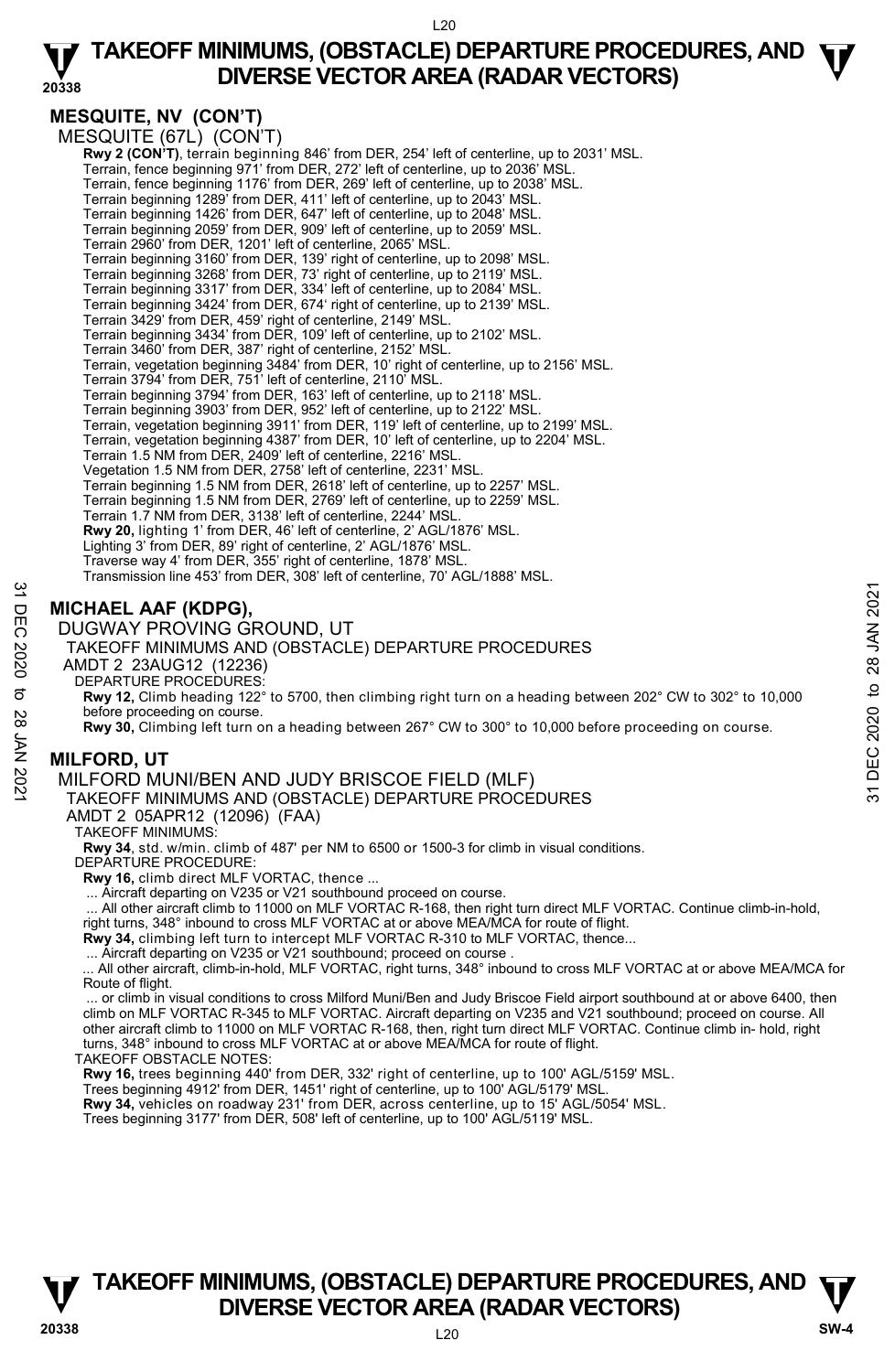**20338** 

# **MESQUITE, NV (CON'T)**

MESQUITE (67L) (CON'T)

**Rwy 2 (CON'T)**, terrain beginning 846' from DER, 254' left of centerline, up to 2031' MSL.<br>Terrain, fence beginning 971' from DER, 272' left of centerline, up to 2036' MSL. Terrain, fence beginning 1176' from DER, 269' left of centerline, up to 2038' MSL. Terrain beginning 1289' from DER, 411' left of centerline, up to 2043' MSL. Terrain beginning 1426' from DER, 647' left of centerline, up to 2048' MSL. Terrain beginning 2059' from DER, 909' left of centerline, up to 2059' MSL. Terrain 2960' from DER, 1201' left of centerline, 2065' MSL. Terrain beginning 3160' from DER, 139' right of centerline, up to 2098' MSL. Terrain beginning 3268' from DER, 73' right of centerline, up to 2119' MSL. Terrain beginning 3317' from DER, 334' left of centerline, up to 2084' MSL. Terrain beginning 3424' from DER, 674' right of centerline, up to 2139' MSL. Terrain 3429' from DER, 459' right of centerline, 2149' MSL. Terrain beginning 3434' from DER, 109' left of centerline, up to 2102' MSL. Terrain 3460' from DER, 387' right of centerline, 2152' MSL. Terrain, vegetation beginning 3484' from DER, 10' right of centerline, up to 2156' MSL. Terrain 3794' from DER, 751' left of centerline, 2110' MSL. Terrain beginning 3794' from DER, 163' left of centerline, up to 2118' MSL. Terrain beginning 3903' from DER, 952' left of centerline, up to 2122' MSL. Terrain, vegetation beginning 3911' from DER, 119' left of centerline, up to 2199' MSL. Terrain, vegetation beginning 4387' from DER, 10' left of centerline, up to 2204' MSL. Terrain 1.5 NM from DER, 2409' left of centerline, 2216' MSL. Vegetation 1.5 NM from DER, 2758' left of centerline, 2231' MSL. Terrain beginning 1.5 NM from DER, 2618' left of centerline, up to 2257' MSL. Terrain beginning 1.5 NM from DER, 2769' left of centerline, up to 2259' MSL. Terrain 1.7 NM from DER, 3138' left of centerline, 2244' MSL. **Rwy 20,** lighting 1' from DER, 46' left of centerline, 2' AGL/1876' MSL. Lighting 3' from DER, 89' right of centerline, 2' AGL/1876' MSL. Traverse way 4' from DER, 355' right of centerline, 1878' MSL. Transmission line 453' from DER, 308' left of centerline, 70' AGL/1888' MSL.

# **MICHAEL AAF (KDPG),**

DUGWAY PROVING GROUND, UT

TAKEOFF MINIMUMS AND (OBSTACLE) DEPARTURE PROCEDURES

AMDT 2 23AUG12 (12236)

DEPARTURE PROCEDURES:

**Rwy 12,** Climb heading 122° to 5700, then climbing right turn on a heading between 202° CW to 302° to 10,000 before proceeding on course. **31 DIGHAEL AAF (KDPG),**<br>
TO DUGWAY PROVING GROUND, UT<br>
TAKEOFF MINIMUMS AND (OBSTACLE) DEPARTURE PROCEDURES<br>
AMDT 2 23AUG12 (12236)<br>
AMDT 2 23AUG12 (12236)<br>
DEPARTURE PROCEDURES:<br>
Revy 12, Climb heading 122<sup>2</sup> to 5700, t

**Rwy 30,** Climbing left turn on a heading between 267° CW to 300° to 10,000 before proceeding on course.

# **MILFORD, UT**

MILFORD MUNI/BEN AND JUDY BRISCOE FIELD (MLF)

TAKEOFF MINIMUMS AND (OBSTACLE) DEPARTURE PROCEDURES

AMDT 2 05APR12 (12096) (FAA)

TAKEOFF MINIMUMS:

**Rwy 34**, std. w/min. climb of 487' per NM to 6500 or 1500-3 for climb in visual conditions.

DEPARTURE PROCEDURE:

**Rwy 16,** climb direct MLF VORTAC, thence ...

... Aircraft departing on V235 or V21 southbound proceed on course.

... All other aircraft climb to 11000 on MLF VORTAC R-168, then right turn direct MLF VORTAC. Continue climb-in-hold,

right turns, 348° inbound to cross MLF VORTAC at or above MEA/MCA for route of flight. **Rwy 34,** climbing left turn to intercept MLF VORTAC R-310 to MLF VORTAC, thence...

... Aircraft departing on V235 or V21 southbound; proceed on course .

 ... All other aircraft, climb-in-hold, MLF VORTAC, right turns, 348° inbound to cross MLF VORTAC at or above MEA/MCA for Route of flight.

 ... or climb in visual conditions to cross Milford Muni/Ben and Judy Briscoe Field airport southbound at or above 6400, then climb on MLF VORTAC R-345 to MLF VORTAC. Aircraft departing on V235 and V21 southbound; proceed on course. All other aircraft climb to 11000 on MLF VORTAC R-168, then, right turn direct MLF VORTAC. Continue climb in- hold, right turns, 348° inbound to cross MLF VORTAC at or above MEA/MCA for route of flight.

TAKEOFF OBSTACLE NOTES:

**Rwy 16,** trees beginning 440' from DER, 332' right of centerline, up to 100' AGL/5159' MSL.

Trees beginning 4912' from DER, 1451' right of centerline, up to 100' AGL/5179' MSL.

**Rwy 34,** vehicles on roadway 231' from DER, across centerline, up to 15' AGL/5054' MSL.

Trees beginning 3177' from DER, 508' left of centerline, up to 100' AGL/5119' MSL.

# **TAKEOFF MINIMUMS, (OBSTACLE) DEPARTURE PROCEDURES, AND**  $\Psi$ **<br>DIVERSE VECTOR AREA (RADAR VECTORS) V** DIVERSE VECTOR AREA (RADAR VECTORS) W SW-4 **SW-4**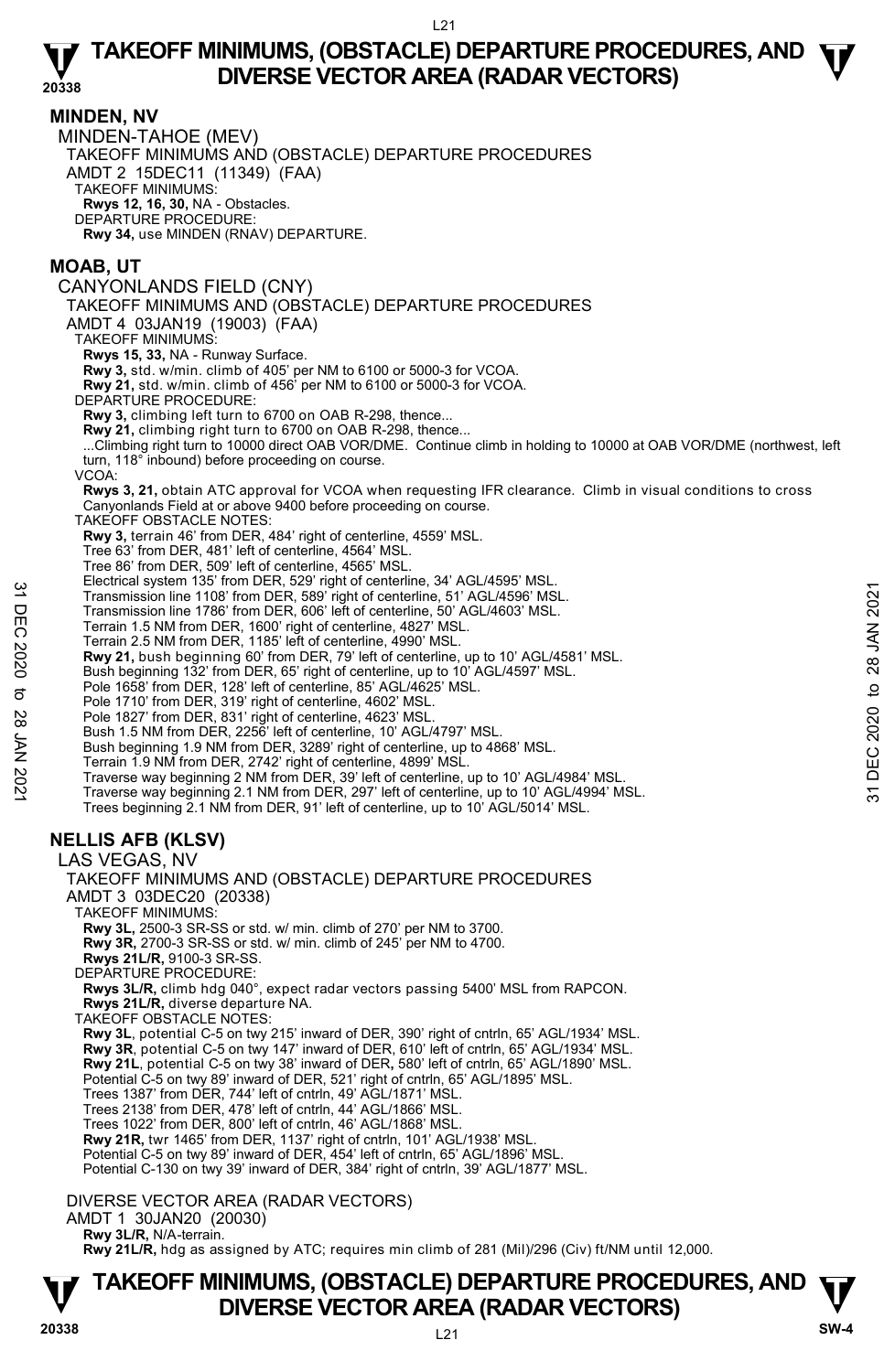**MINDEN, NV**  MINDEN-TAHOE (MEV) TAKEOFF MINIMUMS AND (OBSTACLE) DEPARTURE PROCEDURES AMDT 2 15DEC11 (11349) (FAA) TAKEOFF MINIMUMS: **Rwys 12, 16, 30,** NA - Obstacles. DEPARTURE PROCEDURE: **Rwy 34,** use MINDEN (RNAV) DEPARTURE.

### **MOAB, UT**

CANYONLANDS FIELD (CNY) TAKEOFF MINIMUMS AND (OBSTACLE) DEPARTURE PROCEDURES AMDT 4 03JAN19 (19003) (FAA) TAKEOFF MINIMUMS: **Rwys 15, 33,** NA - Runway Surface. **Rwy 3,** std. w/min. climb of 405' per NM to 6100 or 5000-3 for VCOA. **Rwy 21,** std. w/min. climb of 456' per NM to 6100 or 5000-3 for VCOA. DEPARTURE PROCEDURE: **Rwy 3,** climbing left turn to 6700 on OAB R-298, thence... **Rwy 21,** climbing right turn to 6700 on OAB R-298, thence... ...Climbing right turn to 10000 direct OAB VOR/DME. Continue climb in holding to 10000 at OAB VOR/DME (northwest, left turn, 118° inbound) before proceeding on course. VCOA: **Rwys 3, 21,** obtain ATC approval for VCOA when requesting IFR clearance. Climb in visual conditions to cross Canyonlands Field at or above 9400 before proceeding on course.

TAKEOFF OBSTACLE NOTES:

**Rwy 3,** terrain 46' from DER, 484' right of centerline, 4559' MSL.

Tree 63' from DER, 481' left of centerline, 4564' MSL.

Tree 86' from DER, 509' left of centerline, 4565' MSL.

Electrical system 135' from DER, 529' right of centerline, 34' AGL/4595' MSL.

Transmission line 1108' from DER, 589' right of centerline, 51' AGL/4596' MSL.

Transmission line 1786' from DER, 606' left of centerline, 50' AGL/4603' MSL. Terrain 1.5 NM from DER, 1600' right of centerline, 4827' MSL.

- Terrain 2.5 NM from DER, 1185' left of centerline, 4990' MSL.
- 

**Rwy 21,** bush beginning 60' from DER, 79' left of centerline, up to 10' AGL/4581' MSL.

Bush beginning 132' from DER, 65' right of centerline, up to 10' AGL/4597' MSL.

Pole 1658' from DER, 128' left of centerline, 85' AGL/4625' MSL. Pole 1710' from DER, 319' right of centerline, 4602' MSL.

Pole 1827' from DER, 831' right of centerline, 4623' MSL. Bush 1.5 NM from DER, 2256' left of centerline, 10' AGL/4797' MSL.

Bush beginning 1.9 NM from DER, 3289' right of centerline, up to 4868' MSL.

Terrain 1.9 NM from DER, 2742' right of centerline, 4899' MSL.

22 Decolutal system 1000 i Direct, 322 sight of centerline, 51' AGU-4986' MSL.<br>
Transmission line 1786' from DER, 589' right of centerline, 51' AGU-4603' MSL.<br>
Terrain 1.5 NM from DER, 180' right of centerline, 4990' MSL.

Traverse way beginning 2 NM from DER, 39' left of centerline, up to 10' AGL/4984' MSL. Traverse way beginning 2.1 NM from DER, 297' left of centerline, up to 10' AGL/4994' MSL.

Trees beginning 2.1 NM from DER, 91' left of centerline, up to 10' AGL/5014' MSL.

# **NELLIS AFB (KLSV)**

LAS VEGAS, NV TAKEOFF MINIMUMS AND (OBSTACLE) DEPARTURE PROCEDURES AMDT 3 03DEC20 (20338) TAKEOFF MINIMUMS: **Rwy 3L,** 2500-3 SR-SS or std. w/ min. climb of 270' per NM to 3700. **Rwy 3R,** 2700-3 SR-SS or std. w/ min. climb of 245' per NM to 4700. **Rwys 21L/R,** 9100-3 SR-SS. DEPARTURE PROCEDURE **Rwys 3L/R,** climb hdg 040°, expect radar vectors passing 5400' MSL from RAPCON. **Rwys 21L/R,** diverse departure NA. TAKEOFF OBSTACLE NOTES: **Rwy 3L**, potential C-5 on twy 215' inward of DER, 390' right of cntrln, 65' AGL/1934' MSL. **Rwy 3R**, potential C-5 on twy 147' inward of DER, 610' left of cntrln, 65' AGL/1934' MSL. **Rwy 21L**, potential C-5 on twy 38' inward of DER**,** 580' left of cntrln, 65' AGL/1890' MSL. Potential C-5 on twy 89' inward of DER, 521' right of cntrln, 65' AGL/1895' MSL. Trees 1387' from DER, 744' left of cntrln, 49' AGL/1871' MSL. Trees 2138' from DER, 478' left of cntrln, 44' AGL/1866' MSL. Trees 1022' from DER, 800' left of cntrln, 46' AGL/1868' MSL. **Rwy 21R,** twr 1465' from DER, 1137' right of cntrln, 101' AGL/1938' MSL. Potential C-5 on twy 89' inward of DER, 454' left of cntrln, 65' AGL/1896' MSL. Potential C-130 on twy 39' inward of DER, 384' right of cntrln, 39' AGL/1877' MSL.

DIVERSE VECTOR AREA (RADAR VECTORS)

AMDT 1 30JAN20 (20030)

 **Rwy 3L/R,** N/A-terrain.

**Rwy 21L/R,** hdg as assigned by ATC; requires min climb of 281 (Mil)/296 (Civ) ft/NM until 12,000.

# **TAKEOFF MINIMUMS, (OBSTACLE) DEPARTURE PROCEDURES, AND**  $\Psi$ **<br>DIVERSE VECTOR AREA (RADAR VECTORS) DIVERSE VECTOR AREA (RADAR VECTORS) 20338 SW-4**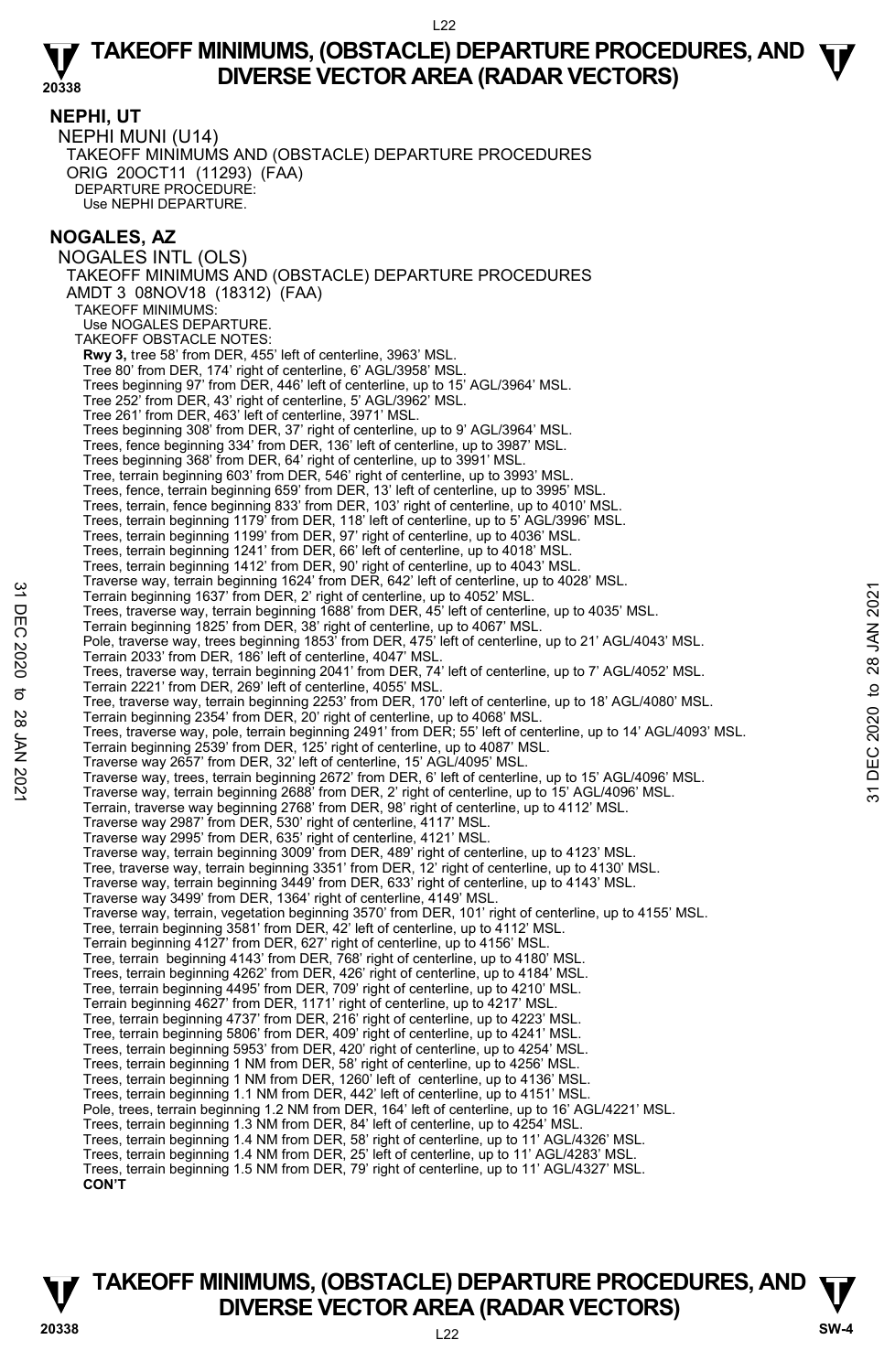**NEPHI, UT**  NEPHI MUNI (U14) TAKEOFF MINIMUMS AND (OBSTACLE) DEPARTURE PROCEDURES ORIG 20OCT11 (11293) (FAA) DEPARTURE PROCEDURE: Use NEPHI DEPARTURE.

## **NOGALES, AZ**

NOGALES INTL (OLS) TAKEOFF MINIMUMS AND (OBSTACLE) DEPARTURE PROCEDURES AMDT 3 08NOV18 (18312) (FAA) TAKEOFF MINIMUMS: Use NOGALES DEPARTURE. TAKEOFE OBSTACLE NOTES: **Rwy 3,** tree 58' from DER, 455' left of centerline, 3963' MSL. Tree 80' from DER, 174' right of centerline, 6' AGL/3958' MSL. Trees beginning 97' from DER, 446' left of centerline, up to 15' AGL/3964' MSL. Tree 252' from DER, 43' right of centerline, 5' AGL/3962' MSL. Tree 261' from DER, 463' left of centerline, 3971' MSL. Trees beginning 308' from DER, 37' right of centerline, up to 9' AGL/3964' MSL. Trees, fence beginning 334' from DER, 136' left of centerline, up to 3987' MSL. Trees beginning 368' from DER, 64' right of centerline, up to 3991' MSL. Tree, terrain beginning 603' from DER, 546' right of centerline, up to 3993' MSL. Trees, fence, terrain beginning 659' from DER, 13' left of centerline, up to 3995' MSL. Trees, terrain, fence beginning 833' from DER, 103' right of centerline, up to 4010' MSL. Trees, terrain beginning 1179' from DER, 118' left of centerline, up to 5' AGL/3996' MSL. Trees, terrain beginning 1199' from DER, 97' right of centerline, up to 4036' MSL. Trees, terrain beginning 1241' from DER, 66' left of centerline, up to 4018' MSL. Trees, terrain beginning 1412' from DER, 90' right of centerline, up to 4043' MSL. Traverse way, terrain beginning 1624' from DER, 642' left of centerline, up to 4028' MSL. Terrain beginning 1637' from DER, 2' right of centerline, up to 4052' MSL. Trees, traverse way, terrain beginning 1688' from DER, 45' left of centerline, up to 4035' MSL. Terrain beginning 1825' from DER, 38' right of centerline, up to 4067' MSL. Pole, traverse way, trees beginning 1853 from DER, 475' left of centerline, up to 21' AGL/4043' MSL. Terrain 2033' from DER, 186' left of centerline, 4047' MSL. Trees, traverse way, terrain beginning 2041' from DER, 74' left of centerline, up to 7' AGL/4052' MSL. Terrain 2221' from DER, 269' left of centerline, 4055' MSL. Tree, traverse way, terrain beginning 2253' from DER, 170' left of centerline, up to 18' AGL/4080' MSL. Terrain beginning 2354' from DER, 20' right of centerline, up to 4068' MSL. Trees, traverse way, pole, terrain beginning 2491' from DER; 55' left of centerline, up to 14' AGL/4093' MSL. Terrain beginning 2539' from DER, 125' right of centerline, up to 4087' MSL. Traverse way 2657' from DER, 32' left of centerline, 15' AGL/4095' MSL. Terrain beginning 1837 from DER, 2 right of centerline, up to 4052' MSL.<br>
Terrain beginning 1837 from DER, 2 right of centerline, up to 4052' MSL.<br>
Trees, traverse way, terrain beginning 1888' from DER, 45' left of center Terrain, traverse way beginning 2768' from DER, 98' right of centerline, up to 4112' MSL. Traverse way 2987' from DER, 530' right of centerline, 4117' MSL. Traverse way 2995' from DER, 635' right of centerline, 4121' MSL. Traverse way, terrain beginning 3009' from DER, 489' right of centerline, up to 4123' MSL. Tree, traverse way, terrain beginning 3351' from DER, 12' right of centerline, up to 4130' MSL. Traverse way, terrain beginning 3449' from DER, 633' right of centerline, up to 4143' MSL. Traverse way 3499' from DER, 1364' right of centerline, 4149' MSL. Traverse way, terrain, vegetation beginning 3570' from DER, 101' right of centerline, up to 4155' MSL. Tree, terrain beginning 3581' from DER, 42' left of centerline, up to 4112' MSL. Terrain beginning 4127' from DER, 627' right of centerline, up to 4156' MSL. Tree, terrain beginning 4143' from DER, 768' right of centerline, up to 4180' MSL. Trees, terrain beginning 4262' from DER, 426' right of centerline, up to 4184' MSL. Tree, terrain beginning 4495' from DER, 709' right of centerline, up to 4210' MSL. Terrain beginning 4627' from DER, 1171' right of centerline, up to 4217' MSL. Tree, terrain beginning 4737' from DER, 216' right of centerline, up to 4223' MSL. Tree, terrain beginning 5806' from DER, 409' right of centerline, up to 4241' MSL. Trees, terrain beginning 5953' from DER, 420' right of centerline, up to 4254' MSL. Trees, terrain beginning 1 NM from DER, 58' right of centerline, up to 4256' MSL. Trees, terrain beginning 1 NM from DER, 1260' left of centerline, up to 4136' MSL. Trees, terrain beginning 1.1 NM from DER, 442' left of centerline, up to 4151' MSL. Pole, trees, terrain beginning 1.2 NM from DER, 164' left of centerline, up to 16' AGL/4221' MSL. Trees, terrain beginning 1.3 NM from DER, 84' left of centerline, up to 4254' MSL. Trees, terrain beginning 1.4 NM from DER, 58' right of centerline, up to 11' AGL/4326' MSL. Trees, terrain beginning 1.4 NM from DER, 25' left of centerline, up to 11' AGL/4283' MSL. Trees, terrain beginning 1.5 NM from DER, 79' right of centerline, up to 11' AGL/4327' MSL. **CON'T**

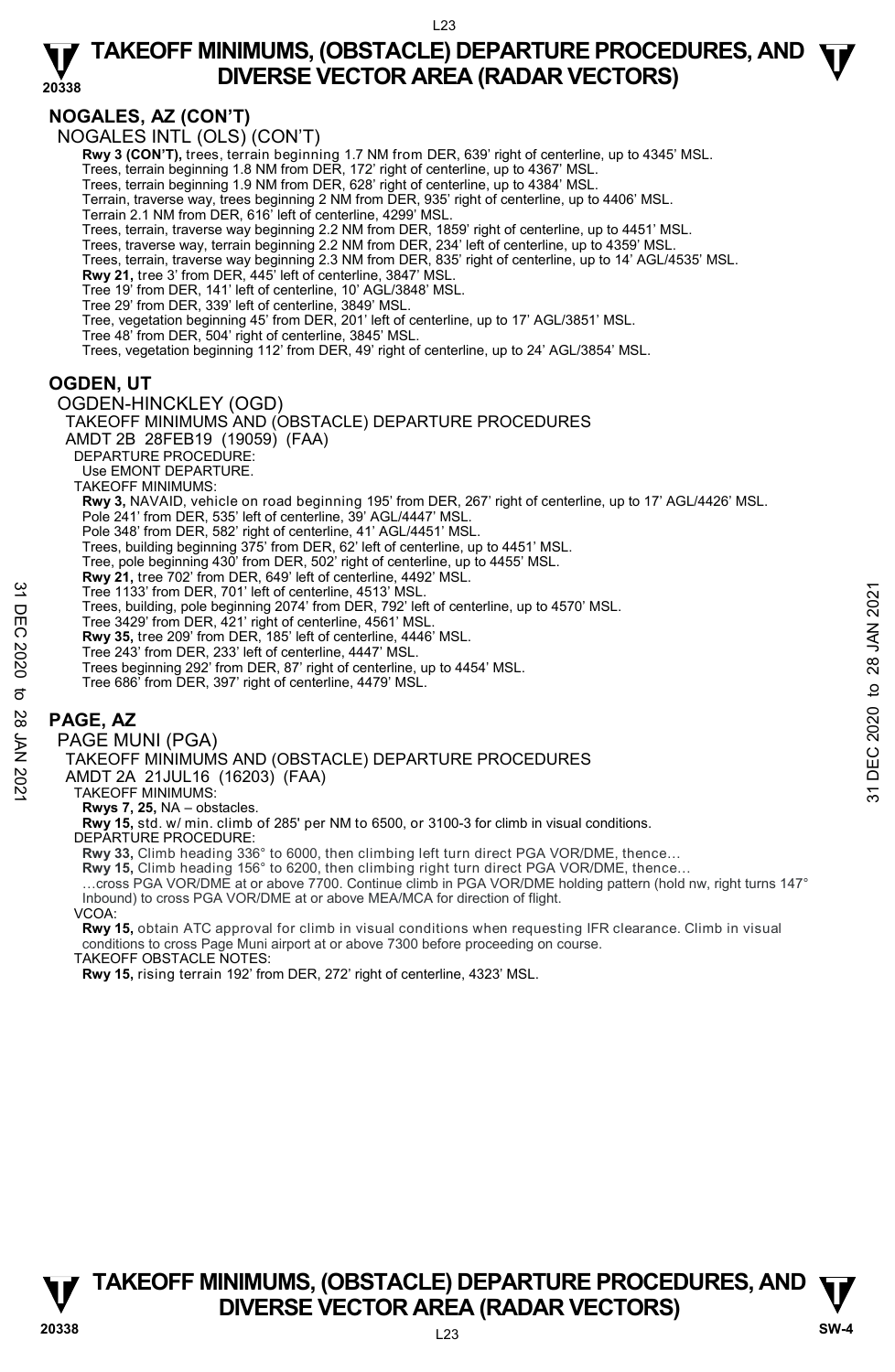# **NOGALES, AZ (CON'T)**

NOGALES INTL (OLS) (CON'T)

**Rwy 3 (CON'T),** trees, terrain beginning 1.7 NM from DER, 639' right of centerline, up to 4345' MSL.

Trees, terrain beginning 1.8 NM from DER, 172' right of centerline, up to 4367' MSL. Trees, terrain beginning 1.9 NM from DER, 628' right of centerline, up to 4384' MSL.

Terrain, traverse way, trees beginning 2 NM from DER, 935' right of centerline, up to 4406' MSL.

Terrain 2.1 NM from DER, 616' left of centerline, 4299' MSL.

Trees, terrain, traverse way beginning 2.2 NM from DER, 1859' right of centerline, up to 4451' MSL. Trees, traverse way, terrain beginning 2.2 NM from DER, 234' left of centerline, up to 4359' MSL.

Trees, terrain, traverse way beginning 2.3 NM from DER, 835' right of centerline, up to 14' AGL/4535' MSL.

**Rwy 21,** tree 3' from DER, 445' left of centerline, 3847' MSL. Tree 19' from DER, 141' left of centerline, 10' AGL/3848' MSL.

Tree 29' from DER, 339' left of centerline, 3849' MSL.

Tree, vegetation beginning 45' from DER, 201' left of centerline, up to 17' AGL/3851' MSL. Tree 48' from DER, 504' right of centerline, 3845' MSL.

Trees, vegetation beginning 112' from DER, 49' right of centerline, up to 24' AGL/3854' MSL.

## **OGDEN, UT**

OGDEN-HINCKLEY (OGD)

TAKEOFF MINIMUMS AND (OBSTACLE) DEPARTURE PROCEDURES AMDT 2B 28FEB19 (19059) (FAA) DEPARTURE PROCEDURE: Use EMONT DEPARTURE. TAKEOFF MINIMUMS: **Rwy 3,** NAVAID, vehicle on road beginning 195' from DER, 267' right of centerline, up to 17' AGL/4426' MSL. Pole 241' from DER, 535' left of centerline, 39' AGL/4447' MSL. Pole 348' from DER, 582' right of centerline, 41' AGL/4451' MSL. Trees, building beginning 375' from DER, 62' left of centerline, up to 4451' MSL. Tree, pole beginning 430' from DER, 502' right of centerline, up to 4455' MSL. **Rwy 21,** tree 702' from DER, 649' left of centerline, 4492' MSL. Tree 1133' from DER, 701' left of centerline, 4513' MSL. Trees, building, pole beginning 2074' from DER, 792' left of centerline, up to 4570' MSL. Tree 3429' from DER, 421' right of centerline, 4561' MSL. **Rwy 35,** tree 209' from DER, 185' left of centerline, 4446' MSL. Tree 243' from DER, 233' left of centerline, 4447' MSL. Trees beginning 292' from DER, 87' right of centerline, up to 4454' MSL. Tree 686' from DER, 397' right of centerline, 4479' MSL. **PAGE, AZ**  PAGE MUNI (PGA) TAKEOFF MINIMUMS AND (OBSTACLE) DEPARTURE PROCEDURES Tree 1133' from DER, 701' left of centerline, 4513' MSL.<br>
Trees, building, pole beginning 2021' from DER, 192' left of centerline, 4961' MSL.<br>
The 3429' from DER, 421' right of centerline, 4561' MSL.<br> **Rwy 35**, tree 209'

AMDT 2A 21JUL16 (16203) (FAA)

TAKEOFF MINIMUMS:

**Rwys 7, 25,** NA – obstacles.

**Rwy 15,** std. w/ min. climb of 285' per NM to 6500, or 3100-3 for climb in visual conditions.

DEPARTURE PROCEDURE:

**Rwy 33,** Climb heading 336° to 6000, then climbing left turn direct PGA VOR/DME, thence…

**Rwy 15,** Climb heading 156° to 6200, then climbing right turn direct PGA VOR/DME, thence…

…cross PGA VOR/DME at or above 7700. Continue climb in PGA VOR/DME holding pattern (hold nw, right turns 147° Inbound) to cross PGA VOR/DME at or above MEA/MCA for direction of flight.

VCOA:

**Rwy 15,** obtain ATC approval for climb in visual conditions when requesting IFR clearance. Climb in visual conditions to cross Page Muni airport at or above 7300 before proceeding on course. TAKEOFF OBSTACLE NOTES:

**Rwy 15,** rising terrain 192' from DER, 272' right of centerline, 4323' MSL.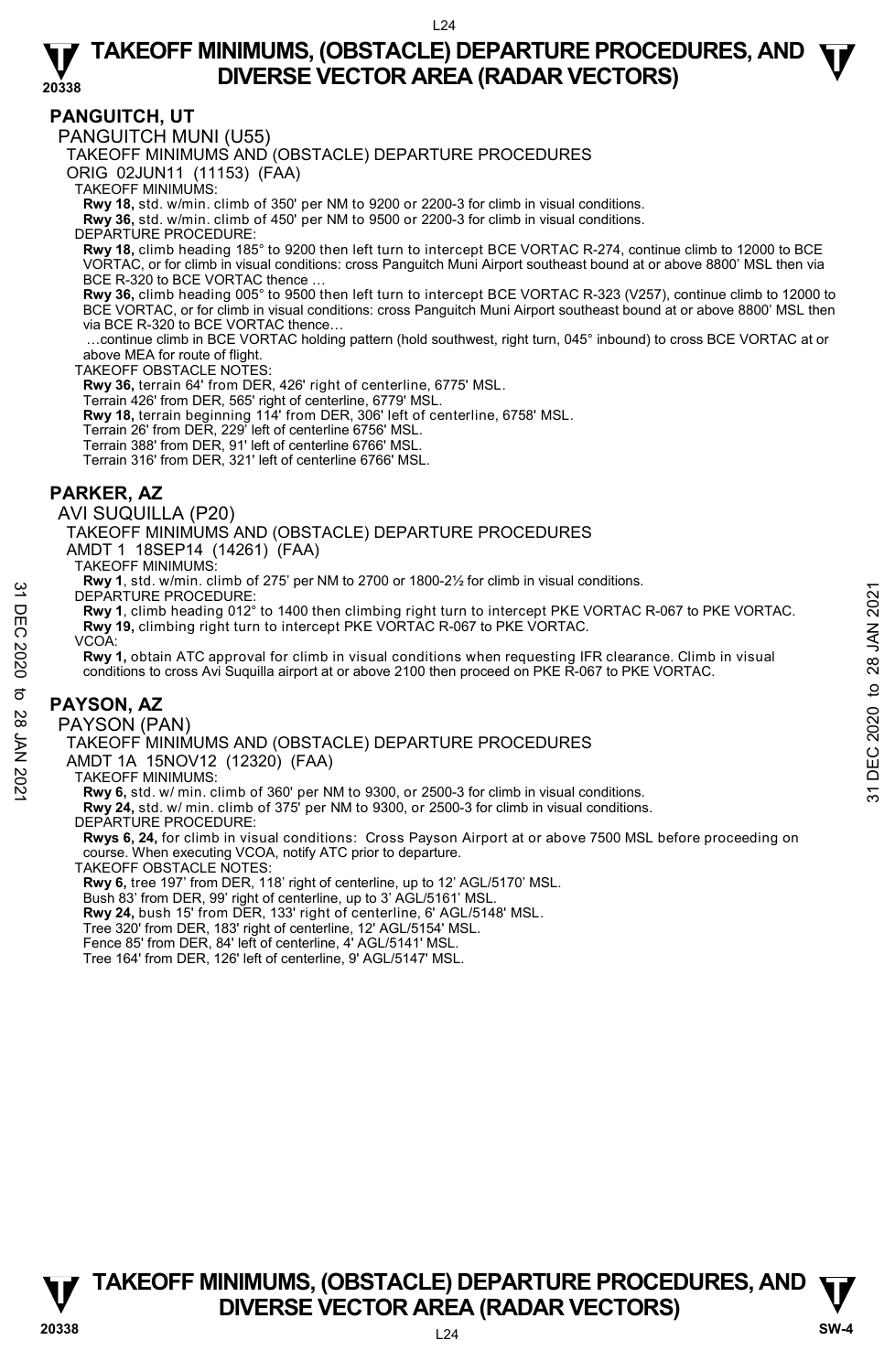## **PANGUITCH, UT**

PANGUITCH MUNI (U55)

TAKEOFF MINIMUMS AND (OBSTACLE) DEPARTURE PROCEDURES

ORIG 02JUN11 (11153) (FAA)

TAKEOFF MINIMUMS:

**Rwy 18,** std. w/min. climb of 350' per NM to 9200 or 2200-3 for climb in visual conditions. **Rwy 36,** std. w/min. climb of 450' per NM to 9500 or 2200-3 for climb in visual conditions.

DEPARTURE PROCEDURE:

**Rwy 18,** climb heading 185° to 9200 then left turn to intercept BCE VORTAC R-274, continue climb to 12000 to BCE VORTAC, or for climb in visual conditions: cross Panguitch Muni Airport southeast bound at or above 8800' MSL then via BCE R-320 to BCE VORTAC thence.

**Rwy 36,** climb heading 005° to 9500 then left turn to intercept BCE VORTAC R-323 (V257), continue climb to 12000 to BCE VORTAC, or for climb in visual conditions: cross Panguitch Muni Airport southeast bound at or above 8800' MSL then via BCE R-320 to BCE VORTAC thence…

 …continue climb in BCE VORTAC holding pattern (hold southwest, right turn, 045° inbound) to cross BCE VORTAC at or above MEA for route of flight.

TAKEOFF OBSTACLE NOTES:

**Rwy 36,** terrain 64' from DER, 426' right of centerline, 6775' MSL.

Terrain 426' from DER, 565' right of centerline, 6779' MSL.

**Rwy 18,** terrain beginning 114' from DER, 306' left of centerline, 6758' MSL.<br>Terrain 26' from DER, 229' left of centerline 6756' MSL.

Terrain 388' from DER, 91' left of centerline 6766' MSL.

Terrain 316' from DER, 321' left of centerline 6766' MSL.

## **PARKER, AZ**

AVI SUQUILLA (P20)

TAKEOFF MINIMUMS AND (OBSTACLE) DEPARTURE PROCEDURES

AMDT 1 18SEP14 (14261) (FAA)

TAKEOFF MINIMUMS:

**Rwy 1**, std. w/min. climb of 275' per NM to 2700 or 1800-2½ for climb in visual conditions.

DEPARTURE PROCEDURE:

**Rwy 1**, climb heading 012° to 1400 then climbing right turn to intercept PKE VORTAC R-067 to PKE VORTAC. **Rwy 19,** climbing right turn to intercept PKE VORTAC R-067 to PKE VORTAC. SHEEP AN INCREASE DEPARTURE PROCEDURES<br>
THE PROCEDURE:<br>
The Ray 1, climb heading 012° to 1400 then climbing right turn to intercept PKE VORTAC R-067 to PKE VORTAC.<br>
The Ray 1, climb heading 012° to 1400 then climbing righ

VCOA:

**Rwy 1,** obtain ATC approval for climb in visual conditions when requesting IFR clearance. Climb in visual conditions to cross Avi Suquilla airport at or above 2100 then proceed on PKE R-067 to PKE VORTAC.

### **PAYSON, AZ**

PAYSON (PAN)

TAKEOFF MINIMUMS AND (OBSTACLE) DEPARTURE PROCEDURES

AMDT 1A 15NOV12 (12320) (FAA)

TAKEOFF MINIMUMS:

**Rwy 6,** std. w/ min. climb of 360' per NM to 9300, or 2500-3 for climb in visual conditions.

**Rwy 24,** std. w/ min. climb of 375' per NM to 9300, or 2500-3 for climb in visual conditions. DEPARTURE PROCEDURE:

**Rwys 6, 24,** for climb in visual conditions: Cross Payson Airport at or above 7500 MSL before proceeding on course. When executing VCOA, notify ATC prior to departure.

TAKEOFF OBSTACLE NOTES:

**Rwy 6,** tree 197' from DER, 118' right of centerline, up to 12' AGL/5170' MSL.

Bush 83' from DER, 99' right of centerline, up to 3' AGL/5161' MSL. **Rwy 24,** bush 15' from DER, 133' right of centerline, 6' AGL/5148' MSL.

Tree 320' from DER, 183' right of centerline, 12' AGL/5154' MSL.

Fence 85' from DER, 84' left of centerline, 4' AGL/5141' MSL.

Tree 164' from DER, 126' left of centerline, 9' AGL/5147' MSL.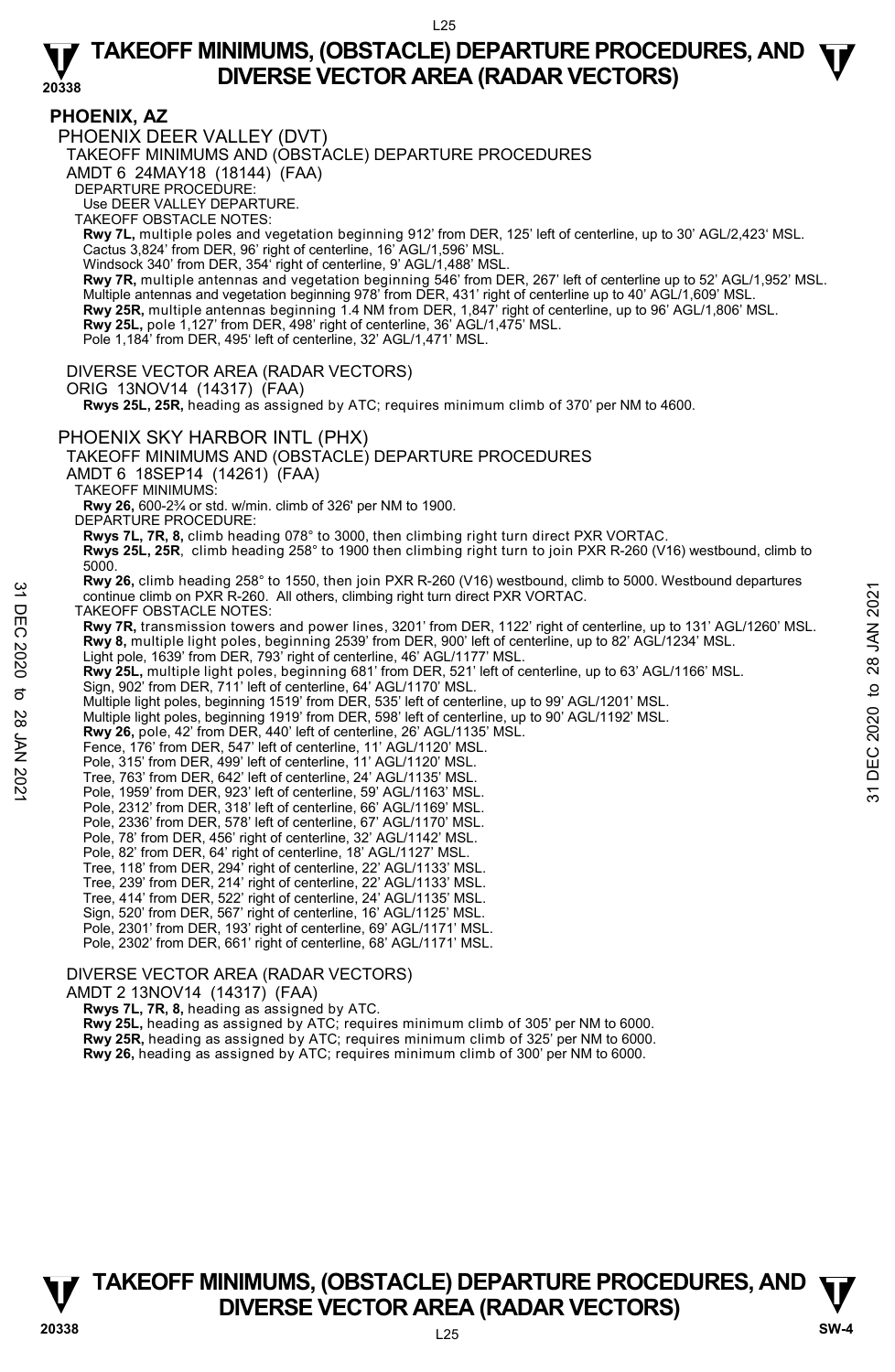# **PHOENIX, AZ**

PHOENIX DEER VALLEY (DVT)

TAKEOFF MINIMUMS AND (OBSTACLE) DEPARTURE PROCEDURES

AMDT 6 24MAY18 (18144) (FAA)

DEPARTURE PROCEDURE:

Use DEER VALLEY DEPARTURE.

TAKEOFF OBSTACLE NOTES:

**Rwy 7L,** multiple poles and vegetation beginning 912' from DER, 125' left of centerline, up to 30' AGL/2,423' MSL. Cactus 3,824' from DER, 96' right of centerline, 16' AGL/1,596' MSL.

Windsock 340' from DER, 354' right of centerline, 9' AGL/1,488' MSL

**Rwy 7R,** multiple antennas and vegetation beginning 546' from DER, 267' left of centerline up to 52' AGL/1,952' MSL. Multiple antennas and vegetation beginning 978' from DER, 431' right of centerline up to 40' AGL/1,609' MSL. **Rwy 25R,** multiple antennas beginning 1.4 NM from DER, 1,847' right of centerline, up to 96' AGL/1,806' MSL.<br>**Rwy 25L,** pole 1,127' from DER, 498' right of centerline, 36' AGL/1,475' MSL.

Pole 1,184' from DER, 495' left of centerline, 32' AGL/1,471' MSL.

DIVERSE VECTOR AREA (RADAR VECTORS)

ORIG 13NOV14 (14317) (FAA)

 **Rwys 25L, 25R,** heading as assigned by ATC; requires minimum climb of 370' per NM to 4600.

### PHOENIX SKY HARBOR INTL (PHX)

TAKEOFF MINIMUMS AND (OBSTACLE) DEPARTURE PROCEDURES

AMDT 6 18SEP14 (14261) (FAA)

TAKEOFF MINIMUMS:

**Rwy 26,** 600-2¾ or std. w/min. climb of 326' per NM to 1900.

DEPARTURE PROCEDURE:

**Rwys 7L, 7R, 8,** climb heading 078° to 3000, then climbing right turn direct PXR VORTAC.

**Rwys 25L, 25R**, climb heading 258° to 1900 then climbing right turn to join PXR R-260 (V16) westbound, climb to 5000.

**Rwy 26,** climb heading 258° to 1550, then join PXR R-260 (V16) westbound, climb to 5000. Westbound departures continue climb on PXR R-260. All others, climbing right turn direct PXR VORTAC.

TAKEOFF OBSTACLE NOTES:

**Rwy 7R,** transmission towers and power lines, 3201' from DER, 1122' right of centerline, up to 131' AGL/1260' MSL. **Rwy 8,** multiple light poles, beginning 2539' from DER, 900' left of centerline, up to 82' AGL/1234' MSL. 32 Continue climb on PIXR R-260. All others, climbing right turn direct PXR VORTAC.<br>
TAKEOFF OBSTACLE NOTES:<br> **Rwy 78**, muntisies in the light poles, beginning 2539' from DER, 1122' right of centerline, up to 131' AGL/12

Light pole, 1639' from DER, 793' right of centerline, 46' AGL/1177' MSL.

**Rwy 25L,** multiple light poles, beginning 681' from DER, 521' left of centerline, up to 63' AGL/1166' MSL.<br>Sign, 902' from DER, 711' left of centerline, 64' AGL/1170' MSL.

Multiple light poles, beginning 1519' from DER, 535' left of centerline, up to 99' AGL/1201' MSL.

Multiple light poles, beginning 1919' from DER, 598' left of centerline, up to 90' AGL/1192' MSL.<br>**Rwy 26,** pole, 42' from DER, 440' left of centerline, 26' AGL/1135' MSL.

Fence, 176' from DER, 547' left of centerline, 11' AGL/1120' MSL.

Pole, 315' from DER, 499' left of centerline, 11' AGL/1120' MSL.

Tree, 763' from DER, 642' left of centerline, 24' AGL/1135' MSL. Pole, 1959' from DER, 923' left of centerline, 59' AGL/1163' MSL.

Pole, 2312' from DER, 318' left of centerline, 66' AGL/1169' MSL. Pole, 2336' from DER, 578' left of centerline, 67' AGL/1170' MSL.

Pole, 78' from DER, 456' right of centerline, 32' AGL/1142' MSL.

- 
- Pole, 82' from DER, 64' right of centerline, 18' AGL/1127' MSL.
- Tree, 118' from DER, 294' right of centerline, 22' AGL/1133' MSL.
- Tree, 239' from DER, 214' right of centerline, 22' AGL/1133' MSL.
- Tree, 414' from DER, 522' right of centerline, 24' AGL/1135' MSL.
- Sign, 520' from DER, 567' right of centerline, 16' AGL/1125' MSL. Pole, 2301' from DER, 193' right of centerline, 69' AGL/1171' MSL.

Pole, 2302' from DER, 661' right of centerline, 68' AGL/1171' MSL.

### DIVERSE VECTOR AREA (RADAR VECTORS)

AMDT 2 13NOV14 (14317) (FAA)

 **Rwys 7L, 7R, 8,** heading as assigned by ATC.

**Rwy 25L,** heading as assigned by ATC; requires minimum climb of 305' per NM to 6000. **Rwy 25R,** heading as assigned by ATC; requires minimum climb of 325' per NM to 6000.

**Rwy 26,** heading as assigned by ATC; requires minimum climb of 300' per NM to 6000.

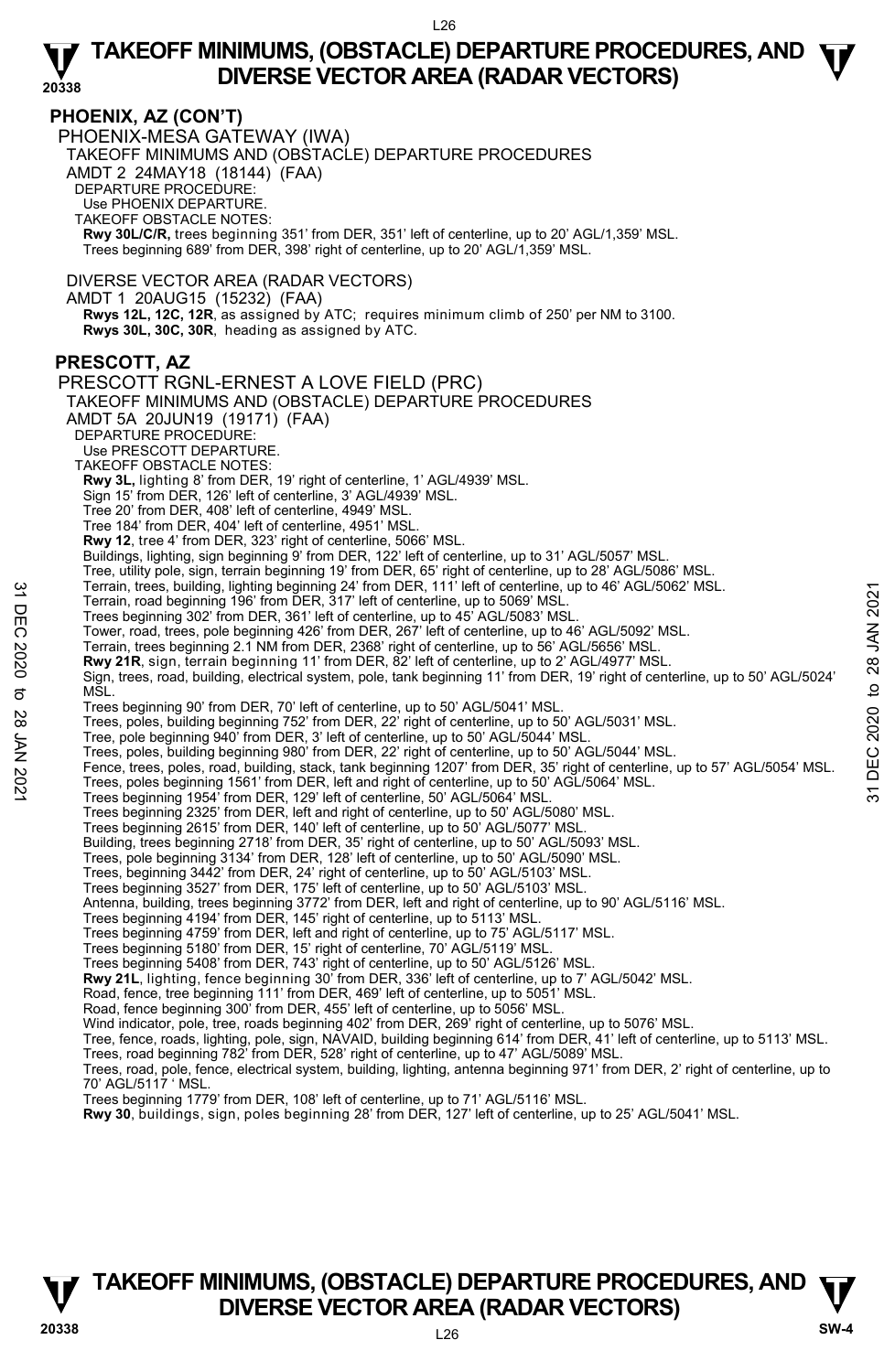### **PHOENIX, AZ (CON'T)**

PHOENIX-MESA GATEWAY (IWA) TAKEOFF MINIMUMS AND (OBSTACLE) DEPARTURE PROCEDURES AMDT 2 24MAY18 (18144) (FAA) DEPARTURE PROCEDURE: Use PHOENIX DEPARTURE. TAKEOFF OBSTACLE NOTES: **Rwy 30L/C/R,** trees beginning 351' from DER, 351' left of centerline, up to 20' AGL/1,359' MSL. Trees beginning 689' from DER, 398' right of centerline, up to 20' AGL/1,359' MSL.

DIVERSE VECTOR AREA (RADAR VECTORS)

AMDT 1 20AUG15 (15232) (FAA)

 **Rwys 12L, 12C, 12R**, as assigned by ATC; requires minimum climb of 250' per NM to 3100. **Rwys 30L, 30C, 30R**, heading as assigned by ATC.

## **PRESCOTT, AZ**

PRESCOTT RGNL-ERNEST A LOVE FIELD (PRC) TAKEOFF MINIMUMS AND (OBSTACLE) DEPARTURE PROCEDURES AMDT 5A 20JUN19 (19171) (FAA) DEPARTURE PROCEDURE: Use PRESCOTT DEPARTURE. TAKEOFF OBSTACLE NOTES: **Rwy 3L,** lighting 8' from DER, 19' right of centerline, 1' AGL/4939' MSL. Sign 15' from DER, 126' left of centerline, 3' AGL/4939' MSL. Tree 20' from DER, 408' left of centerline, 4949' MSL. Tree 184' from DER, 404' left of centerline, 4951' MSL. **Rwy 12**, tree 4' from DER, 323' right of centerline, 5066' MSL. Buildings, lighting, sign beginning 9' from DER, 122' left of centerline, up to 31' AGL/5057' MSL. Tree, utility pole, sign, terrain beginning 19' from DER, 65' right of centerline, up to 28' AGL/5086' MSL.<br>Terrain, trees, building, lighting beginning 24' from DER, 111' left of centerline, up to 46' AGL/5062' MSL.<br>Terra Trees beginning 302' from DER, 361' left of centerline, up to 45' AGL/5083' MSL. Tower, road, trees, pole beginning 426' from DER, 267' left of centerline, up to 46' AGL/5092' MSL. Terrain, trees beginning 2.1 NM from DER, 2368' right of centerline, up to 56' AGL/5656' MSL. **Rwy 21R**, sign, terrain beginning 11' from DER, 82' left of centerline, up to 2' AGL/4977' MSL. Sign, trees, road, building, electrical system, pole, tank beginning 11' from DER, 19' right of centerline, up to 50' AGL/5024' M<sub>SL</sub> Trees beginning 90' from DER, 70' left of centerline, up to 50' AGL/5041' MSL. Trees, poles, building beginning 752' from DER, 22' right of centerline, up to 50' AGL/5031' MSL.<br>Tree, pole beginning 940' from DER, 3' left of centerline, up to 50' AGL/5044' MSL. Trees, poles, building beginning 980' from DER, 22' right of centerline, up to 50' AGL/5044' MSL. Fence, trees, poles, road, building, stack, tank beginning 1207' from DER, 35' right of centerline, up to 57' AGL/5054' MSL. Trees, poles beginning 1561' from DER, left and right of centerline, up to 50' AGL/5064' MSL. Trees beginning 1954' from DER, 129' left of centerline, 50' AGL/5064' MSL. Trees beginning 2325' from DER, left and right of centerline, up to 50' AGL/5080' MSL. Trees beginning 2615' from DER, 140' left of centerline, up to 50' AGL/5077' MSL. Building, trees beginning 2718' from DER, 35' right of centerline, up to 50' AGL/5093' MSL. Trees, pole beginning 3134' from DER, 128' left of centerline, up to 50' AGL/5090' MSL. Trees, beginning 3442' from DER, 24' right of centerline, up to 50' AGL/5103' MSL. Trees beginning 3527' from DER, 175' left of centerline, up to 50' AGL/5103' MSL. Antenna, building, trees beginning 3772' from DER, left and right of centerline, up to 90' AGL/5116' MSL. Trees beginning 4194' from DER, 145' right of centerline, up to 5113' MSL. Trees beginning 4759' from DER, left and right of centerline, up to 75' AGL/5117' MSL. Trees beginning 5180' from DER, 15' right of centerline, 70' AGL/5119' MSL. Trees beginning 5408' from DER, 743' right of centerline, up to 50' AGL/5126' MSL. **Rwy 21L**, lighting, fence beginning 30' from DER, 336' left of centerline, up to 7' AGL/5042' MSL. Road, fence, tree beginning 111' from DER, 469' left of centerline, up to 5051' MSL. Road, fence beginning 300' from DER, 455' left of centerline, up to 5056' MSL. Wind indicator, pole, tree, roads beginning 402' from DER, 269' right of centerline, up to 5076' MSL.<br>Tree, fence, roads, lighting, pole, sign, NAVAID, building beginning 614' from DER, 41' left of centerline, up to 5113' Trees, road beginning 782' from DER, 528' right of centerline, up to 47' AGL/5089' MSL. Terrain, trees, building, lighting beginning 24' from DER, 11' left of centerline, up to 46' AGL/5062' MSL.<br>
Terrain, road beginning 196' from DER, 317' left of centerline, up to 45' AGL/5083' MSL.<br>
Trees beginning 302' fr

Trees, road, pole, fence, electrical system, building, lighting, antenna beginning 971' from DER, 2' right of centerline, up to 70' AGL/5117 ' MSL.

Trees beginning 1779' from DER, 108' left of centerline, up to 71' AGL/5116' MSL.

**Rwy 30**, buildings, sign, poles beginning 28' from DER, 127' left of centerline, up to 25' AGL/5041' MSL.

# **TAKEOFF MINIMUMS, (OBSTACLE) DEPARTURE PROCEDURES, AND**  $\Psi$ **<br>DIVERSE VECTOR AREA (RADAR VECTORS) V** DIVERSE VECTOR AREA (RADAR VECTORS) W SW-4 **SW-4**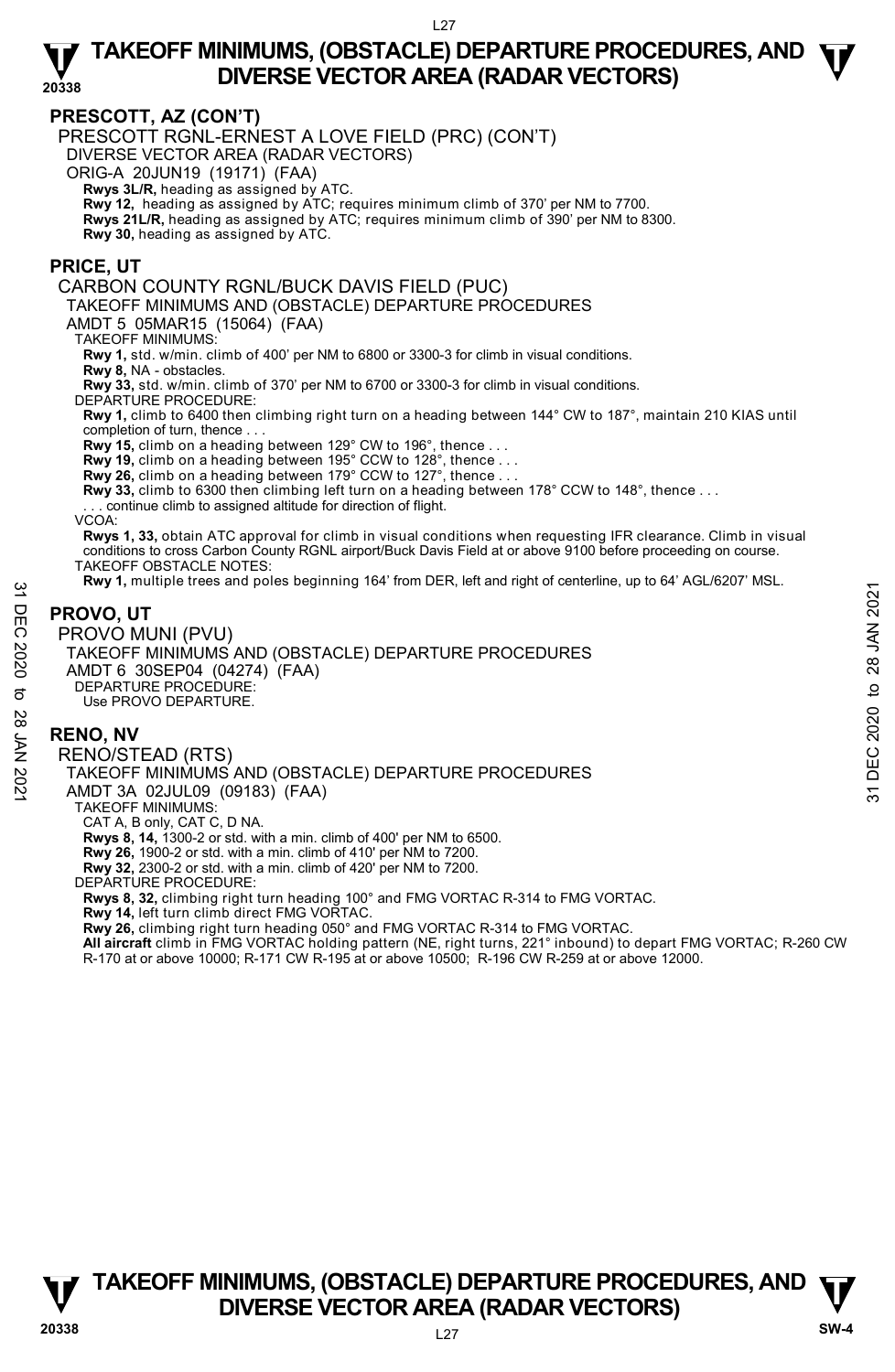# **PRESCOTT, AZ (CON'T)**

PRESCOTT RGNL-ERNEST A LOVE FIELD (PRC) (CON'T)

DIVERSE VECTOR AREA (RADAR VECTORS)

ORIG-A 20JUN19 (19171) (FAA)

 **Rwys 3L/R,** heading as assigned by ATC.

**Rwy 12,** heading as assigned by ATC; requires minimum climb of 370' per NM to 7700.

**Rwys 21L/R,** heading as assigned by ATC; requires minimum climb of 390' per NM to 8300.

**Rwy 30,** heading as assigned by ATC.

## **PRICE, UT**

### CARBON COUNTY RGNL/BUCK DAVIS FIELD (PUC)

TAKEOFF MINIMUMS AND (OBSTACLE) DEPARTURE PROCEDURES

AMDT 5 05MAR15 (15064) (FAA)

TAKEOFF MINIMUMS:

**Rwy 1,** std. w/min. climb of 400' per NM to 6800 or 3300-3 for climb in visual conditions.

**Rwy 8,** NA - obstacles.

**Rwy 33,** std. w/min. climb of 370' per NM to 6700 or 3300-3 for climb in visual conditions.

DEPARTURE PROCEDURE:

**Rwy 1,** climb to 6400 then climbing right turn on a heading between 144° CW to 187°, maintain 210 KIAS until completion of turn, thence . . .

**Rwy 15,** climb on a heading between 129° CW to 196°, thence . . .

**Rwy 19,** climb on a heading between 195° CCW to 128°, thence . . . **Rwy 26,** climb on a heading between 179° CCW to 127°, thence . . .

**Rwy 33,** climb to 6300 then climbing left turn on a heading between 178° CCW to 148°, thence . . .

. continue climb to assigned altitude for direction of flight.

VCOA:

**Rwys 1, 33,** obtain ATC approval for climb in visual conditions when requesting IFR clearance. Climb in visual conditions to cross Carbon County RGNL airport/Buck Davis Field at or above 9100 before proceeding on course. TAKEOFF OBSTACLE NOTES:

**Rwy 1,** multiple trees and poles beginning 164' from DER, left and right of centerline, up to 64' AGL/6207' MSL.

# **PROVO, UT**

PROVO MUNI (PVU) TAKEOFF MINIMUMS AND (OBSTACLE) DEPARTURE PROCEDURES AMDT 6 30SEP04 (04274) (FAA) DEPARTURE PROCEDURE: Use PROVO DEPARTURE. NET PROVO, UT<br>
PROVO, UT<br>
PROVO MUNI (PVU)<br>
TAKEOFF MINIMUMS AND (OBSTACLE) DEPARTURE PROCEDURES<br>
AMDT 6 30SEP04 (0424) (FAA)<br>
TAKEOFF MINIMUMS AND (OBSTACLE) DEPARTURE PROCEDURES<br>
PEPARTURE PROVO DEPARTURE.<br>
SERINO, NV<br>

# **RENO, NV**

RENO/STEAD (RTS) TAKEOFF MINIMUMS AND (OBSTACLE) DEPARTURE PROCEDURES AMDT 3A 02JUL09 (09183) (FAA) TAKEOFF MINIMUMS: CAT A, B only, CAT C, D NA. **Rwys 8, 14,** 1300-2 or std. with a min. climb of 400' per NM to 6500. **Rwy 26,** 1900-2 or std. with a min. climb of 410' per NM to 7200. **Rwy 32,** 2300-2 or std. with a min. climb of 420' per NM to 7200. DEPARTURE PROCEDURE: **Rwys 8, 32,** climbing right turn heading 100° and FMG VORTAC R-314 to FMG VORTAC. **Rwy 14,** left turn climb direct FMG VORTAC.

**Rwy 26,** climbing right turn heading 050° and FMG VORTAC R-314 to FMG VORTAC.

**All aircraft** climb in FMG VORTAC holding pattern (NE, right turns, 221° inbound) to depart FMG VORTAC; R-260 CW

R-170 at or above 10000; R-171 CW R-195 at or above 10500; R-196 CW R-259 at or above 12000.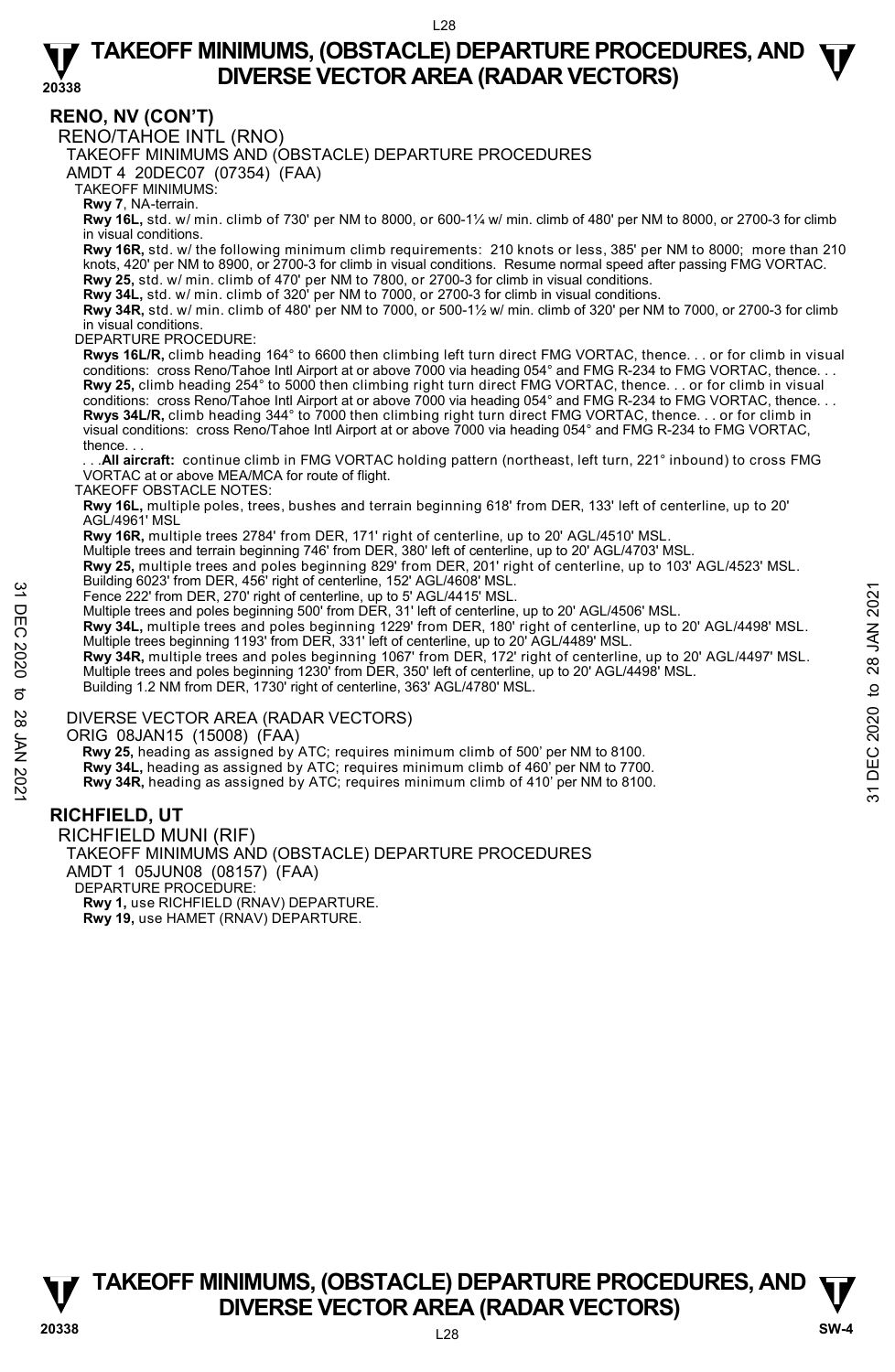### **RENO, NV (CON'T)**

RENO/TAHOE INTL (RNO)

TAKEOFF MINIMUMS AND (OBSTACLE) DEPARTURE PROCEDURES

AMDT 4 20DEC07 (07354) (FAA)

TAKEOFF MINIMUMS:

**Rwy 7**, NA-terrain.

**Rwy 16L,** std. w/ min. climb of 730' per NM to 8000, or 600-1¼ w/ min. climb of 480' per NM to 8000, or 2700-3 for climb in visual conditions.

**Rwy 16R,** std. w/ the following minimum climb requirements: 210 knots or less, 385' per NM to 8000; more than 210 knots, 420' per NM to 8900, or 2700-3 for climb in visual conditions. Resume normal speed after passing FMG VORTAC. **Rwy 25,** std. w/ min. climb of 470' per NM to 7800, or 2700-3 for climb in visual conditions.

**Rwy 34L,** std. w/ min. climb of 320' per NM to 7000, or 2700-3 for climb in visual conditions.

**Rwy 34R,** std. w/ min. climb of 480' per NM to 7000, or 500-1½ w/ min. climb of 320' per NM to 7000, or 2700-3 for climb in visual conditions.

### DEPARTURE PROCEDURE:

**Rwys 16L/R,** climb heading 164° to 6600 then climbing left turn direct FMG VORTAC, thence. . . or for climb in visual conditions: cross Reno/Tahoe Intl Airport at or above 7000 via heading 054° and FMG R-234 to FMG VORTAC, thence. . . **Rwy 25,** climb heading 254° to 5000 then climbing right turn direct FMG VORTAC, thence. . . or for climb in visual conditions: cross Reno/Tahoe Intl Airport at or above 7000 via heading 054° and FMG R-234 to FMG VORTAC, thence. . . **Rwys 34L/R,** climb heading 344° to 7000 then climbing right turn direct FMG VORTAC, thence. . . or for climb in<br>visual conditions: cross Reno/Tahoe Intl Airport at or above 7000 via heading 054° and FMG R-234 to FMG VORT thence. . .

. All aircraft: continue climb in FMG VORTAC holding pattern (northeast, left turn, 221° inbound) to cross FMG VORTAC at or above MEA/MCA for route of flight.

TAKEOFF OBSTACLE NOTES:

**Rwy 16L,** multiple poles, trees, bushes and terrain beginning 618' from DER, 133' left of centerline, up to 20' AGL/4961' MSL

**Rwy 16R,** multiple trees 2784' from DER, 171' right of centerline, up to 20' AGL/4510' MSL.

Multiple trees and terrain beginning 746' from DER, 380' left of centerline, up to 20' AGL/4703' MSL.

**Rwy 25,** multiple trees and poles beginning 829' from DER, 201' right of centerline, up to 103' AGL/4523' MSL.<br>Building 6023' from DER, 456' right of centerline, 152' AGL/4608' MSL.

Fence 222' from DER, 270' right of centerline, up to 5' AGL/4415' MSL.

Multiple trees and poles beginning 500' from DER, 31' left of centerline, up to 20' AGL/4506' MSL.<br>**Rwy 34L,** multiple trees and poles beginning 1229' from DER, 180' right of centerline, up to 20' AGL/4498' MSL. Multiple trees beginning 1193' from DER, 331' left of centerline, up to 20' AGL/4489' MSL.

**Rwy 34R,** multiple trees and poles beginning 1067' from DER, 172' right of centerline, up to 20' AGL/4497' MSL. Multiple trees and poles beginning 1230' from DER, 350' left of centerline, up to 20' AGL/4498' MSL.<br>Building 1.2 NM from DER, 1730' right of centerline, 363' AGL/4780' MSL. Fence 2222 from DER, 370 injtitive tenter interpediately, the STAGL/4415' MSL.<br>
Thence 2221 from DER, 370 inght of centerline, up to 5' AGL/4415' MSL.<br>
Multiple trees and poles beginning 100' from DER, 31' left of centerl

### DIVERSE VECTOR AREA (RADAR VECTORS)

ORIG 08JAN15 (15008) (FAA)

Rwy 25, heading as assigned by ATC; requires minimum climb of 500' per NM to 8100.

**Rwy 34L,** heading as assigned by ATC; requires minimum climb of 460' per NM to 7700. **Rwy 34R,** heading as assigned by ATC; requires minimum climb of 410' per NM to 8100.

# **RICHFIELD, UT**

RICHFIELD MUNI (RIF) TAKEOFF MINIMUMS AND (OBSTACLE) DEPARTURE PROCEDURES AMDT 1 05JUN08 (08157) (FAA) DEPARTURE PROCEDURE: **Rwy 1,** use RICHFIELD (RNAV) DEPARTURE. **Rwy 19,** use HAMET (RNAV) DEPARTURE.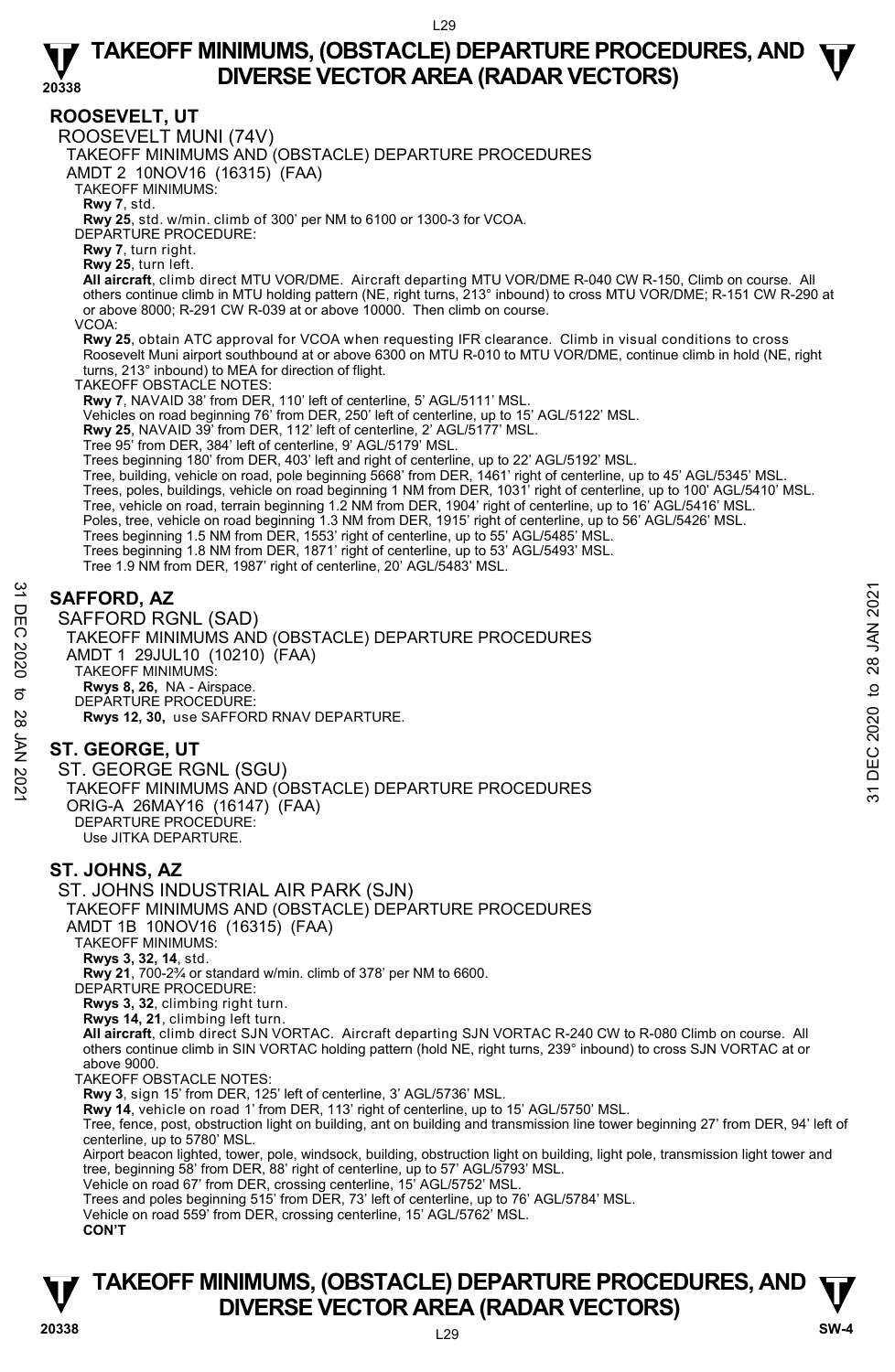**ROOSEVELT, UT**  ROOSEVELT MUNI (74V) TAKEOFF MINIMUMS AND (OBSTACLE) DEPARTURE PROCEDURES AMDT 2 10NOV16 (16315) (FAA) TAKEOFF MINIMUMS: **Rwy 7**, std. **Rwy 25**, std. w/min. climb of 300' per NM to 6100 or 1300-3 for VCOA. DEPARTURE PROCEDURE: **Rwy 7**, turn right. **Rwy 25**, turn left. **All aircraft**, climb direct MTU VOR/DME. Aircraft departing MTU VOR/DME R-040 CW R-150, Climb on course. All others continue climb in MTU holding pattern (NE, right turns, 213° inbound) to cross MTU VOR/DME; R-151 CW R-290 at or above 8000; R-291 CW R-039 at or above 10000. Then climb on course. VCOA: **Rwy 25**, obtain ATC approval for VCOA when requesting IFR clearance. Climb in visual conditions to cross Roosevelt Muni airport southbound at or above 6300 on MTU R-010 to MTU VOR/DME, continue climb in hold (NE, right turns, 213° inbound) to MEA for direction of flight. TAKEOFF OBSTACLE NOTES: **Rwy 7**, NAVAID 38' from DER, 110' left of centerline, 5' AGL/5111' MSL. Vehicles on road beginning 76' from DER, 250' left of centerline, up to 15' AGL/5122' MSL. **Rwy 25**, NAVAID 39' from DER, 112' left of centerline, 2' AGL/5177' MSL. Tree 95' from DER, 384' left of centerline, 9' AGL/5179' MSL. Trees beginning 180' from DER, 403' left and right of centerline, up to 22' AGL/5192' MSL.<br>Tree, building, vehicle on road, pole beginning 5668' from DER, 1461' right of centerline, up to 45' AGL/5345' MSL. Trees, poles, buildings, vehicle on road beginning 1 NM from DER, 1031' right of centerline, up to 100' AGL/5410' MSL. Tree, vehicle on road, terrain beginning 1.2 NM from DER, 1904' right of centerline, up to 16' AGL/5416' MSL. Poles, tree, vehicle on road beginning 1.3 NM from DER, 1915' right of centerline, up to 56' AGL/5426' MSL.<br>Trees beginning 1.5 NM from DER, 1553' right of centerline, up to 55' AGL/5485' MSL. Trees beginning 1.8 NM from DER, 1871' right of centerline, up to 53' AGL/5493' MSL. Tree 1.9 NM from DER, 1987' right of centerline, 20' AGL/5483' MSL. **SAFFORD, AZ**  SAFFORD RGNL (SAD) TAKEOFF MINIMUMS AND (OBSTACLE) DEPARTURE PROCEDURES AMDT 1 29JUL10 (10210) (FAA) TAKEOFF MINIMUMS: **Rwys 8, 26,** NA - Airspace. DEPARTURE PROCEDURE: **Rwys 12, 30,** use SAFFORD RNAV DEPARTURE. **ST. GEORGE, UT**  ST. GEORGE RGNL (SGU) TAKEOFF MINIMUMS AND (OBSTACLE) DEPARTURE PROCEDURES ORIG-A 26MAY16 (16147) (FAA) DEPARTURE PROCEDURE: Use JITKA DEPARTURE. **ST. JOHNS, AZ**  ST. JOHNS INDUSTRIAL AIR PARK (SJN) TAKEOFF MINIMUMS AND (OBSTACLE) DEPARTURE PROCEDURES AMDT 1B 10NOV16 (16315) (FAA) TAKEOFF MINIMUMS: **Rwys 3, 32, 14**, std. **Rwy 21**, 700-2¾ or standard w/min. climb of 378' per NM to 6600. DEPARTURE PROCEDURE: **Rwys 3, 32**, climbing right turn. **Rwys 14, 21**, climbing left turn. **All aircraft**, climb direct SJN VORTAC. Aircraft departing SJN VORTAC R-240 CW to R-080 Climb on course. All<br>others continue climb in SIN VORTAC holding pattern (hold NE, right turns, 239° inbound) to cross SJN VORTAC a above 9000. TAKEOFF OBSTACLE NOTES: **Rwy 3**, sign 15' from DER, 125' left of centerline, 3' AGL/5736' MSL. **Rwy 14**, vehicle on road 1' from DER, 113' right of centerline, up to 15' AGL/5750' MSL. Tree, fence, post, obstruction light on building, ant on building and transmission line tower beginning 27' from DER, 94' left of centerline, up to 5780' MSL. Airport beacon lighted, tower, pole, windsock, building, obstruction light on building, light pole, transmission light tower and tree, beginning 58' from DER, 88' right of centerline, up to 57' AGL/5793' MSL. Vehicle on road 67' from DER, crossing centerline, 15' AGL/5752' MSL. Trees and poles beginning 515' from DER, 73' left of centerline, up to 76' AGL/5784' MSL. Vehicle on road 559' from DER, crossing centerline, 15' AGL/5762' MSL. **CON'T** SAFFORD, AZ<br>
SAFFORD RGNL (SAD)<br>
TAKEOFF MINIMUMS AND (OBSTACLE) DEPARTURE PROCEDURES<br>
AMDT 1 29JUL10 (10210) (FAA)<br>
TAKEOFF MINIMUMS:<br>
Revis 8, 26, NA - Airspace.<br>
DEPARTURE PROCEDURE:<br>
2 PAYS 12, 30, use SAFFORD RNAV DE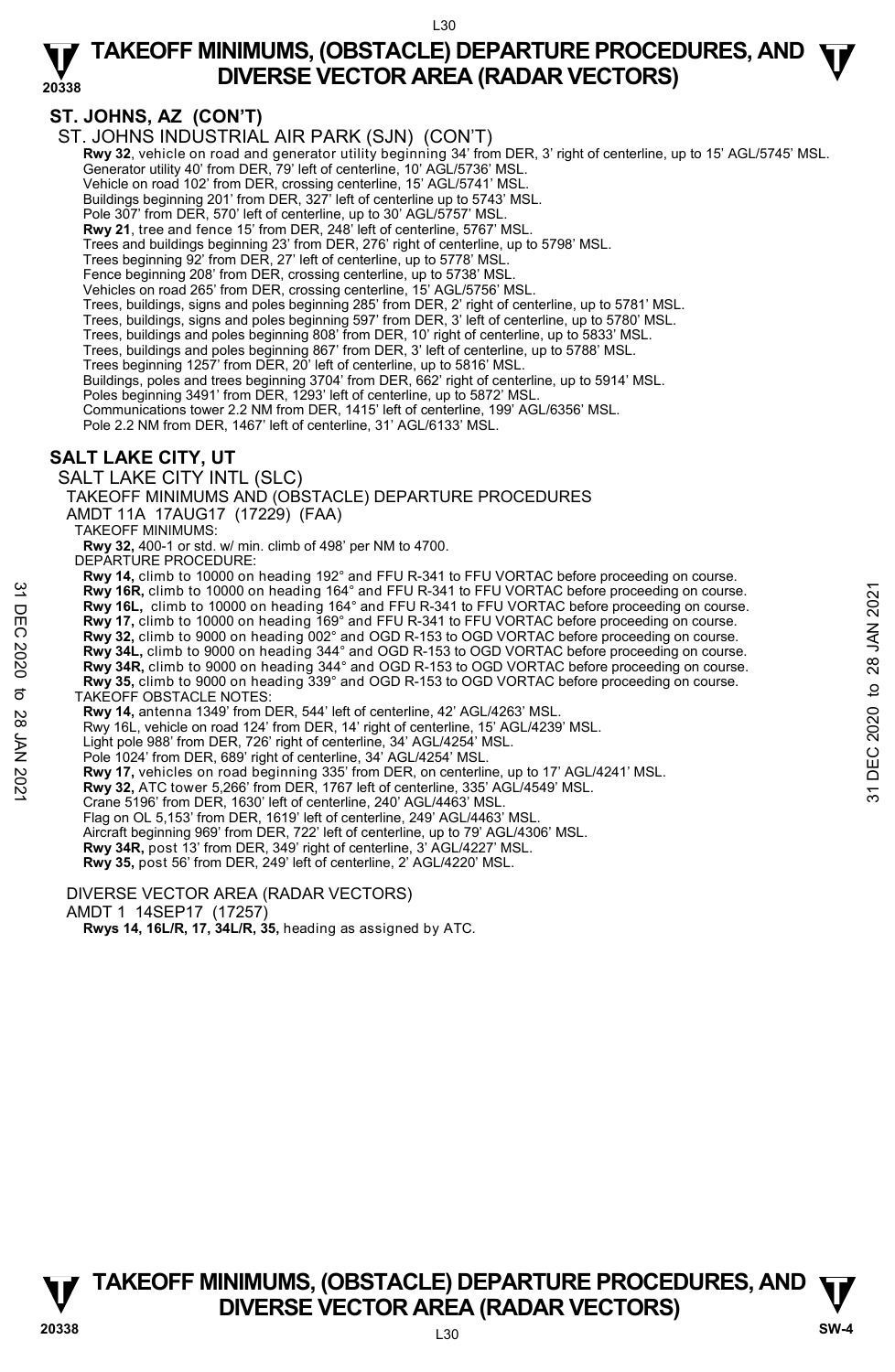# **ST. JOHNS, AZ (CON'T)**

ST. JOHNS INDUSTRIAL AIR PARK (SJN) (CON'T)

- **Rwy 32**, vehicle on road and generator utility beginning 34' from DER, 3' right of centerline, up to 15' AGL/5745' MSL. Generator utility 40' from DER, 79' left of centerline, 10' AGL/5736' MSL.
	- Vehicle on road 102' from DER, crossing centerline, 15' AGL/5741' MSL. Buildings beginning 201' from DER, 327' left of centerline up to 5743' MSL.
	-
- Pole 307' from DER, 570' left of centerline, up to 30' AGL/5757' MSL.
- **Rwy 21**, tree and fence 15' from DER, 248' left of centerline, 5767' MSL. Trees and buildings beginning 23' from DER, 276' right of centerline, up to 5798' MSL.
- 
- Trees beginning 92' from DER, 27' left of centerline, up to 5778' MSL Fence beginning 208' from DER, crossing centerline, up to 5738' MSL.
- Vehicles on road 265' from DER, crossing centerline, 15' AGL/5756' MSL.
- 
- Trees, buildings, signs and poles beginning 285' from DER, 2' right of centerline, up to 5781' MSL. Trees, buildings, signs and poles beginning 597' from DER, 3' left of centerline, up to 5780' MSL.
- Trees, buildings and poles beginning 808' from DER, 10' right of centerline, up to 5833' MSL.
- Trees, buildings and poles beginning 867' from DER, 3' left of centerline, up to 5788' MSL.
- Trees beginning 1257' from DER, 20' left of centerline, up to 5816' MSL.
- Buildings, poles and trees beginning 3704' from DER, 662' right of centerline, up to 5914' MSL.
- Poles beginning 3491' from DER, 1293' left of centerline, up to 5872' MSL.
- Communications tower 2.2 NM from DER, 1415' left of centerline, 199' AGL/6356' MSL.
- Pole 2.2 NM from DER, 1467' left of centerline, 31' AGL/6133' MSL.

# **SALT LAKE CITY, UT**

### SALT LAKE CITY INTL (SLC)

TAKEOFF MINIMUMS AND (OBSTACLE) DEPARTURE PROCEDURES

AMDT 11A 17AUG17 (17229) (FAA)

TAKEOFF MINIMUMS:

**Rwy 32,** 400-1 or std. w/ min. climb of 498' per NM to 4700.

DEPARTURE PROCEDURE:

- **Rwy 14,** climb to 10000 on heading 192° and FFU R-341 to FFU VORTAC before proceeding on course. **Rwy 16R,** climb to 10000 on heading 164° and FFU R-341 to FFU VORTAC before proceeding on course. Rwy 16L, climb to 10000 on heading 164° and FFU R-341 to FFU VORTAC before proceeding on course. **Rwy 17,** climb to 10000 on heading 169° and FFU R-341 to FFU VORTAC before proceeding on course. **Rwy 32,** climb to 9000 on heading 002° and OGD R-153 to OGD VORTAC before proceeding on course. **Rwy 34L,** climb to 9000 on heading 344° and OGD R-153 to OGD VORTAC before proceeding on course. **Rwy 34R,** climb to 9000 on heading 344° and OGD R-153 to OGD VORTAC before proceeding on course. **Rwy 35,** climb to 9000 on heading 339° and OGD R-153 to OGD VORTAC before proceeding on course. TAKEOFF OBSTACLE NOTES: **Rwy 14,** antenna 1349' from DER, 544' left of centerline, 42' AGL/4263' MSL. Rwy 16L, vehicle on road 124' from DER, 14' right of centerline, 15' AGL/4239' MSL. Light pole 988' from DER, 726' right of centerline, 34' AGL/4254' MSL. **Example 19:** A strain to 10000 on heading 164° and FFU R-341 to FFU VORTAC before proceeding on course.<br> **Example 19:** A climb to 10000 on heading 169° and FFU R-341 to FFU VORTAC before proceeding on course.<br> **Example 1** 
	- Pole 1024' from DER, 689' right of centerline, 34' AGL/4254' MSL.
	- **Rwy 17,** vehicles on road beginning 335' from DER, on centerline, up to 17' AGL/4241' MSL.<br>**Rwy 32,** ATC tower 5,266' from DER, 1767 left of centerline, 335' AGL/4549' MSL.
	-
	- Crane 5196' from DER, 1630' left of centerline, 240' AGL/4463' MSL.
	- Flag on OL 5,153' from DER, 1619' left of centerline, 249' AGL/4463' MSL.
	-
	- Aircraft beginning 969' from DER, 722' left of centerline, up to 79' AGL/4306' MSL.<br>**Rwy 34R,** post 13' from DER, 349' right of centerline, 3' AGL/4227' MSL.
	- **Rwy 35,** post 56' from DER, 249' left of centerline, 2' AGL/4220' MSL.

DIVERSE VECTOR AREA (RADAR VECTORS)

### AMDT 1 14SEP17 (17257)

 **Rwys 14, 16L/R, 17, 34L/R, 35,** heading as assigned by ATC.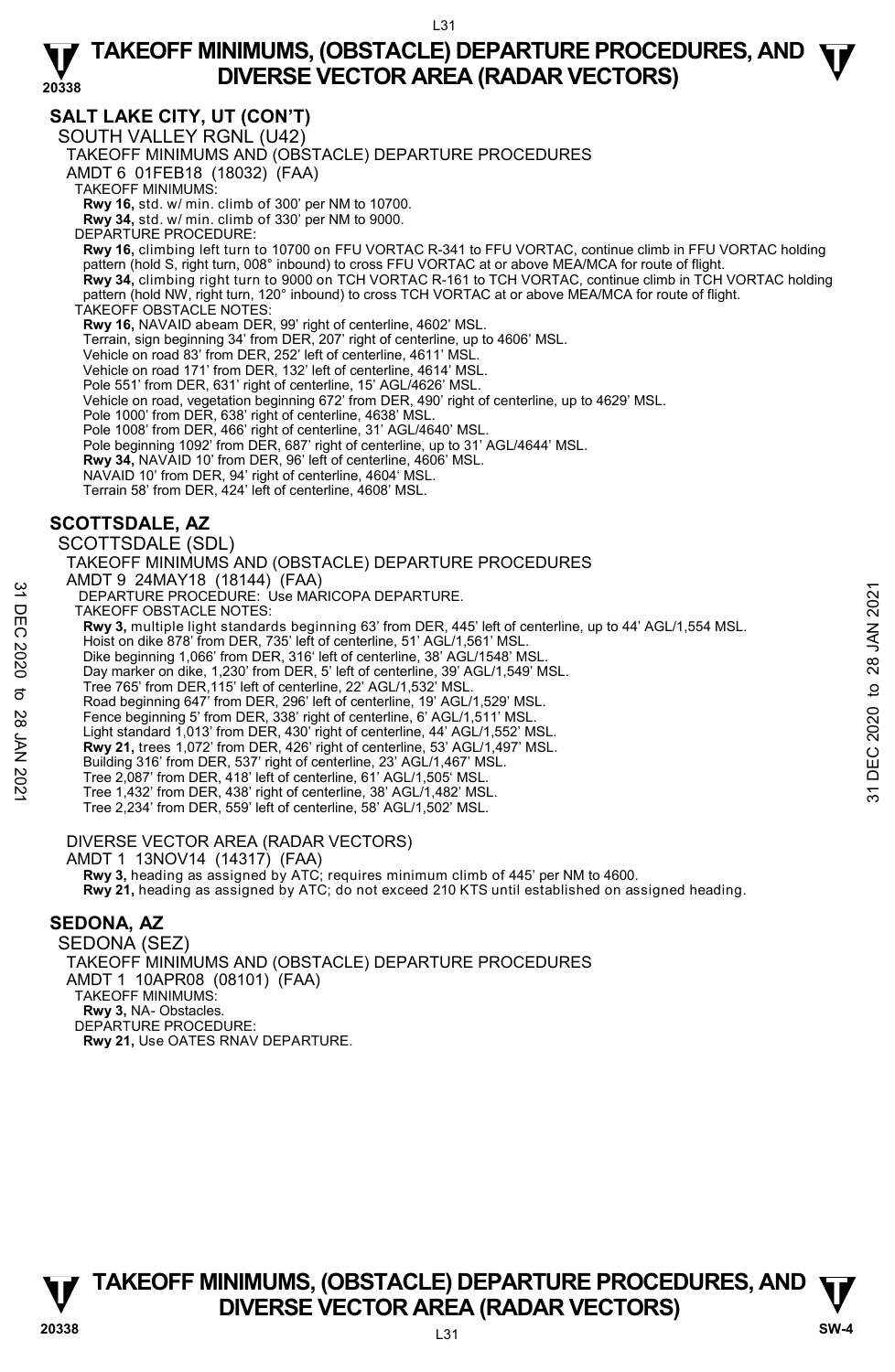# **SALT LAKE CITY, UT (CON'T)**

SOUTH VALLEY RGNL (U42)

TAKEOFF MINIMUMS AND (OBSTACLE) DEPARTURE PROCEDURES

AMDT 6 01FEB18 (18032) (FAA)

TAKEOFF MINIMUMS:

**Rwy 16,** std. w/ min. climb of 300' per NM to 10700. **Rwy 34,** std. w/ min. climb of 330' per NM to 9000.

DEPARTURE PROCEDURE:

**Rwy 16,** climbing left turn to 10700 on FFU VORTAC R-341 to FFU VORTAC, continue climb in FFU VORTAC holding pattern (hold S, right turn, 008° inbound) to cross FFU VORTAC at or above MEA/MCA for route of flight. **Rwy 34,** climbing right turn to 9000 on TCH VORTAC R-161 to TCH VORTAC, continue climb in TCH VORTAC holding pattern (hold NW, right turn, 120° inbound) to cross TCH VORTAC at or above MEA/MCA for route of flight. TAKEOFF OBSTACLE NOTES **Rwy 16,** NAVAID abeam DER, 99' right of centerline, 4602' MSL.

Terrain, sign beginning 34' from DER, 207' right of centerline, up to 4606' MSL.

Vehicle on road 83' from DER, 252' left of centerline, 4611' MSL.

Vehicle on road 171' from DER, 132' left of centerline, 4614' MSL.

Pole 551' from DER, 631' right of centerline, 15' AGL/4626' MSL.

Vehicle on road, vegetation beginning 672' from DER, 490' right of centerline, up to 4629' MSL.

Pole 1000' from DER, 638' right of centerline, 4638' MSL. Pole 1008' from DER, 466' right of centerline, 31' AGL/4640' MSL.

Pole beginning 1092' from DER, 687' right of centerline, up to 31' AGL/4644' MSL.

**Rwy 34,** NAVAID 10' from DER, 96' left of centerline, 4606' MSL.

NAVAID 10' from DER, 94' right of centerline, 4604' MSL.

Terrain 58' from DER, 424' left of centerline, 4608' MSL.

# **SCOTTSDALE, AZ**

SCOTTSDALE (SDL) TAKEOFF MINIMUMS AND (OBSTACLE) DEPARTURE PROCEDURES AMDT 9 24MAY18 (18144) (FAA) DEPARTURE PROCEDURE: Use MARICOPA DEPARTURE. TAKEOFF OBSTACLE NOTES: **Rwy 3,** multiple light standards beginning 63' from DER, 445' left of centerline, up to 44' AGL/1,554 MSL. Hoist on dike 878' from DER, 735' left of centerline, 51' AGL/1,561' MSL. Dike beginning 1,066' from DER, 316' left of centerline, 38' AGL/1548' MSL. Day marker on dike, 1,230' from DER, 5' left of centerline, 39' AGL/1,549' MSL. Tree 765' from DER,115' left of centerline, 22' AGL/1,532' MSL. Road beginning 647' from DER, 296' left of centerline, 19' AGL/1,529' MSL. Fence beginning 5' from DER, 338' right of centerline, 6' AGL/1,511' MSL Light standard 1,013' from DER, 430' right of centerline, 44' AGL/1,552' MSL. **Rwy 21,** trees 1,072' from DER, 426' right of centerline, 53' AGL/1,497' MSL. 32 DEPARTURE PROCEDURE: Use MARICOPA DEPARTURE.<br>
TAKEOFF OBSTACLE NOTES:<br>
TAKEOFF OBSTACLE NOTES:<br>
THE TAKEOFF OBSTACLE NOTES:<br>
THE TAKEOFF OBSTACLE NOTES:<br>
THE TAKEOFF OBSTACLE NOTES:<br>
Dist both this tend of the stars an

Building 316' from DER, 537' right of centerline, 23' AGL/1,467' MSL.

Tree 2,087' from DER, 418' left of centerline, 61' AGL/1,505' MSL.

Tree 1,432' from DER, 438' right of centerline, 38' AGL/1,482' MSL.

Tree 2,234' from DER, 559' left of centerline, 58' AGL/1,502' MSL.

DIVERSE VECTOR AREA (RADAR VECTORS)

AMDT 1 13NOV14 (14317) (FAA)

 **Rwy 3,** heading as assigned by ATC; requires minimum climb of 445' per NM to 4600. **Rwy 21,** heading as assigned by ATC; do not exceed 210 KTS until established on assigned heading.

# **SEDONA, AZ**

SEDONA (SEZ) TAKEOFF MINIMUMS AND (OBSTACLE) DEPARTURE PROCEDURES AMDT 1 10APR08 (08101) (FAA) TAKEOFF MINIMUMS: **Rwy 3,** NA- Obstacles. DEPARTURE PROCEDURE: **Rwy 21,** Use OATES RNAV DEPARTURE.

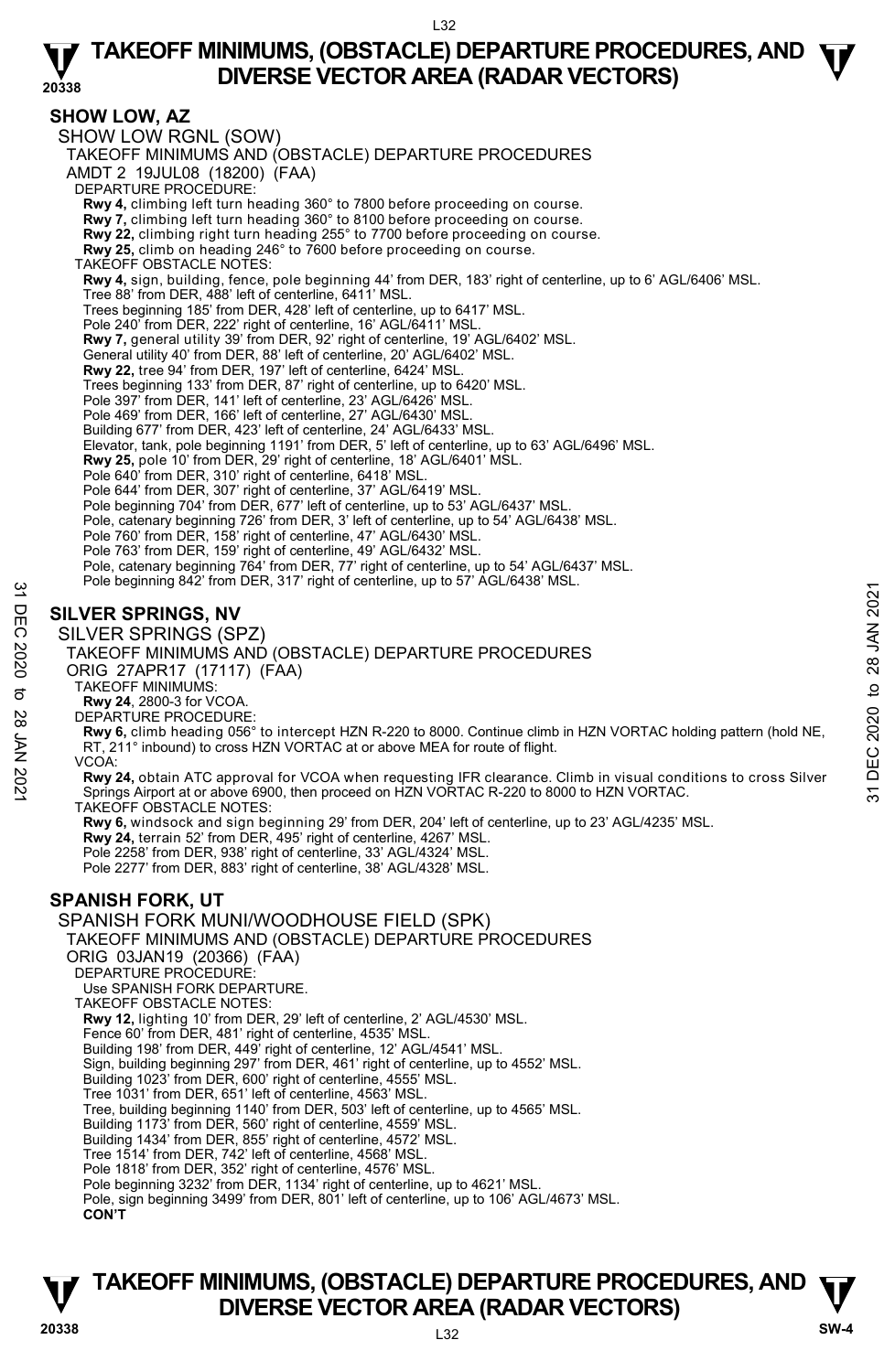**20338** 

### **SHOW LOW, AZ**

SHOW LOW RGNL (SOW) TAKEOFF MINIMUMS AND (OBSTACLE) DEPARTURE PROCEDURES AMDT 2 19JUL08 (18200) (FAA) DEPARTURE PROCEDURE: **Rwy 4,** climbing left turn heading 360° to 7800 before proceeding on course. **Rwy 7,** climbing left turn heading 360° to 8100 before proceeding on course. **Rwy 22,** climbing right turn heading 255° to 7700 before proceeding on course. **Rwy 25,** climb on heading 246° to 7600 before proceeding on course. TAKEOFF OBSTACLE NOTES: **Rwy 4,** sign, building, fence, pole beginning 44' from DER, 183' right of centerline, up to 6' AGL/6406' MSL. Tree 88' from DER, 488' left of centerline, 6411' MSL. Trees beginning 185' from DER, 428' left of centerline, up to 6417' MSL. Pole 240' from DER, 222' right of centerline, 16' AGL/6411' MSL. **Rwy 7,** general utility 39' from DER, 92' right of centerline, 19' AGL/6402' MSL. General utility 40' from DER, 88' left of centerline, 20' AGL/6402' MSL. **Rwy 22,** tree 94' from DER, 197' left of centerline, 6424' MSL. Trees beginning 133' from DER, 87' right of centerline, up to 6420' MSL. Pole 397' from DER, 141' left of centerline, 23' AGL/6426' MSL. Pole 469' from DER, 166' left of centerline, 27' AGL/6430' MSL Building 677' from DER, 423' left of centerline, 24' AGL/6433' MSL. Elevator, tank, pole beginning 1191' from DER, 5' left of centerline, up to 63' AGL/6496' MSL. **Rwy 25,** pole 10' from DER, 29' right of centerline, 18' AGL/6401' MSL.<br>Pole 640' from DER, 310' right of centerline, 6418' MSL.<br>Pole 644' from DER, 307' right of centerline, 37' AGL/6419' MSL. Pole beginning 704' from DER, 677' left of centerline, up to 53' AGL/6437' MSL. Pole, catenary beginning 726' from DER, 3' left of centerline, up to 54' AGL/6438' MSL. Pole 760' from DER, 158' right of centerline, 47' AGL/6430' MSL. Pole 763' from DER, 159' right of centerline, 49' AGL/6432' MSL. Pole, catenary beginning 764' from DER, 77' right of centerline, up to 54' AGL/6437' MSL. Pole beginning 842' from DER, 317' right of centerline, up to 57' AGL/6438' MSL. SILVER SPRINGS, NV<br>
SILVER SPRINGS, NV<br>
SILVER SPRINGS (SPZ)<br>
TAKEOFF MINIMUMS AND (OBSTACLE) DEPARTURE PROCEDURES<br>
ORIG 27APR17 (17117) (FAA)<br>
CONG CEDURES<br>
ORIG 27APR17 (17117) (FAA)<br>
CONG CEDURES<br>
CONG CEDURES<br>
TAKEOFF

# **SILVER SPRINGS, NV**

SILVER SPRINGS (SPZ)



- ORIG 27APR17 (17117) (FAA)
	- TAKEOFF MINIMUMS:
	- **Rwy 24**, 2800-3 for VCOA. DEPARTURE PROCEDURE:
- 

**Rwy 6,** climb heading 056° to intercept HZN R-220 to 8000. Continue climb in HZN VORTAC holding pattern (hold NE, RT, 211° inbound) to cross HZN VORTAC at or above MEA for route of flight.

VCOA:

TAKEOFF OBSTACLE NOTES:

**Rwy 6,** windsock and sign beginning 29' from DER, 204' left of centerline, up to 23' AGL/4235' MSL.<br>**Rwy 24,** terrain 52' from DER, 495' right of centerline, 4267' MSL. Pole 2258' from DER, 938' right of centerline, 33' AGL/4324' MSL.

Pole 2277' from DER, 883' right of centerline, 38' AGL/4328' MSL.

# **SPANISH FORK, UT**

SPANISH FORK MUNI/WOODHOUSE FIELD (SPK) TAKEOFF MINIMUMS AND (OBSTACLE) DEPARTURE PROCEDURES ORIG 03JAN19 (20366) (FAA) DEPARTURE PROCEDURE: Use SPANISH FORK DEPARTURE. TAKEOFF OBSTACLE NOTES: **Rwy 12,** lighting 10' from DER, 29' left of centerline, 2' AGL/4530' MSL. Fence 60' from DER, 481' right of centerline, 4535' MSL. Building 198' from DER, 449' right of centerline, 12' AGL/4541' MSL. Sign, building beginning 297' from DER, 461' right of centerline, up to 4552' MSL. Building 1023' from DER, 600' right of centerline, 4555' MSL. Tree 1031' from DER, 651' left of centerline, 4563' MSL. Tree, building beginning 1140' from DER, 503' left of centerline, up to 4565' MSL. Building 1173' from DER, 560' right of centerline, 4559' MSL. Building 1434' from DER, 855' right of centerline, 4572' MSL. Tree 1514' from DER, 742' left of centerline, 4568' MSL. Pole 1818' from DER, 352' right of centerline, 4576' MSL. Pole beginning 3232' from DER, 1134' right of centerline, up to 4621' MSL. Pole, sign beginning 3499' from DER, 801' left of centerline, up to 106' AGL/4673' MSL. **CON'T**

# L32 **TAKEOFF MINIMUMS, (OBSTACLE) DEPARTURE PROCEDURES, AND**  $\Psi$ **<br>DIVERSE VECTOR AREA (RADAR VECTORS) V**<br>
20338 DIVERSE VECTOR AREA (RADAR VECTORS) SW-4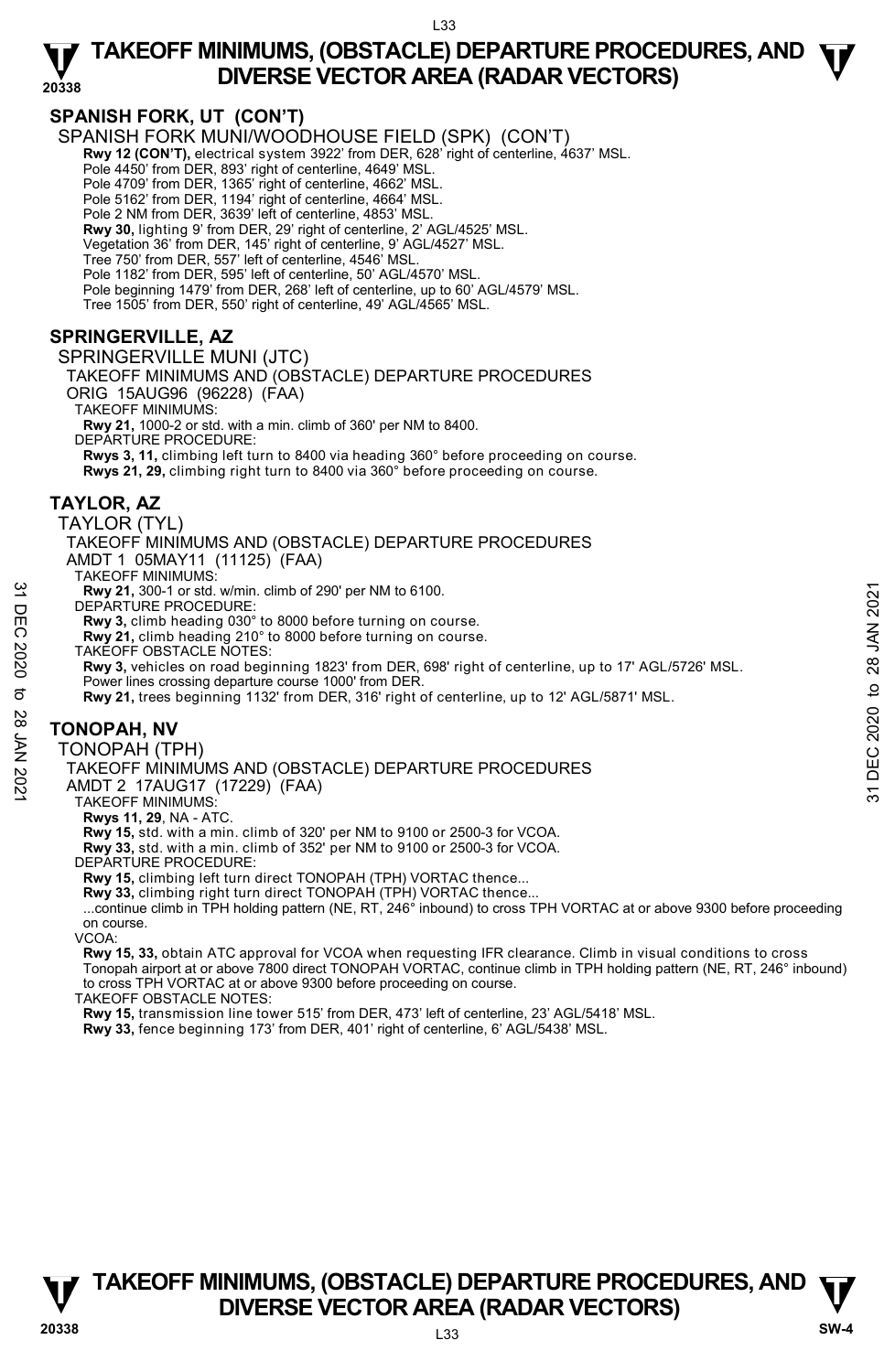**20338** 

## **SPANISH FORK, UT (CON'T)**

SPANISH FORK MUNI/WOODHOUSE FIELD (SPK) (CON'T)

**Rwy 12 (CON'T),** electrical system 3922' from DER, 628' right of centerline, 4637' MSL.

Pole 4450' from DER, 893' right of centerline, 4649' MSL.

Pole 4709' from DER, 1365' right of centerline, 4662' MSL.

Pole 5162' from DER, 1194' right of centerline, 4664' MSL.

Pole 2 NM from DER, 3639' left of centerline, 4853' MSL.

**Rwy 30,** lighting 9' from DER, 29' right of centerline, 2' AGL/4525' MSL. Vegetation 36' from DER, 145' right of centerline, 9' AGL/4527' MSL.

Tree 750' from DER, 557' left of centerline, 4546' MSL.

Pole 1182' from DER, 595' left of centerline, 50' AGL/4570' MSL.

Pole beginning 1479' from DER, 268' left of centerline, up to 60' AGL/4579' MSL.

Tree 1505' from DER, 550' right of centerline, 49' AGL/4565' MSL.

# **SPRINGERVILLE, AZ**

SPRINGERVILLE MUNI (JTC) TAKEOFF MINIMUMS AND (OBSTACLE) DEPARTURE PROCEDURES ORIG 15AUG96 (96228) (FAA)

TAKEOFF MINIMUMS:

**Rwy 21,** 1000-2 or std. with a min. climb of 360' per NM to 8400.

DEPARTURE PROCEDURE:

**Rwys 3, 11,** climbing left turn to 8400 via heading 360° before proceeding on course. **Rwys 21, 29,** climbing right turn to 8400 via 360° before proceeding on course.

# **TAYLOR, AZ**

TAYLOR (TYL)

TAKEOFF MINIMUMS AND (OBSTACLE) DEPARTURE PROCEDURES AMDT 1 05MAY11 (11125) (FAA) TAKEOFF MINIMUMS: **Rwy 21,** 300-1 or std. w/min. climb of 290' per NM to 6100. DEPARTURE PROCEDURE: **Rwy 3,** climb heading 030° to 8000 before turning on course. **Rwy 21,** climb heading 210° to 8000 before turning on course. TAKEOFF OBSTACLE NOTES: **Rwy 3,** vehicles on road beginning 1823' from DER, 698' right of centerline, up to 17' AGL/5726' MSL. Power lines crossing departure course 1000' from DER. **Rwy 21,** trees beginning 1132' from DER, 316' right of centerline, up to 12' AGL/5871' MSL. **TONOPAH, NV**  TONOPAH (TPH) TAKEOFF MINIMUMS AND (OBSTACLE) DEPARTURE PROCEDURES AMDT 2 17AUG17 (17229) (FAA) TAKEOFF MINIMUMS: **Rwys 11, 29**, NA - ATC. **Rwy 15,** std. with a min. climb of 320' per NM to 9100 or 2500-3 for VCOA. **Rwy 33,** std. with a min. climb of 352' per NM to 9100 or 2500-3 for VCOA. **EXAM 2021**<br> **EXAMIVE PROCEDURE:**<br> **EXAMIVE PROCEDURE:**<br> **EXAMIVE PROCEDURE:**<br> **EXAMPLE PROCEDURE:**<br> **EXAMPLE PROSTACLE NOTES:**<br> **EXAMPLE PROSTACLE NOTES:**<br> **EXAMPLE PROCEDURE PROCEDURES**<br> **EXAMPLE PROCEDURE PROCEDURES**<br>

DEPARTURE PROCEDURE:

**Rwy 15,** climbing left turn direct TONOPAH (TPH) VORTAC thence...

**Rwy 33,** climbing right turn direct TONOPAH (TPH) VORTAC thence...

 ...continue climb in TPH holding pattern (NE, RT, 246° inbound) to cross TPH VORTAC at or above 9300 before proceeding on course.

### VCOA:

**Rwy 15, 33,** obtain ATC approval for VCOA when requesting IFR clearance. Climb in visual conditions to cross Tonopah airport at or above 7800 direct TONOPAH VORTAC, continue climb in TPH holding pattern (NE, RT, 246° inbound) to cross TPH VORTAC at or above 9300 before proceeding on course.

TAKEOFF OBSTACLE NOTES:

**Rwy 15,** transmission line tower 515' from DER, 473' left of centerline, 23' AGL/5418' MSL.

**Rwy 33,** fence beginning 173' from DER, 401' right of centerline, 6' AGL/5438' MSL.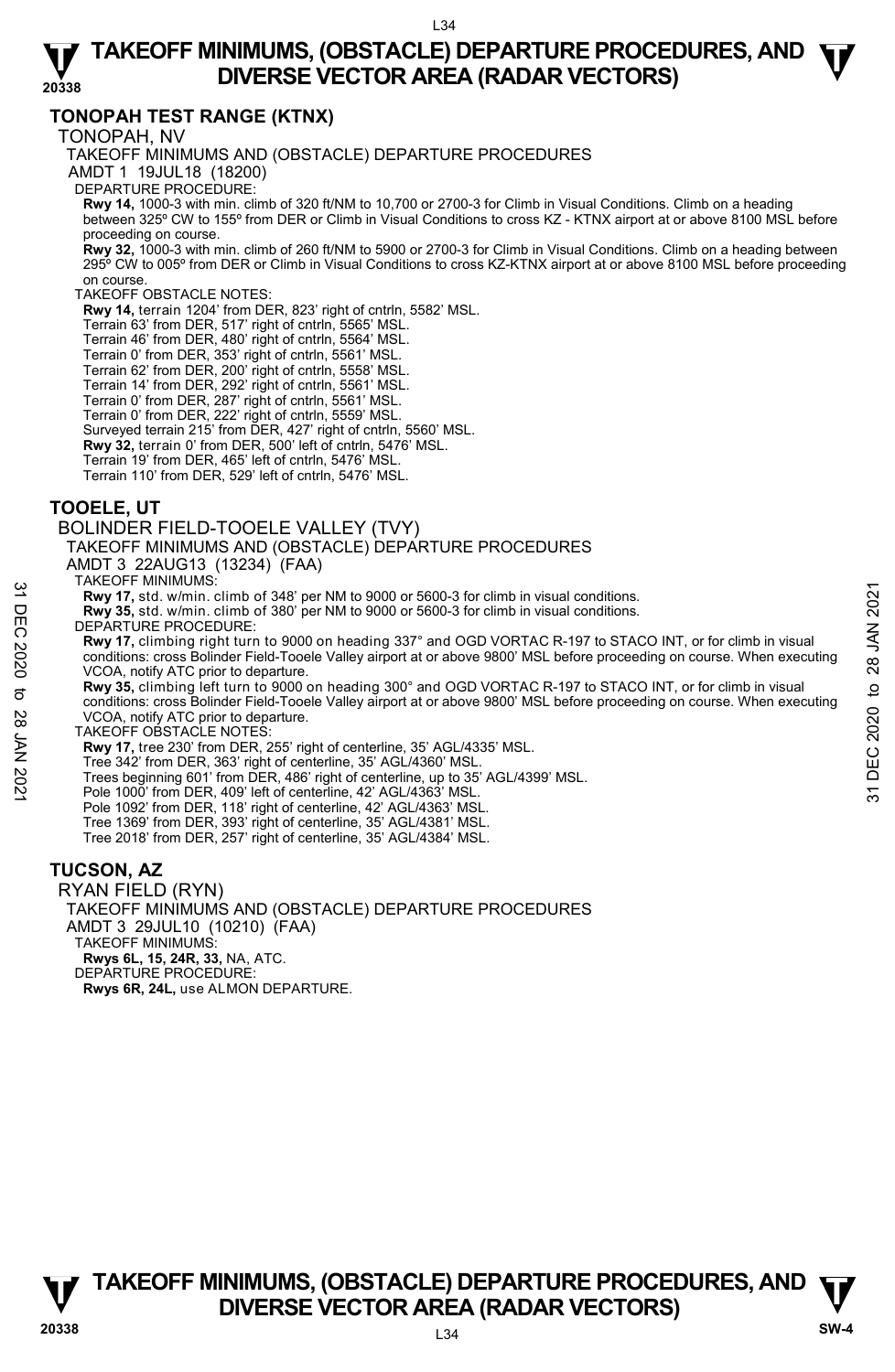## **TONOPAH TEST RANGE (KTNX)**

TONOPAH, NV

TAKEOFF MINIMUMS AND (OBSTACLE) DEPARTURE PROCEDURES

AMDT 1 19JUL18 (18200)

DEPARTURE PROCEDURE:

**Rwy 14,** 1000-3 with min. climb of 320 ft/NM to 10,700 or 2700-3 for Climb in Visual Conditions. Climb on a heading between 325º CW to 155º from DER or Climb in Visual Conditions to cross KZ - KTNX airport at or above 8100 MSL before proceeding on course.

**Rwy 32,** 1000-3 with min. climb of 260 ft/NM to 5900 or 2700-3 for Climb in Visual Conditions. Climb on a heading between 295º CW to 005º from DER or Climb in Visual Conditions to cross KZ-KTNX airport at or above 8100 MSL before proceeding on course.

### TAKEOFF OBSTACLE NOTES:

**Rwy 14,** terrain 1204' from DER, 823' right of cntrln, 5582' MSL.

Terrain 63' from DER, 517' right of cntrln, 5565' MSL.

Terrain 46' from DER, 480' right of cntrln, 5564' MSL.

Terrain 0' from DER, 353' right of cntrln, 5561' MSL.

Terrain 62' from DER, 200' right of cntrln, 5558' MSL.

Terrain 14' from DER, 292' right of cntrln, 5561' MSL.

Terrain 0' from DER, 287' right of cntrln, 5561' MSL.

Terrain 0' from DER, 222' right of cntrln, 5559' MSL. Surveyed terrain 215' from DER, 427' right of cntrln, 5560' MSL.

**Rwy 32,** terrain 0' from DER, 500' left of cntrln, 5476' MSL.

Terrain 19' from DER, 465' left of cntrln, 5476' MSL.

Terrain 110' from DER, 529' left of cntrln, 5476' MSL.

### **TOOELE, UT**

BOLINDER FIELD-TOOELE VALLEY (TVY)

TAKEOFF MINIMUMS AND (OBSTACLE) DEPARTURE PROCEDURES

AMDT 3 22AUG13 (13234) (FAA)

TAKEOFF MINIMUMS:

**Rwy 17,** std. w/min. climb of 348' per NM to 9000 or 5600-3 for climb in visual conditions.

**Rwy 35,** std. w/min. climb of 380' per NM to 9000 or 5600-3 for climb in visual conditions. DEPARTURE PROCEDURE:

**Rwy 17,** climbing right turn to 9000 on heading 337° and OGD VORTAC R-197 to STACO INT, or for climb in visual conditions: cross Bolinder Field-Tooele Valley airport at or above 9800' MSL before proceeding on course. When executing VCOA, notify ATC prior to departure. **EXAMELY TO WINDER AND STATE CONSTRANT CONSTRANT CONSTRANT CONSTRANT CONSTRANT CONSTRANT CONSTRANT CONSTRANT CONSTRANT CONSTRANT CONSTRANT CONSTRANT CONSTRANT CONSTRANT CONSTRANT CONSTRANT CONSTRANT CONSTRANT CONSTRANT CO** 

**Rwy 35,** climbing left turn to 9000 on heading 300° and OGD VORTAC R-197 to STACO INT, or for climb in visual conditions: cross Bolinder Field-Tooele Valley airport at or above 9800' MSL before proceeding on course. When executing VCOA, notify ATC prior to departure.

TAKEOFF OBSTACLE NOTES:

**Rwy 17,** tree 230' from DER, 255' right of centerline, 35' AGL/4335' MSL.

Tree 342' from DER, 363' right of centerline, 35' AGL/4360' MSL.

Trees beginning 601' from DER, 486' right of centerline, up to 35' AGL/4399' MSL.

Pole 1000' from DER, 409' left of centerline, 42' AGL/4363' MSL.

Pole 1092' from DER, 118' right of centerline, 42' AGL/4363' MSL.

Tree 1369' from DER, 393' right of centerline, 35' AGL/4381' MSL. Tree 2018' from DER, 257' right of centerline, 35' AGL/4384' MSL.

### **TUCSON, AZ**

RYAN FIELD (RYN) TAKEOFF MINIMUMS AND (OBSTACLE) DEPARTURE PROCEDURES AMDT 3 29JUL10 (10210) (FAA) TAKEOFF MINIMUMS: **Rwys 6L, 15, 24R, 33,** NA, ATC. DEPARTURE PROCEDURE **Rwys 6R, 24L,** use ALMON DEPARTURE.

**TAKEOFF MINIMUMS, (OBSTACLE) DEPARTURE PROCEDURES, AND**  $\Psi$ **<br>DIVERSE VECTOR AREA (RADAR VECTORS) V**<br>
20338 DIVERSE VECTOR AREA (RADAR VECTORS) SW-4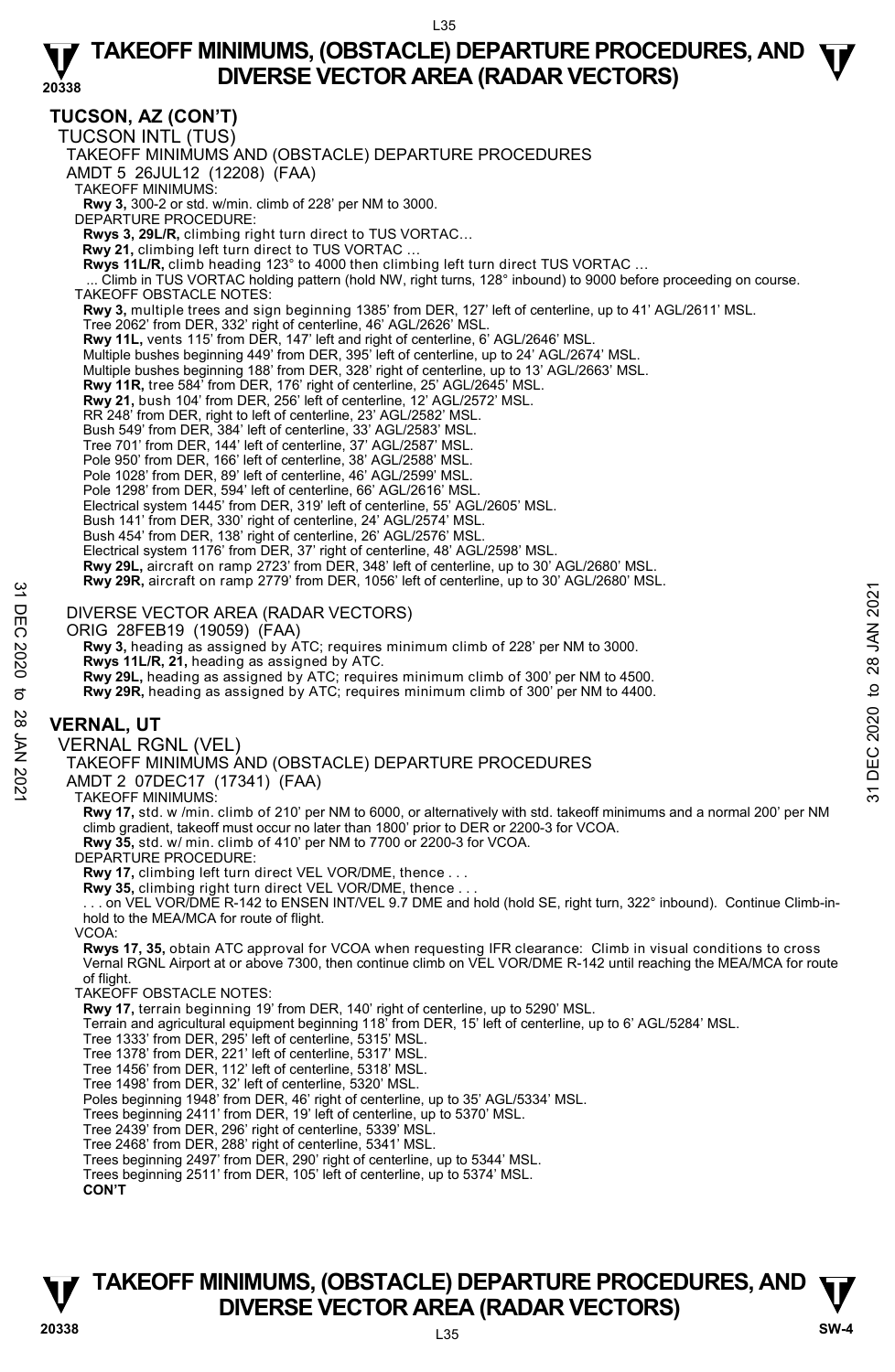## **TUCSON, AZ (CON'T)**

TUCSON INTL (TUS) TAKEOFF MINIMUMS AND (OBSTACLE) DEPARTURE PROCEDURES AMDT 5 26JUL12 (12208) (FAA) TAKEOFF MINIMUMS: **Rwy 3,** 300-2 or std. w/min. climb of 228' per NM to 3000. DEPARTURE PROCEDURE: **Rwys 3, 29L/R,** climbing right turn direct to TUS VORTAC… **Rwy 21,** climbing left turn direct to TUS VORTAC … **Rwys 11L/R,** climb heading 123° to 4000 then climbing left turn direct TUS VORTAC ...<br>... Climb in TUS VORTAC holding pattern (hold NW, right turns, 128° inbound) to 9000 before proceeding on course. TAKEOFF OBSTACLE NOTES: **Rwy 3,** multiple trees and sign beginning 1385' from DER, 127' left of centerline, up to 41' AGL/2611' MSL. Tree 2062' from DER, 332' right of centerline, 46' AGL/2626' MSL. **Rwy 11L,** vents 115' from DER, 147' left and right of centerline, 6' AGL/2646' MSL. Multiple bushes beginning 449' from DER, 395' left of centerline, up to 24' AGL/2674' MSL. Multiple bushes beginning 188' from DER, 328' right of centerline, up to 13' AGL/2663' MSL. **Rwy 11R,** tree 584' from DER, 176' right of centerline, 25' AGL/2645' MSL. **Rwy 21,** bush 104' from DER, 256' left of centerline, 12' AGL/2572' MSL. RR 248' from DER, right to left of centerline, 23' AGL/2582' MSL. Bush 549' from DER, 384' left of centerline, 33' AGL/2583' MSL. Tree 701' from DER, 144' left of centerline, 37' AGL/2587' MSL. Pole 950' from DER, 166' left of centerline, 38' AGL/2588' MSL. Pole 1028' from DER, 89' left of centerline, 46' AGL/2599' MSL. Pole 1298' from DER, 594' left of centerline, 66' AGL/2616' MSL. Electrical system 1445' from DER, 319' left of centerline, 55' AGL/2605' MSL. Bush 141' from DER, 330' right of centerline, 24' AGL/2574' MSL. Bush 454' from DER, 138' right of centerline, 26' AGL/2576' MSL. Electrical system 1176' from DER, 37' right of centerline, 48' AGL/2598' MSL. **Rwy 29L,** aircraft on ramp 2723' from DER, 348' left of centerline, up to 30' AGL/2680' MSL. **Rwy 29R,** aircraft on ramp 2779' from DER, 1056' left of centerline, up to 30' AGL/2680' MSL. DIVERSE VECTOR AREA (RADAR VECTORS) ORIG 28FEB19 (19059) (FAA) Rwy 3, heading as assigned by ATC; requires minimum climb of 228' per NM to 3000. **Rwys 11L/R, 21,** heading as assigned by ATC. **Rwy 29L,** heading as assigned by ATC; requires minimum climb of 300' per NM to 4500. **Rwy 29R,** heading as assigned by ATC; requires minimum climb of 300' per NM to 4400. **VERNAL, UT**  VERNAL RGNL (VEL) TAKEOFF MINIMUMS AND (OBSTACLE) DEPARTURE PROCEDURES AMDT 2 07DEC17 (17341) (FAA) TAKEOFF MINIMUMS: **Rwy 17,** std. w /min. climb of 210' per NM to 6000, or alternatively with std. takeoff minimums and a normal 200' per NM climb gradient, takeoff must occur no later than 1800' prior to DER or 2200-3 for VCOA. **Rwy 35,** std. w/ min. climb of 410' per NM to 7700 or 2200-3 for VCOA. DEPARTURE PROCEDURE: **Rwy 17,** climbing left turn direct VEL VOR/DME, thence . . . **Rwy 35,** climbing right turn direct VEL VOR/DME, thence . . . . . . on VEL VOR/DME R-142 to ENSEN INT/VEL 9.7 DME and hold (hold SE, right turn, 322° inbound). Continue Climb-inhold to the MEA/MCA for route of flight. VCOA: **Rwys 17, 35,** obtain ATC approval for VCOA when requesting IFR clearance: Climb in visual conditions to cross Vernal RGNL Airport at or above 7300, then continue climb on VEL VOR/DME R-142 until reaching the MEA/MCA for route of flight. TAKEOFF OBSTACLE NOTES: **Rwy 17,** terrain beginning 19' from DER, 140' right of centerline, up to 5290' MSL. Terrain and agricultural equipment beginning 118' from DER, 15' left of centerline, up to 6' AGL/5284' MSL. Tree 1333' from DER, 295' left of centerline, 5315' MSL. Tree 1378' from DER, 221' left of centerline, 5317' MSL. Tree 1456' from DER, 112' left of centerline, 5318' MSL. Tree 1498' from DER, 32' left of centerline, 5320' MSL. New Y29R, and an Unitary 2779 hold DLK, 1030 elet of centennie, up to 30 AGD2000 to D.<br>
ONCE 28 FEB19 (19059) (FAA)<br>
ORIG 28 FEB19 (19059) (FAA)<br>
Rwy 3, heading as assigned by ATC; requires minimum climb of 228' per NM to

Poles beginning 1948' from DER, 46' right of centerline, up to 35' AGL/5334' MSL. Trees beginning 2411' from DER, 19' left of centerline, up to 5370' MSL.

Tree 2439' from DER, 296' right of centerline, 5339' MSL.<br>Tree 2468' from DER, 288' right of centerline, 5341' MSL.<br>Trees beginning 2497' from DER, 290' right of centerline, up to 5344' MSL.

Trees beginning 2511' from DER, 105' left of centerline, up to 5374' MSL.

**CON'T**

# **TAKEOFF MINIMUMS, (OBSTACLE) DEPARTURE PROCEDURES, AND**  $\Psi$ **<br>DIVERSE VECTOR AREA (RADAR VECTORS) V**<br>
20338 DIVERSE VECTOR AREA (RADAR VECTORS) SW-4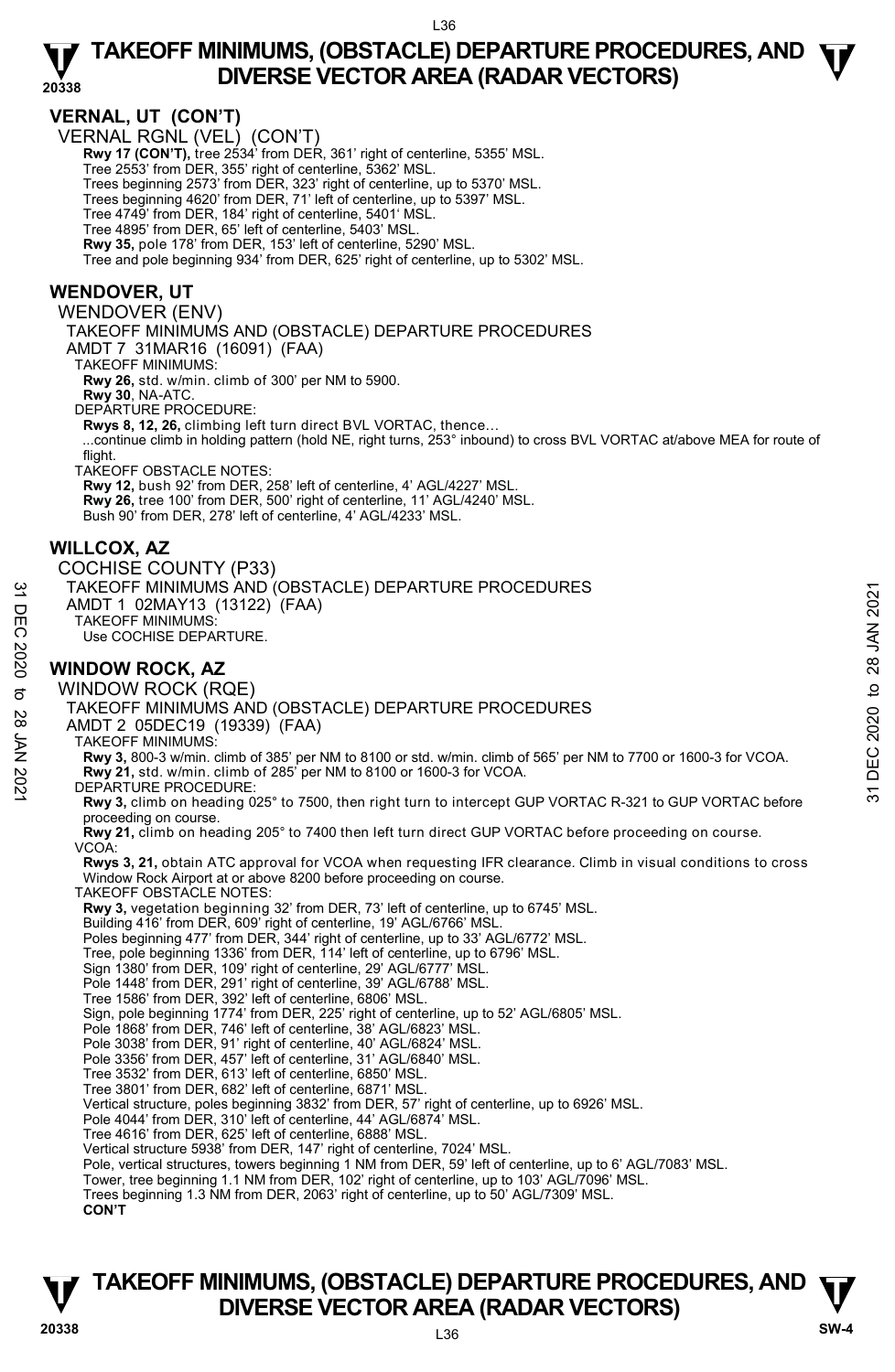**20338** 

### **VERNAL, UT (CON'T)**

VERNAL RGNL (VEL) (CON'T)

**Rwy 17 (CON'T),** tree 2534' from DER, 361' right of centerline, 5355' MSL.

Tree 2553' from DER, 355' right of centerline, 5362' MSL.

Trees beginning 2573' from DER, 323' right of centerline, up to 5370' MSL. Trees beginning 4620' from DER, 71' left of centerline, up to 5397' MSL.

Tree 4749' from DER, 184' right of centerline, 5401' MSL.

Tree 4895' from DER, 65' left of centerline, 5403' MSL.

**Rwy 35,** pole 178' from DER, 153' left of centerline, 5290' MSL.

Tree and pole beginning 934' from DER, 625' right of centerline, up to 5302' MSL.

### **WENDOVER, UT**

WENDOVER (ENV)

TAKEOFF MINIMUMS AND (OBSTACLE) DEPARTURE PROCEDURES

AMDT 7 31MAR16 (16091) (FAA)

TAKEOFF MINIMUMS:

**Rwy 26,** std. w/min. climb of 300' per NM to 5900.

**Rwy 30**, NA-ATC.

DEPARTURE PROCEDURE:

**Rwys 8, 12, 26,** climbing left turn direct BVL VORTAC, thence…

 ...continue climb in holding pattern (hold NE, right turns, 253° inbound) to cross BVL VORTAC at/above MEA for route of flight.

TAKEOFF OBSTACLE NOTES:

**Rwy 12,** bush 92' from DER, 258' left of centerline, 4' AGL/4227' MSL. **Rwy 26,** tree 100' from DER, 500' right of centerline, 11' AGL/4240' MSL.

Bush 90' from DER, 278' left of centerline, 4' AGL/4233' MSL.

### **WILLCOX, AZ**

COCHISE COUNTY (P33) TAKEOFF MINIMUMS AND (OBSTACLE) DEPARTURE PROCEDURES AMDT 1 02MAY13 (13122) (FAA) TAKEOFF MINIMUMS: Use COCHISE DEPARTURE. 32 TAKEOFF MINIMUMS AND (OBSTACLE) DEPARTURE PROCEDURES<br>
THE TAMDIT 1 OZMAY13 (13122) (FAA)<br>
THE TAKEOFF MINIMUMS:<br>
Use COCHISE DEPARTURE.<br> **WINDOW ROCK, AZ**<br>
WINDOW ROCK (RQE)<br>
TAKEOFF MINIMUMS AND (OBSTACLE) DEPARTURE

### **WINDOW ROCK, AZ**

WINDOW ROCK (RQE)

TAKEOFF MINIMUMS AND (OBSTACLE) DEPARTURE PROCEDURES

AMDT 2 05DEC19 (19339) (FAA)

TAKEOFF MINIMUMS:

**Rwy 3,** 800-3 w/min. climb of 385' per NM to 8100 or std. w/min. climb of 565' per NM to 7700 or 1600-3 for VCOA. **Rwy 21,** std. w/min. climb of 285' per NM to 8100 or 1600-3 for VCOA. DEPARTURE PROCEDURE:

**Rwy 3,** climb on heading 025° to 7500, then right turn to intercept GUP VORTAC R-321 to GUP VORTAC before proceeding on course.

**Rwy 21,** climb on heading 205° to 7400 then left turn direct GUP VORTAC before proceeding on course. VCOA:

**Rwys 3, 21,** obtain ATC approval for VCOA when requesting IFR clearance. Climb in visual conditions to cross Window Rock Airport at or above 8200 before proceeding on course. TAKEOFF OBSTACLE NOTES:

**Rwy 3,** vegetation beginning 32' from DER, 73' left of centerline, up to 6745' MSL.

Building 416' from DER, 609' right of centerline, 19' AGL/6766' MSL. Poles beginning 477' from DER, 344' right of centerline, up to 33' AGL/6772' MSL.

Tree, pole beginning 1336' from DER, 114' left of centerline, up to 6796' MSL.

Sign 1380' from DER, 109' right of centerline, 29' AGL/6777' MSL.

Pole 1448' from DER, 291' right of centerline, 39' AGL/6788' MSL.

Tree 1586' from DER, 392' left of centerline, 6806' MSL.

Sign, pole beginning 1774' from DER, 225' right of centerline, up to 52' AGL/6805' MSL.

Pole 1868' from DER, 746' left of centerline, 38' AGL/6823' MSL.

Pole 3038' from DER, 91' right of centerline, 40' AGL/6824' MSL.

Pole 3356' from DER, 457' left of centerline, 31' AGL/6840' MSL.

Tree 3532' from DER, 613' left of centerline, 6850' MSL.

Tree 3801' from DER, 682' left of centerline, 6871' MSL.

Vertical structure, poles beginning 3832' from DER, 57' right of centerline, up to 6926' MSL.

Pole 4044' from DER, 310' left of centerline, 44' AGL/6874' MSL.

Tree 4616' from DER, 625' left of centerline, 6888' MSL.

Vertical structure 5938' from DER, 147' right of centerline, 7024' MSL.

Pole, vertical structures, towers beginning 1 NM from DER, 59' left of centerline, up to 6' AGL/7083' MSL.<br>Tower, tree beginning 1.1 NM from DER, 102' right of centerline, up to 103' AGL/7096' MSL.<br>Trees beginning 1.3 NM f

**CON'T**

# L36 **TAKEOFF MINIMUMS, (OBSTACLE) DEPARTURE PROCEDURES, AND**  $\Psi$ **<br>DIVERSE VECTOR AREA (RADAR VECTORS) DIVERSE VECTOR AREA (RADAR VECTORS) 20338 SW-4**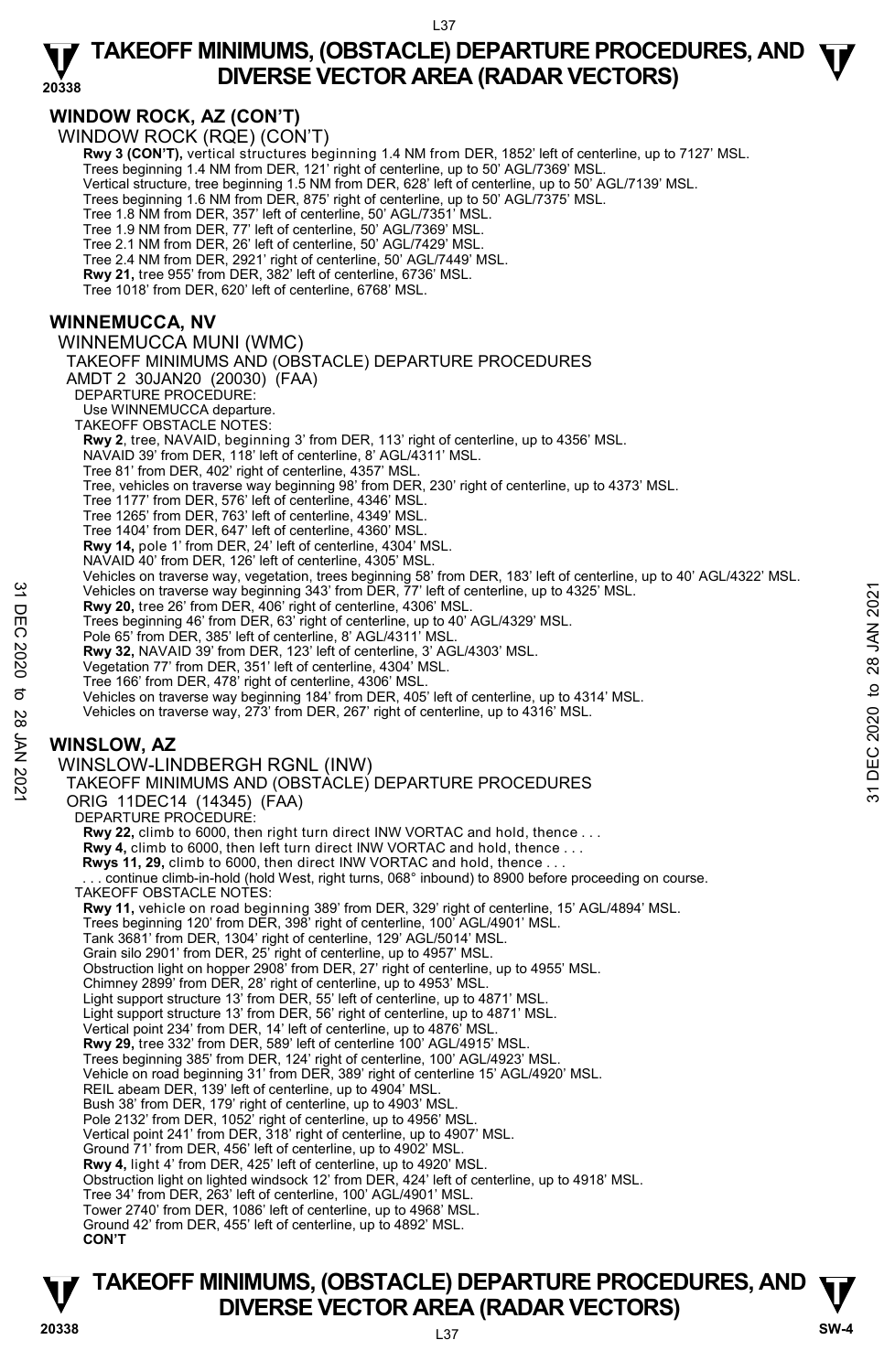# **WINDOW ROCK, AZ (CON'T)**

WINDOW ROCK (RQE) (CON'T)

**Rwy 3 (CON'T),** vertical structures beginning 1.4 NM from DER, 1852' left of centerline, up to 7127' MSL.<br>Trees beginning 1.4 NM from DER, 121' right of centerline, up to 50' AGL/7369' MSL. Vertical structure, tree beginning 1.5 NM from DER, 628' left of centerline, up to 50' AGL/7139' MSL. Trees beginning 1.6 NM from DER, 875' right of centerline, up to 50' AGL/7375' MSL. Tree 1.8 NM from DER, 357' left of centerline, 50' AGL/7351' MSL. Tree 1.9 NM from DER, 77' left of centerline, 50' AGL/7369' MSL.

Tree 2.1 NM from DER, 26' left of centerline, 50' AGL/7429' MSL.

Tree 2.4 NM from DER, 2921' right of centerline, 50' AGL/7449' MSL.

**Rwy 21,** tree 955' from DER, 382' left of centerline, 6736' MSL.

Tree 1018' from DER, 620' left of centerline, 6768' MSL.

## **WINNEMUCCA, NV**

WINNEMUCCA MUNI (WMC) TAKEOFF MINIMUMS AND (OBSTACLE) DEPARTURE PROCEDURES AMDT 2 30JAN20 (20030) (FAA) DEPARTURE PROCEDURE: Use WINNEMUCCA departure. TAKEOFF OBSTACLE NOTES: **Rwy 2**, tree, NAVAID, beginning 3' from DER, 113' right of centerline, up to 4356' MSL. NAVAID 39' from DER, 118' left of centerline, 8' AGL/4311' MSL. Tree 81' from DER, 402' right of centerline, 4357' MSL. Tree, vehicles on traverse way beginning 98' from DER, 230' right of centerline, up to 4373' MSL. Tree 1177' from DER, 576' left of centerline, 4346' MSL. Tree 1265' from DER, 763' left of centerline, 4349' MSL. Tree 1404' from DER, 647' left of centerline, 4360' MSL. **Rwy 14,** pole 1' from DER, 24' left of centerline, 4304' MSL. NAVAID 40' from DER, 126' left of centerline, 4305' MSL. Vehicles on traverse way, vegetation, trees beginning 58' from DER, 183' left of centerline, up to 40' AGL/4322' MSL.<br>Vehicles on traverse way beginning 343' from DER, 77' left of centerline, up to 4325' MSL. **Rwy 20,** tree 26' from DER, 406' right of centerline, 4306' MSL. Trees beginning 46' from DER, 63' right of centerline, up to 40' AGL/4329' MSL. Pole 65' from DER, 385' left of centerline, 8' AGL/4311' MSL. **Rwy 32,** NAVAID 39' from DER, 123' left of centerline, 3' AGL/4303' MSL. Vegetation 77' from DER, 351' left of centerline, 4304' MSL. Tree 166' from DER, 478' right of centerline, 4306' MSL. Vehicles on traverse way beginning 184' from DER, 405' left of centerline, up to 4314' MSL. Vehicles on traverse way, 273' from DER, 267' right of centerline, up to 4316' MSL. **WINSLOW, AZ**  WINSLOW-LINDBERGH RGNL (INW) TAKEOFF MINIMUMS AND (OBSTACLE) DEPARTURE PROCEDURES ORIG 11DEC14 (14345) (FAA) DEPARTURE PROCEDURE: **Rwy 22,** climb to 6000, then right turn direct INW VORTAC and hold, thence . . . **Rwy 4,** climb to 6000, then left turn direct INW VORTAC and hold, thence . . . **Rwys 11, 29,** climb to 6000, then direct INW VORTAC and hold, thence . . . continue climb-in-hold (hold West, right turns, 068° inbound) to 8900 before proceeding on course. TAKEOFF OBSTACLE NOTES: **Rwy 11,** vehicle on road beginning 389' from DER, 329' right of centerline, 15' AGL/4894' MSL. Trees beginning 120' from DER, 398' right of centerline, 100' AGL/4901' MSL. Tank 3681' from DER, 1304' right of centerline, 129' AGL/5014' MSL. Grain silo 2901' from DER, 25' right of centerline, up to 4957' MSL. Obstruction light on hopper 2908' from DER, 27' right of centerline, up to 4955' MSL. Chimney 2899' from DER, 28' right of centerline, up to 4953' MSL. Light support structure 13' from DER, 55' left of centerline, up to 4871' MSL. Light support structure 13' from DER, 56' right of centerline, up to 4871' MSL. Vertical point 234' from DER, 14' left of centerline, up to 4876' MSL. **Rwy 29,** tree 332' from DER, 589' left of centerline 100' AGL/4915' MSL. Trees beginning 385' from DER, 124' right of centerline, 100' AGL/4923' MSL. Vehicle on road beginning 31' from DER, 389' right of centerline 15' AGL/4920' MSL. REIL abeam DER, 139' left of centerline, up to 4904' MSL. Bush 38' from DER, 179' right of centerline, up to 4903' MSL. Pole 2132' from DER, 1052' right of centerline, up to 4956' MSL. Vertical point 241' from DER, 318' right of centerline, up to 4907' MSL. Ground 71' from DER, 456' left of centerline, up to 4902' MSL. **Rwy 4,** light 4' from DER, 425' left of centerline, up to 4920' MSL. Obstruction light on lighted windsock 12' from DER, 424' left of centerline, up to 4918' MSL. Tree 34' from DER, 263' left of centerline, 100' AGL/4901' MSL. Tower 2740' from DER, 1086' left of centerline, up to 4968' MSL. Ground 42' from DER, 455' left of centerline, up to 4892' MSL. Vehicles on traverse way beginning 343' from DER,  $77'$  left of centerline, up to 4325' MSL.<br>
The area beginning 46' from DER, 403' right of centerline, up to 40' MSL.<br>
Trees beginning 46' from DER, 63' right of centerlin

**CON'T**

# **TAKEOFF MINIMUMS, (OBSTACLE) DEPARTURE PROCEDURES, AND**  $\Psi$ **<br>DIVERSE VECTOR AREA (RADAR VECTORS) DIVERSE VECTOR AREA (RADAR VECTORS) 20338 SW-4**